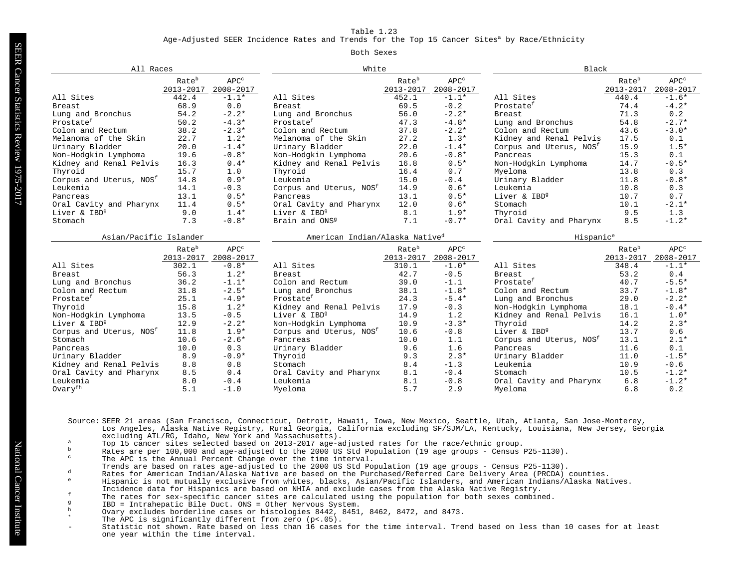Age-Adjusted SEER Incidence Rates and Trends for the Top 15 Cancer Sites<sup>a</sup> by Race/Ethnicity

#### Both Sexes

| All Races                           |                                |                      | White                                      |                                |                                     | Black                               |                    |                               |
|-------------------------------------|--------------------------------|----------------------|--------------------------------------------|--------------------------------|-------------------------------------|-------------------------------------|--------------------|-------------------------------|
|                                     | Rate <sup>b</sup><br>2013-2017 | $APC^c$<br>2008-2017 |                                            | Rate <sup>b</sup><br>2013-2017 | APC <sup>c</sup><br>2008-2017       |                                     | Rateb<br>2013-2017 | APC <sup>c</sup><br>2008-2017 |
| All Sites                           | 442.4                          | $-1.1*$              | All Sites                                  | 452.1                          | $-1.1*$                             | All Sites                           | 440.4              | $-1.6*$                       |
| <b>Breast</b>                       | 68.9                           | 0.0                  | <b>Breast</b>                              | 69.5                           | $-0.2$                              | Prostate <sup>f</sup>               | 74.4               | $-4.2*$                       |
| Lung and Bronchus                   | 54.2                           | $-2.2*$              | Lung and Bronchus                          | 56.0                           | $-2.2*$                             | Breast                              | 71.3               | 0.2                           |
| Prostate <sup>f</sup>               | 50.2                           | $-4.3*$              | Prostate <sup>f</sup>                      | 47.3                           | $-4.8*$                             | Lung and Bronchus                   | 54.8               | $-2.7*$                       |
| Colon and Rectum                    | 38.2                           | $-2.3*$              | Colon and Rectum                           | 37.8                           | $-2.2*$                             | Colon and Rectum                    | 43.6               | $-3.0*$                       |
| Melanoma of the Skin                | 22.7                           | $1.2*$               | Melanoma of the Skin                       | 27.2                           | $1.3*$                              | Kidney and Renal Pelvis             | 17.5               | 0.1                           |
| Urinary Bladder                     | 20.0                           | $-1.4*$              | 22.0<br>$-1.4*$<br>Urinary Bladder         |                                | Corpus and Uterus, NOS <sup>f</sup> | 15.9                                | $1.5*$             |                               |
| Non-Hodgkin Lymphoma                | 19.6                           | $-0.8*$              | Non-Hodgkin Lymphoma                       | 20.6                           | $-0.8*$                             | Pancreas                            | 15.3               | 0.1                           |
| Kidney and Renal Pelvis             | 16.3                           | $0.4*$               | Kidney and Renal Pelvis                    | 16.8                           | $0.5*$                              | Non-Hodgkin Lymphoma                | 14.7               | $-0.5*$                       |
| Thyroid                             | 15.7                           | 1.0                  | Thyroid                                    | 16.4                           | 0.7                                 | Myeloma                             | 13.8               | 0.3                           |
| Corpus and Uterus, NOS <sup>f</sup> | 14.8                           | $0.9*$               | Leukemia                                   | 15.0                           | $-0.4$                              | Urinary Bladder                     | 11.8               | $-0.8*$                       |
| Leukemia                            | 14.1                           | $-0.3$               | Corpus and Uterus, NOS <sup>f</sup>        | 14.9                           | $0.6*$                              | Leukemia                            | 10.8               | 0.3                           |
| Pancreas                            | 13.1                           | $0.5*$               | Pancreas                                   | 13.1                           | $0.5*$                              | Liver & IBD <sup>9</sup>            | 10.7               | 0.7                           |
| Oral Cavity and Pharynx             | 11.4                           | $0.5*$               | Oral Cavity and Pharynx                    | 12.0                           | $0.6*$                              | Stomach                             | 10.1               | $-2.1*$                       |
| Liver & IBD <sup>9</sup>            | 9.0                            | $1.4*$               | Liver & IBD <sup>9</sup>                   | 8.1                            | $1.9*$                              | Thyroid                             | 9.5                | 1.3                           |
| Stomach                             | 7.3                            | $-0.8*$              | Brain and ONS <sup>9</sup>                 | 7.1                            | $-0.7*$                             | Oral Cavity and Pharynx             | 8.5                | $-1.2*$                       |
| Asian/Pacific Islander              |                                |                      | American Indian/Alaska Native <sup>d</sup> |                                |                                     | Hispanic <sup>e</sup>               |                    |                               |
|                                     | Rate <sup>b</sup>              | $APC^c$              |                                            | Rate <sup>b</sup>              | APC <sup>c</sup>                    |                                     | Rate <sup>b</sup>  | APC <sup>c</sup>              |
|                                     | $2013 - 2017$                  | 2008-2017            |                                            | $2013 - 2017$                  | 2008-2017                           |                                     | 2013-2017          | 2008-2017                     |
| All Sites                           | 302.1                          | $-0.8*$              | All Sites                                  | 310.1                          | $-1.0*$                             | All Sites                           | 348.4              | $-1.1*$                       |
| Breast                              | 56.3                           | $1.2*$               | Breast                                     | 42.7                           | $-0.5$                              | Breast                              | 53.2               | 0.4                           |
| Lung and Bronchus                   | 36.2                           | $-1.1*$              | Colon and Rectum                           | 39.0                           | $-1.1$                              | Prostate <sup>f</sup>               | 40.7               | $-5.5*$                       |
| Colon and Rectum                    | 31.8                           | $-2.5*$              | Lung and Bronchus                          | 38.1                           | $-1.8*$                             | Colon and Rectum                    | 33.7               | $-1.8*$                       |
| Prostate <sup>f</sup>               | 25.1                           | $-4.9*$              | Prostate <sup>f</sup>                      | 24.3                           | $-5.4*$                             | Lung and Bronchus                   | 29.0               | $-2.2*$                       |
| Thyroid                             | 15.8                           | $1.2*$               | Kidney and Renal Pelvis                    | 17.9                           | $-0.3$                              | Non-Hodgkin Lymphoma                | 18.1               | $-0.4*$                       |
| Non-Hodgkin Lymphoma                | 13.5                           | $-0.5$               | Liver & IBD <sup>9</sup>                   | 14.9                           | 1.2                                 | Kidney and Renal Pelvis             | 16.1               | $1.0*$                        |
| Liver & IBD <sup>9</sup>            | 12.9                           | $-2.2*$              | Non-Hodgkin Lymphoma                       | 10.9                           | $-3.3*$                             | Thyroid                             | 14.2               | $2.3*$                        |
| Corpus and Uterus, NOS <sup>f</sup> | 11.8                           | $1.9*$               | Corpus and Uterus, NOS <sup>f</sup>        | 10.6                           | $-0.8$                              | Liver & IBD <sup>9</sup>            | 13.7               | 0.6                           |
| Stomach                             | 10.6                           | $-2.6*$              | Pancreas                                   | 10.0                           | 1.1                                 | Corpus and Uterus, NOS <sup>f</sup> | 13.1               | $2.1*$                        |
| Pancreas                            | 10.0                           | 0.3                  | Urinary Bladder                            | 9.6                            | 1.6                                 | Pancreas                            | 11.6               | 0.1                           |
| Urinary Bladder                     | 8.9                            | $-0.9*$              | Thyroid                                    | 9.3                            | $2.3*$                              | Urinary Bladder                     | 11.0               | $-1.5*$                       |
| Kidney and Renal Pelvis             | 8.8                            | 0.8                  | Stomach                                    | 8.4                            | $-1.3$                              | Leukemia                            | 10.9               | $-0.6$                        |
| Oral Cavity and Pharynx             | 8.5                            | 0.4                  | Oral Cavity and Pharynx                    | 8.1                            | $-0.4$                              | Stomach                             | 10.5               | $-1.2*$                       |
| Leukemia                            | 8.0                            | $-0.4$               | Leukemia                                   | 8.1                            | $-0.8$                              | Oral Cavity and Pharynx             | 6.8                | $-1.2*$                       |
| Ovaryfh                             | 5.1                            | $-1.0$               | Myeloma                                    | 5.7                            | 2.9                                 | Mveloma                             | 6.8                | 0.2                           |

Source: SEER 21 areas (San Francisco, Connecticut, Detroit, Hawaii, Iowa, New Mexico, Seattle, Utah, Atlanta, San Jose-Monterey, Los Angeles, Alaska Native Registry, Rural Georgia, California excluding SF/SJM/LA, Kentucky, Louisiana, New Jersey, Georgia excluding ATL/RG, Idaho, New York and Massachusetts).

- a Top 15 cancer sites selected based on 2013-2014 age-adjusted rates for the race/ethnic group.<br>a Top 15 cancer sites selected based on 2013-2017 age-adjusted rates for the race/ethnic group.
- b Rates are per 100,000 and age-adjusted to the 2000 US Std Population (19 age groups Census P25-1130).
- The APC is the Annual Percent Change over the time interval.
- Trends are based on rates age-adjusted to the 2000 US Std Population (19 age groups Census P25-1130).
- d Rates for American Indian/Alaska Native are based on the Purchased/Referred Care Delivery Area (PRCDA) counties.<br>Rates for American Indian/Alaska Native are based on the Purchased/Referred Care Delivery Area (PRCDA) coun
- <sup>e</sup> Hispanic is not mutually exclusive from whites, blacks, Asian/Pacific Islanders, and American Indians/Alaska Natives.
- Incidence data for Hispanics are based on NHIA and exclude cases from the Alaska Native Registry.
- For relation the rates for sex-specific cancer sites are calculated using the population for both sexes combined.<br>TRD = Intrahenatic Rile Duct ONS = Other Nervous System
- g<br>
IBD = Intrahepatic Bile Duct. ONS = Other Nervous System.<br>  $\frac{h}{\sqrt{1-\frac{1}{h}}}\left\{\frac{1}{h}\right\}$
- h Ovary excludes borderline cases or histologies 8442, 8451, 8462, 8472, and 8473.
- The APC is significantly different from zero  $(p<.05)$ .
- Statistic not shown. Rate based on less than 16 cases for the time interval. Trend based on less than 10 cases for at least one year within the time interval.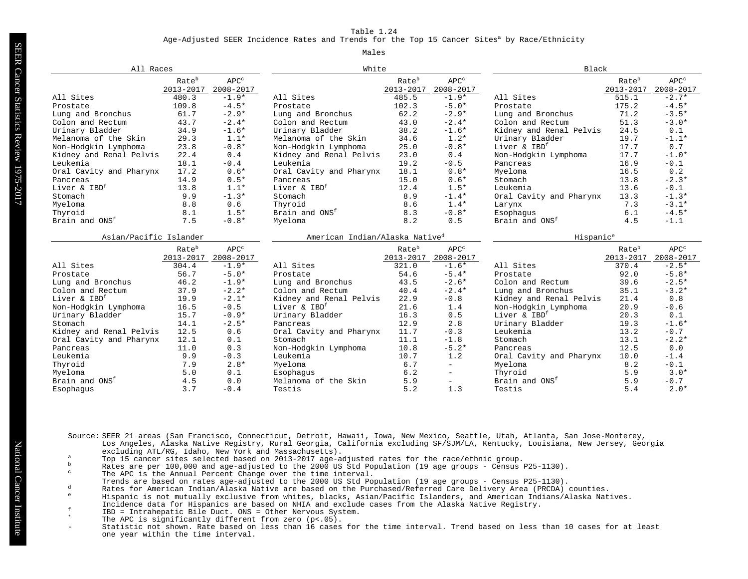#### Age-Adjusted SEER Incidence Rates and Trends for the Top 15 Cancer Sites<sup>a</sup> by Race/Ethnicity

#### Males

|                            | White<br>All Races     |                               |                                            |                                | Black                         |                            |                                |                               |
|----------------------------|------------------------|-------------------------------|--------------------------------------------|--------------------------------|-------------------------------|----------------------------|--------------------------------|-------------------------------|
|                            | Rateb<br>2013-2017     | APC <sup>c</sup><br>2008-2017 |                                            | Rate <sup>b</sup><br>2013-2017 | APC <sup>c</sup><br>2008-2017 |                            | Rate <sup>b</sup><br>2013-2017 | APC <sup>c</sup><br>2008-2017 |
| All Sites                  | 480.3                  | $-1.9*$                       | All Sites                                  | 485.5                          | $-1.9*$                       | All Sites                  | 515.1                          | $-2.7*$                       |
| Prostate                   | 109.8                  | $-4.5*$                       | Prostate                                   | 102.3                          | $-5.0*$                       | Prostate                   | 175.2                          | $-4.5*$                       |
| Lung and Bronchus          | 61.7                   | $-2.9*$                       | Lung and Bronchus                          | 62.2                           | $-2.9*$                       | Lung and Bronchus          | 71.2                           | $-3.5*$                       |
| Colon and Rectum           | 43.7                   | $-2.4*$                       | Colon and Rectum                           | 43.0                           | $-2.4*$                       | Colon and Rectum           | 51.3                           | $-3.0*$                       |
| Urinary Bladder            | 34.9                   | $-1.6*$                       | Urinary Bladder                            | 38.2                           | $-1.6*$                       | Kidney and Renal Pelvis    | 24.5                           | 0.1                           |
| Melanoma of the Skin       | 29.3                   | $1.1*$                        | Melanoma of the Skin                       | 34.6                           | $1.2*$                        | Urinary Bladder            | 19.7                           | $-1.1*$                       |
| Non-Hodgkin Lymphoma       | 23.8                   | $-0.8*$                       | Non-Hodgkin Lymphoma                       | 25.0                           | $-0.8*$                       | Liver & IBD <sup>f</sup>   | 17.7                           | 0.7                           |
| Kidney and Renal Pelvis    | 22.4                   | 0.4                           | Kidney and Renal Pelvis                    | 23.0                           | 0.4                           | Non-Hodgkin Lymphoma       | 17.7                           | $-1.0*$                       |
| Leukemia                   | 18.1                   | $-0.4$                        | Leukemia                                   | 19.2                           | $-0.5$                        | Pancreas                   | 16.9                           | $-0.1$                        |
| Oral Cavity and Pharynx    | 17.2                   | $0.6*$                        | Oral Cavity and Pharynx                    | 18.1                           | $0.8*$                        | Myeloma                    | 16.5                           | 0.2                           |
| Pancreas                   | 14.9                   | $0.5*$                        | Pancreas                                   | 15.0                           | $0.6*$                        | Stomach                    | 13.8                           | $-2.3*$                       |
| Liver & IBD <sup>f</sup>   | 13.8                   | $1.1*$                        | Liver & IBD <sup>f</sup>                   | 12.4                           | $1.5*$                        | Leukemia                   | 13.6                           | $-0.1$                        |
| Stomach                    | 9.9                    | $-1.3*$                       | Stomach                                    | 8.9                            | $-1.4*$                       | Oral Cavity and Pharynx    | 13.3                           | $-1.3*$                       |
| Myeloma                    | 8.8                    | 0.6                           | Thyroid                                    | 8.6                            | $1.4*$                        | Larynx                     | 7.3                            | $-3.1*$                       |
| Thyroid                    | 8.1                    | $1.5*$                        | Brain and ONS <sup>f</sup>                 | 8.3                            | $-0.8*$                       | Esophaqus                  | 6.1                            | $-4.5*$                       |
| Brain and ONS <sup>f</sup> | 7.5                    | $-0.8*$                       | Myeloma                                    | 8.2                            | 0.5                           | Brain and ONS <sup>f</sup> | 4.5                            | $-1.1$                        |
|                            | Asian/Pacific Islander |                               | American Indian/Alaska Native <sup>d</sup> |                                |                               | Hispanic <sup>e</sup>      |                                |                               |
|                            | Rate <sup>b</sup>      | $APC^c$                       |                                            | Rate <sup>b</sup>              | APC <sup>c</sup>              |                            | Rate <sup>b</sup>              | APC <sup>c</sup>              |
|                            | 2013-2017              | 2008-2017                     |                                            | 2013-2017                      | 2008-2017                     |                            | 2013-2017                      | 2008-2017                     |
| All Sites                  | 304.4                  | $-1.9*$                       | All Sites                                  | 321.0                          | $-1.6*$                       | All Sites                  | 370.4                          | $-2.5*$                       |
| Prostate                   | 56.7                   | $-5.0*$                       | Prostate                                   | 54.6                           | $-5.4*$                       | Prostate                   | 92.0                           | $-5.8*$                       |
| Lung and Bronchus          | 46.2                   | $-1.9*$                       | Lung and Bronchus                          | 43.5                           | $-2.6*$                       | Colon and Rectum           | 39.6                           | $-2.5*$                       |
| Colon and Rectum           | 37.9                   | $-2.2*$                       | Colon and Rectum                           | 40.4                           | $-2.4*$                       | Lung and Bronchus          | 35.1                           | $-3.2*$                       |
| Liver & IBD <sup>f</sup>   | 19.9                   | $-2.1*$                       | Kidney and Renal Pelvis                    | 22.9                           | $-0.8$                        | Kidney and Renal Pelvis    | 21.4                           | 0.8                           |
| Non-Hodgkin Lymphoma       | 16.5                   | $-0.5$                        | Liver & IBD <sup>f</sup>                   | 21.6                           | 1.4                           | Non-Hodgkin Lymphoma       | 20.9                           | $-0.6$                        |
| Urinary Bladder            | 15.7                   | $-0.9*$                       | Urinary Bladder                            | 16.3                           | 0.5                           | Liver & IBD <sup>f</sup>   | 20.3                           | 0.1                           |
| Stomach                    | 14.1                   | $-2.5*$                       | Pancreas                                   | 12.9                           | 2.8                           | Urinary Bladder            | 19.3                           | $-1.6*$                       |
| Kidney and Renal Pelvis    | 12.5                   | 0.6                           | Oral Cavity and Pharynx                    | 11.7                           | $-0.3$                        | Leukemia                   | 13.2                           | $-0.7$                        |
| Oral Cavity and Pharynx    | 12.1                   | 0.1                           | Stomach                                    | 11.1                           | $-1.8$                        | Stomach                    | 13.1                           | $-2.2*$                       |
| Pancreas                   | 11.0                   | 0.3                           | Non-Hodgkin Lymphoma                       | 10.8                           | $-5.2*$                       | Pancreas                   | 12.5                           | 0.0                           |
| Leukemia                   | 9.9                    | $-0.3$                        | Leukemia                                   | 10.7                           | 1.2                           | Oral Cavity and Pharynx    | 10.0                           | $-1.4$                        |
| Thyroid                    | 7.9                    | $2.8*$                        | Myeloma                                    | 6.7                            | $-$                           | Myeloma                    | 8.2                            | $-0.1$                        |
| Myeloma                    | 5.0                    | 0.1                           | Esophaqus                                  | 6.2                            | $\overline{a}$                | Thyroid                    | 5.9                            | $3.0*$                        |
| Brain and ONS <sup>f</sup> |                        |                               |                                            |                                |                               |                            |                                |                               |
|                            | 4.5                    | 0.0                           | Melanoma of the Skin                       | 5.9                            | $\overline{\phantom{0}}$      | Brain and ONS <sup>f</sup> | 5.9                            | $-0.7$                        |

- Source: SEER 21 areas (San Francisco, Connecticut, Detroit, Hawaii, Iowa, New Mexico, Seattle, Utah, Atlanta, San Jose-Monterey, Los Angeles, Alaska Native Registry, Rural Georgia, California excluding SF/SJM/LA, Kentucky, Louisiana, New Jersey, Georgia excluding ATL/RG, Idaho, New York and Massachusetts).
- a Top 15 cancer sites selected based on 2013-2017 age-adjusted rates for the race/ethnic group.
- b Rates are per 100,000 and age-adjusted to the 2000 US Std Population (19 age groups Census P25-1130).
- The APC is the Annual Percent Change over the time interval.
- Trends are based on rates age-adjusted to the 2000 US Std Population (19 age groups Census P25-1130).
- d Rates for American Indian/Alaska Native are based on the Purchased/Referred Care Delivery Area (PRCDA) counties.
- <sup>e</sup> Hispanic is not mutually exclusive from whites, blacks, Asian/Pacific Islanders, and American Indians/Alaska Natives. Incidence data for Hispanics are based on NHIA and exclude cases from the Alaska Native Registry.
- <sup>f</sup> IBD = Intrahepatic Bile Duct. ONS = Other Nervous System.
- The APC is significantly different from zero  $(p<.05)$ .
- Statistic not shown. Rate based on less than 16 cases for the time interval. Trend based on less than 10 cases for at least one year within the time interval.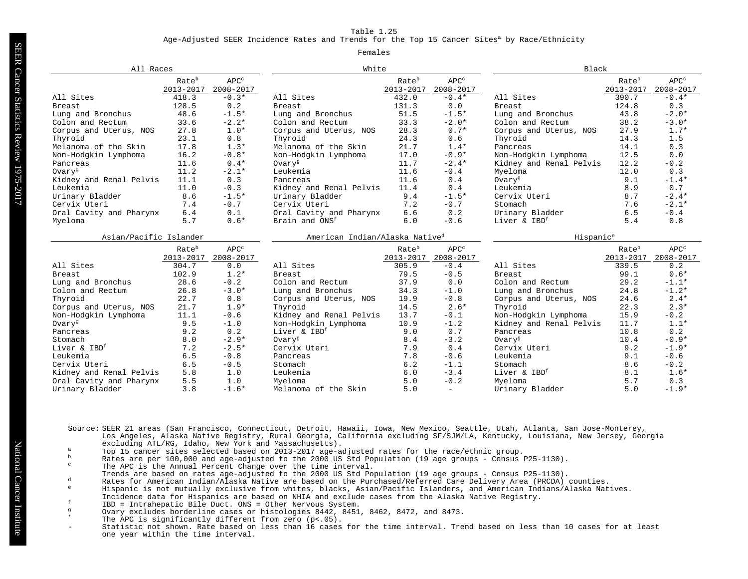Age-Adjusted SEER Incidence Rates and Trends for the Top 15 Cancer Sites<sup>a</sup> by Race/Ethnicity

#### Females

| All Races                |                                |                      | White                                      |                                |                               |                          |                                | <b>Black</b>                  |  |  |
|--------------------------|--------------------------------|----------------------|--------------------------------------------|--------------------------------|-------------------------------|--------------------------|--------------------------------|-------------------------------|--|--|
|                          | Rate <sup>b</sup><br>2013-2017 | $APC^c$<br>2008-2017 |                                            | Rate <sup>b</sup><br>2013-2017 | APC <sup>c</sup><br>2008-2017 |                          | Rate <sup>b</sup><br>2013-2017 | APC <sup>c</sup><br>2008-2017 |  |  |
| All Sites                | 418.3                          | $-0.3*$              | All Sites                                  | 432.0                          | $-0.4*$                       | All Sites                | 390.7                          | $-0.4*$                       |  |  |
| <b>Breast</b>            | 128.5                          | 0.2                  | <b>Breast</b>                              | 131.3                          | 0.0                           | <b>Breast</b>            | 124.8                          | 0.3                           |  |  |
| Lung and Bronchus        | 48.6                           | $-1.5*$              | Lung and Bronchus                          | 51.5                           | $-1.5*$                       | Lung and Bronchus        | 43.8                           | $-2.0*$                       |  |  |
| Colon and Rectum         | 33.6                           | $-2.2*$              | Colon and Rectum                           | 33.3                           | $-2.0*$                       | Colon and Rectum         | 38.2                           | $-3.0*$                       |  |  |
| Corpus and Uterus, NOS   | 27.8                           | $1.0*$               | Corpus and Uterus, NOS                     | 28.3                           | $0.7*$                        | Corpus and Uterus, NOS   | 27.9                           | $1.7*$                        |  |  |
| Thyroid                  | 23.1                           | 0.8                  | Thyroid                                    | 24.3                           | 0.6                           | Thyroid                  | 14.3                           | 1.5                           |  |  |
| Melanoma of the Skin     | 17.8                           | $1.3*$               | Melanoma of the Skin                       | 21.7                           | $1.4*$                        | Pancreas                 | 14.1                           | 0.3                           |  |  |
| Non-Hodgkin Lymphoma     | 16.2                           | $-0.8*$              | Non-Hodgkin Lymphoma                       | 17.0                           | $-0.9*$                       | Non-Hodgkin Lymphoma     | 12.5                           | 0.0                           |  |  |
| Pancreas                 | 11.6                           | $0.4*$               | Ovary <sup>g</sup>                         | 11.7                           | $-2.4*$                       | Kidney and Renal Pelvis  | 12.2                           | $-0.2$                        |  |  |
| Ovary <sup>g</sup>       | 11.2                           | $-2.1*$              | Leukemia                                   | 11.6                           | $-0.4$                        | Myeloma                  | 12.0                           | 0.3                           |  |  |
| Kidney and Renal Pelvis  | 11.1                           | 0.3                  | Pancreas                                   | 11.6                           | 0.4                           | Ovary <sup>g</sup>       | 9.1                            | $-1.4*$                       |  |  |
| Leukemia                 | 11.0                           | $-0.3$               | Kidney and Renal Pelvis                    | 11.4                           | 0.4                           | Leukemia                 | 8.9                            | 0.7                           |  |  |
| Urinary Bladder          | 8.6                            | $-1.5*$              | Urinary Bladder                            | 9.4                            | $-1.5*$                       | Cervix Uteri             | 8.7                            | $-2.4*$                       |  |  |
| Cervix Uteri             | 7.4                            | $-0.7$               | Cervix Uteri                               | 7.2                            | $-0.7$                        | Stomach                  | 7.6                            | $-2.1*$                       |  |  |
| Oral Cavity and Pharynx  | 6.4                            | 0.1                  | Oral Cavity and Pharynx                    | 6.6                            | 0.2                           | Urinary Bladder          | 6.5                            | $-0.4$                        |  |  |
| Myeloma                  | 5.7                            | $0.6*$               | Brain and ONS <sup>f</sup>                 | 6.0                            | $-0.6$                        | Liver & IBD <sup>f</sup> | 5.4                            | 0.8                           |  |  |
| Asian/Pacific Islander   |                                |                      | American Indian/Alaska Native <sup>d</sup> |                                |                               | Hispanic <sup>e</sup>    |                                |                               |  |  |
|                          | Rate <sup>b</sup>              | $APC^c$              |                                            | Rate <sup>b</sup>              | $\text{APC}^\circ$            |                          | Rate <sup>b</sup>              | $\text{APC}^\circ$            |  |  |
|                          | 2013-2017                      | 2008-2017            |                                            | 2013-2017                      | 2008-2017                     |                          | 2013-2017                      | 2008-2017                     |  |  |
| All Sites                | 304.7                          | 0.0                  | All Sites                                  | 305.9                          | $-0.4$                        | All Sites                | 339.5                          | 0.2                           |  |  |
| <b>Breast</b>            | 102.9                          | $1.2*$               | <b>Breast</b>                              | 79.5                           | $-0.5$                        | <b>Breast</b>            | 99.1                           | $0.6*$                        |  |  |
| Lung and Bronchus        | 28.6                           | $-0.2$               | Colon and Rectum                           | 37.9                           | 0.0                           | Colon and Rectum         | 29.2                           | $-1.1*$                       |  |  |
| Colon and Rectum         | 26.8                           | $-3.0*$              | Lung and Bronchus                          | 34.3                           | $-1.0$                        | Lung and Bronchus        | 24.8                           | $-1.2*$                       |  |  |
| Thyroid                  | 22.7                           | 0.8                  | Corpus and Uterus, NOS                     | 19.9                           | $-0.8$                        | Corpus and Uterus, NOS   | 24.6                           | $2.4*$                        |  |  |
| Corpus and Uterus, NOS   | 21.7                           | $1.9*$               | Thyroid                                    | 14.5                           | $2.6*$                        | Thyroid                  | 22.3                           | $2.3*$                        |  |  |
| Non-Hodgkin Lymphoma     | 11.1                           | $-0.6$               | Kidney and Renal Pelvis                    | 13.7                           | $-0.1$                        | Non-Hodgkin Lymphoma     | 15.9                           | $-0.2$                        |  |  |
| Ovary <sup>g</sup>       | 9.5                            | $-1.0$               | Non-Hodgkin Lymphoma                       | 10.9                           | $-1.2$                        | Kidney and Renal Pelvis  | 11.7                           | $1.1*$                        |  |  |
| Pancreas                 | 9.2                            | 0.2                  | Liver & IBD <sup>f</sup>                   | 9.0                            | 0.7                           | Pancreas                 | 10.8                           | 0.2                           |  |  |
| Stomach                  | 8.0                            | $-2.9*$              | Ovary <sup>g</sup>                         | 8.4                            | $-3.2$                        | Ovary <sup>g</sup>       | 10.4                           | $-0.9*$                       |  |  |
| Liver & IBD <sup>f</sup> | 7.2                            | $-2.5*$              | Cervix Uteri                               | 7.9                            | 0.4                           | Cervix Uteri             | 9.2                            | $-1.9*$                       |  |  |
| Leukemia                 | 6.5                            | $-0.8$               | Pancreas                                   | 7.8                            | $-0.6$                        | Leukemia                 | 9.1                            | $-0.6$                        |  |  |
| Cervix Uteri             | 6.5                            | $-0.5$               | Stomach                                    | $6.2$                          | $-1.1$                        | Stomach                  | 8.6                            | $-0.2$                        |  |  |
| Kidney and Renal Pelvis  | 5.8                            | 1.0                  | Leukemia                                   | 6.0                            | $-3.4$                        | Liver & IBD <sup>f</sup> | 8.1                            | $1.6*$                        |  |  |
| Oral Cavity and Pharynx  | 5.5                            | 1.0                  | Myeloma                                    | 5.0                            | $-0.2$                        | Myeloma                  | 5.7                            | 0.3                           |  |  |
| Urinary Bladder          | 3.8                            | $-1.6*$              | Melanoma of the Skin                       | 5.0                            | $\overline{\phantom{0}}$      | Urinary Bladder          | 5.0                            | $-1.9*$                       |  |  |

Source: SEER 21 areas (San Francisco, Connecticut, Detroit, Hawaii, Iowa, New Mexico, Seattle, Utah, Atlanta, San Jose-Monterey, Los Angeles, Alaska Native Registry, Rural Georgia, California excluding SF/SJM/LA, Kentucky, Louisiana, New Jersey, Georgia excluding ATL/RG, Idaho, New York and Massachusetts).

- a Top 15 cancer sites selected based on 2013-2017 age-adjusted rates for the race/ethnic group.<br>b pates are per 100,000 and age-adjusted to the 2000 US Std Population (19 age groups Census)
- b Rates are per 100,000 and age-adjusted to the 2000 US Std Population (19 age groups Census P25-1130).<br>The NPC is the Namuel Persont Charge group the time interval
- The APC is the Annual Percent Change over the time interval.
- Trends are based on rates age-adjusted to the 2000 US Std Population (19 age groups Census P25-1130).
- <sup>d</sup> Rates for American Indian/Alaska Native are based on the Purchased/Referred Care Delivery Area (PRCDA) counties.
- <sup>e</sup> Hispanic is not mutually exclusive from whites, blacks, Asian/Pacific Islanders, and American Indians/Alaska Natives. Incidence data for Hispanics are based on NHIA and exclude cases from the Alaska Native Registry.
- <sup>f</sup> IBD = Intrahepatic Bile Duct. ONS = Other Nervous System.
- Ovary excludes borderline cases or histologies 8442, 8451, 8462, 8472, and 8473.
- The APC is significantly different from zero  $(p<.05)$ .
- Statistic not shown. Rate based on less than 16 cases for the time interval. Trend based on less than 10 cases for at least one year within the time interval.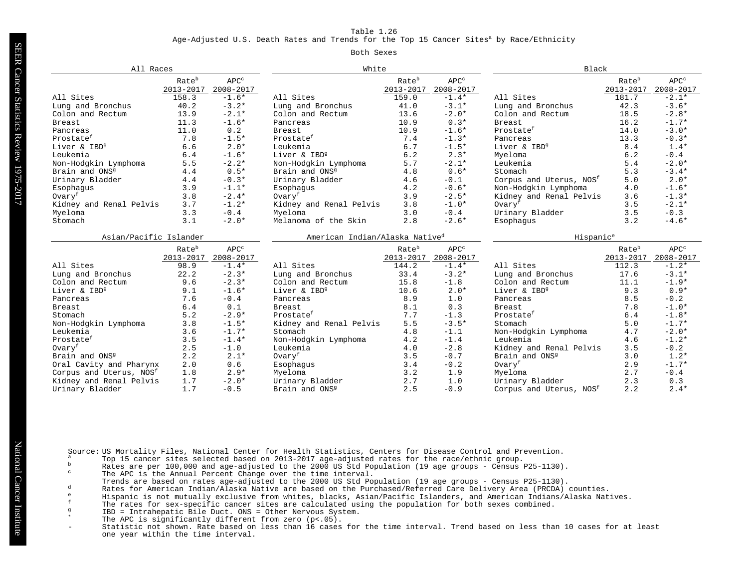Age-Adjusted U.S. Death Rates and Trends for the Top 15 Cancer Sites<sup>a</sup> by Race/Ethnicity

#### Both Sexes

| All Races                           |                                |                                 | White                                      |                    |                                        | Black                               |                                |                                 |
|-------------------------------------|--------------------------------|---------------------------------|--------------------------------------------|--------------------|----------------------------------------|-------------------------------------|--------------------------------|---------------------------------|
|                                     | Rate <sup>b</sup><br>2013-2017 | $\text{APC}^\circ$<br>2008-2017 |                                            | Rateb<br>2013-2017 | $\mathsf{APC}^\mathsf{c}$<br>2008-2017 |                                     | Rate <sup>b</sup><br>2013-2017 | $\text{APC}^\circ$<br>2008-2017 |
| All Sites                           | 158.3                          | $-1.6*$                         | All Sites                                  | 159.0              | $-1.4*$                                | All Sites                           | 181.7                          | $-2.1*$                         |
| Lung and Bronchus                   | 40.2                           | $-3.2*$                         | Lung and Bronchus                          | 41.0               | $-3.1*$                                | Lung and Bronchus                   | 42.3                           | $-3.6*$                         |
| Colon and Rectum                    | 13.9                           | $-2.1*$                         | Colon and Rectum                           | 13.6               | $-2.0*$                                | Colon and Rectum                    | 18.5                           | $-2.8*$                         |
| Breast                              | 11.3                           | $-1.6*$                         | Pancreas                                   | 10.9               | $0.3*$                                 | <b>Breast</b>                       | 16.2                           | $-1.7*$                         |
| Pancreas                            | 11.0                           | 0.2                             | <b>Breast</b>                              | 10.9               | $-1.6*$                                | Prostate <sup>f</sup>               | 14.0                           | $-3.0*$                         |
| Prostatef                           | 7.8                            | $-1.5*$                         | Prostate <sup>f</sup>                      | 7.4                | $-1.3*$                                | Pancreas                            | 13.3                           | $-0.3*$                         |
| Liver & IBD <sup>9</sup>            | 6.6                            | $2.0*$                          | Leukemia                                   | 6.7                | $-1.5*$                                | Liver & IBD <sup>9</sup>            | 8.4                            | $1.4*$                          |
| Leukemia                            | 6.4                            | $-1.6*$                         | Liver & IBD <sup>9</sup>                   | 6.2                | $2.3*$                                 | Myeloma                             | 6.2                            | $-0.4$                          |
| Non-Hodgkin Lymphoma                | 5.5                            | $-2.2*$                         | Non-Hodgkin Lymphoma                       | 5.7                | $-2.1*$                                | Leukemia                            | 5.4                            | $-2.0*$                         |
| Brain and ONS <sup>9</sup>          | 4.4                            | $0.5*$                          | Brain and ONS <sup>9</sup>                 | 4.8                | $0.6*$                                 | Stomach                             | 5.3                            | $-3.4*$                         |
| Urinary Bladder                     | 4.4                            | $-0.3*$                         | Urinary Bladder                            | 4.6                | $-0.1$                                 | Corpus and Uterus, NOS <sup>f</sup> | 5.0                            | $2.0*$                          |
| Esophaqus                           | 3.9                            | $-1.1*$                         | Esophaqus                                  | 4.2                | $-0.6*$                                | Non-Hodgkin Lymphoma                | 4.0                            | $-1.6*$                         |
| Ovaryf                              | 3.8                            | $-2.4*$                         | Ovaryf                                     | 3.9                | $-2.5*$                                | Kidney and Renal Pelvis             | 3.6                            | $-1.3*$                         |
| Kidney and Renal Pelvis             | 3.7                            | $-1.2*$                         | Kidney and Renal Pelvis                    | 3.8                | $-1.0*$                                | Ovary <sup>f</sup>                  | 3.5                            | $-2.1*$                         |
| Myeloma                             | 3.3                            | $-0.4$                          | Myeloma                                    | 3.0                | $-0.4$                                 | Urinary Bladder                     | 3.5                            | $-0.3$                          |
| Stomach                             | 3.1                            | $-2.0*$                         | Melanoma of the Skin                       | 2.8                | $-2.6*$                                | Esophaqus                           | 3.2                            | $-4.6*$                         |
|                                     | Asian/Pacific Islander         |                                 | American Indian/Alaska Native <sup>d</sup> |                    |                                        | Hispanic <sup>e</sup>               |                                |                                 |
|                                     | Rate <sup>b</sup>              | APC <sup>c</sup>                |                                            | Rate <sup>b</sup>  | APC <sup>c</sup>                       |                                     | Rate <sup>b</sup>              | $\text{APC}^\circ$              |
|                                     | 2013-2017                      | 2008-2017                       |                                            | 2013-2017          | 2008-2017                              |                                     | 2013-2017                      | 2008-2017                       |
| All Sites                           | 98.9                           | $-1.4*$                         | All Sites                                  | 144.2              | $-1.4*$                                | All Sites                           | 112.3                          | $-1.2*$                         |
| Lung and Bronchus                   | 22.2                           | $-2.3*$                         | Lung and Bronchus                          | 33.4               | $-3.2*$                                | Lung and Bronchus                   | 17.6                           | $-3.1*$                         |
| Colon and Rectum                    | 9.6                            | $-2.3*$                         | Colon and Rectum                           | 15.8               | $-1.8$                                 | Colon and Rectum                    | 11.1                           | $-1.9*$                         |
| Liver & IBD <sup>9</sup>            | 9.1                            | $-1.6*$                         | Liver & IBD <sup>9</sup>                   | 10.6               | $2.0*$                                 | Liver & IBD <sup>9</sup>            | 9.3                            | $0.9*$                          |
| Pancreas                            | 7.6                            | $-0.4$                          | Pancreas                                   | 8.9                | 1.0                                    | Pancreas                            | 8.5                            | $-0.2$                          |
| Breast                              | 6.4                            | 0.1                             | <b>Breast</b>                              | 8.1                | 0.3                                    | <b>Breast</b>                       | 7.8                            | $-1.0*$                         |
| Stomach                             | 5.2                            | $-2.9*$                         | Prostate <sup>f</sup>                      | 7.7                | $-1.3$                                 | Prostate <sup>f</sup>               | 6.4                            | $-1.8*$                         |
| Non-Hodgkin Lymphoma                | 3.8                            | $-1.5*$                         | Kidney and Renal Pelvis                    | 5.5                | $-3.5*$                                | Stomach                             | 5.0                            | $-1.7*$                         |
| Leukemia                            | 3.6                            | $-1.7*$                         | Stomach                                    | 4.8                | $-1.1$                                 | Non-Hodgkin Lymphoma                | 4.7                            | $-2.0*$                         |
| Prostate <sup>f</sup>               | 3.5                            | $-1.4*$                         | Non-Hodgkin Lymphoma                       | 4.2                | $-1.4$                                 | Leukemia                            | 4.6                            | $-1.2*$                         |
| Ovaryf                              | 2.5                            | $-1.0$                          | Leukemia                                   | 4.0                | $-2.8$                                 | Kidney and Renal Pelvis             | 3.5                            | $-0.2$                          |
| Brain and ONS <sup>9</sup>          | 2.2                            | $2.1*$                          | Ovary <sup>f</sup>                         | 3.5                | $-0.7$                                 | Brain and ONS <sup>9</sup>          | 3.0                            | $1.2*$                          |
| Oral Cavity and Pharynx             | 2.0                            | 0.6                             | Esophagus                                  | 3.4                | $-0.2$                                 | Ovaryf                              | 2.9                            | $-1.7*$                         |
| Corpus and Uterus, NOS <sup>f</sup> | 1.8                            | $2.9*$                          | Myeloma                                    | 3.2                | 1.9                                    | Myeloma                             | 2.7                            | $-0.4$                          |
| Kidney and Renal Pelvis             |                                |                                 |                                            |                    |                                        |                                     |                                |                                 |
|                                     | 1.7                            | $-2.0*$                         | Urinary Bladder                            | 2.7                | 1.0                                    | Urinary Bladder                     | 2.3                            | 0.3                             |

Source: US Mortality Files, National Center for Health Statistics, Centers for Disease Control and Prevention.<br><sup>a</sup> Top 15 cancer sites selected based on 2013-2017 age-adjusted rates for the race/ethnic group.

- 
- b Rates are per 100,000 and age-adjusted to the rate control group.<br>Rates are per 100,000 and age-adjusted to the 2000 US Std Population (19 age groups Census P25-1130).
- The APC is the Annual Percent Change over the time interval.
- Trends are based on rates age-adjusted to the 2000 US Std Population (19 age groups Census P25-1130).
- d Rates for American Indian/Alaska Native are based on the Purchased/Referred Care Delivery Area (PRCDA) counties.
- <sup>e</sup> Hispanic is not mutually exclusive from whites, blacks, Asian/Pacific Islanders, and American Indians/Alaska Natives.
- f The rates for sex-specific cancer sites are calculated using the population for both sexes combined.
	- <sup>g</sup> IBD = Intrahepatic Bile Duct. ONS = Other Nervous System.
- \* The APC is significantly different from zero (p<.05).<br>- Statistic not shown Rate based on less than 16 cases
- Statistic not shown. Rate based on less than 16 cases for the time interval. Trend based on less than 10 cases for at least one year within the time interval.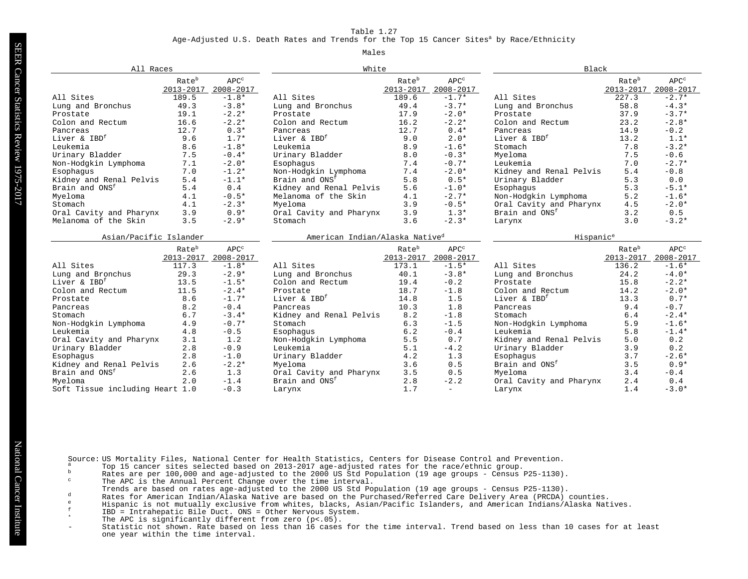#### Age-Adjusted U.S. Death Rates and Trends for the Top 15 Cancer Sites<sup>a</sup> by Race/Ethnicity

#### Males

|                                 | All Races              |                      |                                            | White                          |                               |                            | Black                          |                               |  |
|---------------------------------|------------------------|----------------------|--------------------------------------------|--------------------------------|-------------------------------|----------------------------|--------------------------------|-------------------------------|--|
|                                 | Rateb<br>2013-2017     | $APC^c$<br>2008-2017 |                                            | Rate <sup>b</sup><br>2013-2017 | APC <sup>c</sup><br>2008-2017 |                            | Rate <sup>b</sup><br>2013-2017 | APC <sup>c</sup><br>2008-2017 |  |
| All Sites                       | 189.5                  | $-1.8*$              | All Sites                                  | 189.6                          | $-1.7*$                       | All Sites                  | 227.3                          | $-2.7*$                       |  |
| Lung and Bronchus               | 49.3                   | $-3.8*$              | Lung and Bronchus                          | 49.4                           | $-3.7*$                       | Lung and Bronchus          | 58.8                           | $-4.3*$                       |  |
| Prostate                        | 19.1                   | $-2.2*$              | Prostate                                   | 17.9                           | $-2.0*$                       | Prostate                   | 37.9                           | $-3.7*$                       |  |
| Colon and Rectum                | 16.6                   | $-2.2*$              | Colon and Rectum                           | 16.2                           | $-2.2*$                       | Colon and Rectum           | 23.2                           | $-2.8*$                       |  |
| Pancreas                        | 12.7                   | $0.3*$               | Pancreas                                   | 12.7                           | $0.4*$                        | Pancreas                   | 14.9                           | $-0.2$                        |  |
| Liver & IBD <sup>f</sup>        | 9.6                    | $1.7*$               | Liver & IBD <sup>f</sup>                   | 9.0                            | $2.0*$                        | Liver & IBD <sup>f</sup>   | 13.2                           | $1.1*$                        |  |
| Leukemia                        | 8.6                    | $-1.8*$              | Leukemia                                   | 8.9                            | $-1.6*$                       | Stomach                    | 7.8                            | $-3.2*$                       |  |
| Urinary Bladder                 | 7.5                    | $-0.4*$              | Urinary Bladder                            | 8.0                            | $-0.3*$                       | Mveloma                    | 7.5                            | $-0.6$                        |  |
| Non-Hodgkin Lymphoma            | 7.1                    | $-2.0*$              | Esophagus                                  | 7.4                            | $-0.7*$                       | Leukemia                   | 7.0                            | $-2.7*$                       |  |
| Esophaqus                       | 7.0                    | $-1.2*$              | Non-Hodgkin Lymphoma                       | 7.4                            | $-2.0*$                       | Kidney and Renal Pelvis    | 5.4                            | $-0.8$                        |  |
| Kidney and Renal Pelvis         | 5.4                    | $-1.1*$              | Brain and ONS <sup>f</sup>                 | 5.8                            | $0.5*$                        | Urinary Bladder            | 5.3                            | 0.0                           |  |
| Brain and ONS <sup>f</sup>      | 5.4                    | 0.4                  | Kidney and Renal Pelvis                    | 5.6                            | $-1.0*$                       | Esophaqus                  | 5.3                            | $-5.1*$                       |  |
| Myeloma                         | 4.1                    | $-0.5*$              | Melanoma of the Skin                       | 4.1                            | $-2.7*$                       | Non-Hodgkin Lymphoma       | 5.2                            | $-1.6*$                       |  |
| Stomach                         | 4.1                    | $-2.3*$              | Myeloma                                    | 3.9                            | $-0.5*$                       | Oral Cavity and Pharynx    | 4.5                            | $-2.0*$                       |  |
| Oral Cavity and Pharynx         | 3.9                    | $0.9*$               | Oral Cavity and Pharynx                    | 3.9                            | $1.3*$                        | Brain and ONS <sup>f</sup> | 3.2                            | 0.5                           |  |
| Melanoma of the Skin            | 3.5                    | $-2.9*$              | Stomach                                    | 3.6                            | $-2.3*$                       | Larynx                     | 3.0                            | $-3.2*$                       |  |
|                                 | Asian/Pacific Islander |                      | American Indian/Alaska Native <sup>d</sup> |                                |                               | Hispanic <sup>e</sup>      |                                |                               |  |
|                                 | Rate <sup>b</sup>      | $APC^c$              |                                            | Rate <sup>b</sup>              | APC <sup>c</sup>              |                            | Rate <sup>b</sup>              | APC <sup>c</sup>              |  |
|                                 | 2013-2017              | 2008-2017            |                                            | $2013 - 2017$                  | 2008-2017                     |                            | 2013-2017                      | 2008-2017                     |  |
| All Sites                       | 117.3                  | $-1.8*$              | All Sites                                  | 173.1                          | $-1.5*$                       | All Sites                  | 136.2                          | $-1.6*$                       |  |
| Lung and Bronchus               | 29.3                   | $-2.9*$              | Lung and Bronchus                          | 40.1                           | $-3.8*$                       | Lung and Bronchus          | 24.2                           | $-4.0*$                       |  |
| Liver & IBD <sup>f</sup>        | 13.5                   | $-1.5*$              | Colon and Rectum                           | 19.4                           | $-0.2$                        | Prostate                   | 15.8                           | $-2.2*$                       |  |
| Colon and Rectum                | 11.5                   | $-2.4*$              | Prostate                                   | 18.7                           | $-1.8$                        | Colon and Rectum           | 14.2                           | $-2.0*$                       |  |
| Prostate                        | 8.6                    | $-1.7*$              | Liver & IBD <sup>f</sup>                   | 14.8                           | 1.5                           | Liver & IBD <sup>f</sup>   | 13.3                           | $0.7*$                        |  |
| Pancreas                        | 8.2                    | $-0.4$               | Pancreas                                   | 10.3                           | 1.8                           | Pancreas                   | 9.4                            | $-0.7$                        |  |
| Stomach                         | 6.7                    | $-3.4*$              | Kidney and Renal Pelvis                    | 8.2                            | $-1.8$                        | Stomach                    | 6.4                            | $-2.4*$                       |  |
| Non-Hodgkin Lymphoma            | 4.9                    | $-0.7*$              | Stomach                                    | 6.3                            | $-1.5$                        | Non-Hodgkin Lymphoma       | 5.9                            | $-1.6*$                       |  |
| Leukemia                        | 4.8                    | $-0.5$               | Esophaqus                                  | 6.2                            | $-0.4$                        | Leukemia                   | 5.8                            | $-1.4*$                       |  |
| Oral Cavity and Pharynx         | 3.1                    | 1.2                  | Non-Hodgkin Lymphoma                       | 5.5                            | 0.7                           | Kidney and Renal Pelvis    | 5.0                            | 0.2                           |  |
| Urinary Bladder                 | 2.8                    | $-0.9$               | Leukemia                                   | 5.1                            | $-4.2$                        | Urinary Bladder            | 3.9                            | 0.2                           |  |
| Esophaqus                       | 2.8                    | $-1.0$               | Urinary Bladder                            | 4.2                            | 1.3                           | Esophagus                  | 3.7                            | $-2.6*$                       |  |
| Kidney and Renal Pelvis         | 2.6                    | $-2.2*$              | Myeloma                                    | 3.6                            | 0.5                           | Brain and ONS <sup>f</sup> | 3.5                            | $0.9*$                        |  |
| Brain and ONS <sup>f</sup>      | 2.6                    | 1.3                  | Oral Cavity and Pharynx                    | 3.5                            | 0.5                           | Mveloma                    | 3.4                            | $-0.4$                        |  |
| Myeloma                         | 2.0                    | $-1.4$               | Brain and ONS <sup>f</sup>                 | 2.8                            | $-2.2$                        | Oral Cavity and Pharynx    | 2.4                            | 0.4                           |  |
| Soft Tissue including Heart 1.0 |                        | $-0.3$               | Larynx                                     | 1.7                            | $\overline{\phantom{0}}$      | Larynx                     | 1.4                            | $-3.0*$                       |  |

Source: US Mortality Files, National Center for Health Statistics, Centers for Disease Control and Prevention.<br><sup>a</sup> Top 15 cancer sites selected based on 2013-2017 age-adjusted rates for the race/ethnic group.

- 
- b Rates are per 100,000 and age-adjusted to the race/eddict group.<br>Rates are per 100,000 and age-adjusted to the 2000 US Std Population (19 age groups Census P25-1130).
- The APC is the Annual Percent Change over the time interval.
- Trends are based on rates age-adjusted to the 2000 US Std Population (19 age groups Census P25-1130).
- d Rates for American Indian/Alaska Native are based on the Purchased/Referred Care Delivery Area (PRCDA) counties.
- e Hispanic is not mutually exclusive from whites, blacks, Asian/Pacific Islanders, and American Indians/Alaska Natives.
	- <sup>f</sup> IBD = Intrahepatic Bile Duct. ONS = Other Nervous System.
	- \* The APC is significantly different from zero (p<.05).<br>- Statistic not shown Rate based on less than 16 cases
	- Statistic not shown. Rate based on less than 16 cases for the time interval. Trend based on less than 10 cases for at least one year within the time interval.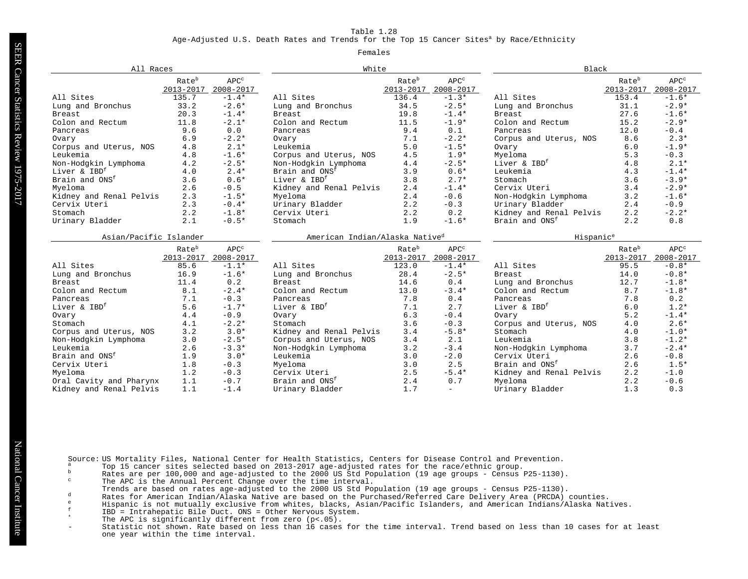Age-Adjusted U.S. Death Rates and Trends for the Top 15 Cancer Sites<sup>a</sup> by Race/Ethnicity

#### Females

| All Races                  |                                |                               | White                                      |                                |                               | Black                      |                                |                                   |
|----------------------------|--------------------------------|-------------------------------|--------------------------------------------|--------------------------------|-------------------------------|----------------------------|--------------------------------|-----------------------------------|
|                            | Rate <sup>b</sup><br>2013-2017 | APC <sup>c</sup><br>2008-2017 |                                            | Rate <sup>b</sup><br>2013-2017 | APC <sup>c</sup><br>2008-2017 |                            | Rate <sup>b</sup><br>2013-2017 | APC <sup>c</sup><br>$2008 - 2017$ |
| All Sites                  | 135.7                          | $-1.4*$                       | All Sites                                  | 136.4                          | $-1.3*$                       | All Sites                  | 153.4                          | $-1.6*$                           |
| Lung and Bronchus          | 33.2                           | $-2.6*$                       | Lung and Bronchus                          | 34.5                           | $-2.5*$                       | Lung and Bronchus          | 31.1                           | $-2.9*$                           |
| Breast                     | 20.3                           | $-1.4*$                       | <b>Breast</b>                              | 19.8                           | $-1.4*$                       | Breast.                    | 27.6                           | $-1.6*$                           |
| Colon and Rectum           | 11.8                           | $-2.1*$                       | Colon and Rectum                           | 11.5                           | $-1.9*$                       | Colon and Rectum           | 15.2                           | $-2.9*$                           |
| Pancreas                   | 9.6                            | 0.0                           | Pancreas                                   | 9.4                            | 0.1                           | Pancreas                   | 12.0                           | $-0.4$                            |
| Ovary                      | 6.9                            | $-2.2*$                       | 7.1<br>Ovary                               |                                | $-2.2*$                       | Corpus and Uterus, NOS     | 8.6                            | $2.3*$                            |
| Corpus and Uterus, NOS     | 4.8                            | $2.1*$                        | Leukemia                                   | 5.0                            | $-1.5*$                       | Ovary                      | 6.0                            | $-1.9*$                           |
| Leukemia                   | 4.8                            | $-1.6*$                       | Corpus and Uterus, NOS                     | 4.5                            | $1.9*$                        | Myeloma                    | 5.3                            | $-0.3$                            |
| Non-Hodgkin Lymphoma       | 4.2                            | $-2.5*$                       | Non-Hodgkin Lymphoma                       | 4.4                            | $-2.5*$                       | Liver & IBD <sup>f</sup>   | 4.8                            | $2.1*$                            |
| Liver & IBD <sup>f</sup>   | 4.0                            | $2.4*$                        | Brain and ONS <sup>f</sup>                 | 3.9                            | $0.6*$                        | Leukemia                   | 4.3                            | $-1.4*$                           |
| Brain and ONS <sup>f</sup> | 3.6                            | $0.6*$                        | Liver & IBD <sup>f</sup>                   | 3.8                            | $2.7*$                        | Stomach                    | 3.6                            | $-3.9*$                           |
| Myeloma                    | 2.6                            | $-0.5$                        | Kidney and Renal Pelvis                    | 2.4                            | $-1.4*$                       | Cervix Uteri               | 3.4                            | $-2.9*$                           |
| Kidney and Renal Pelvis    | 2.3                            | $-1.5*$                       | Myeloma                                    | 2.4                            | $-0.6$                        | Non-Hodgkin Lymphoma       | 3.2                            | $-1.6*$                           |
| Cervix Uteri               | 2.3                            | $-0.4*$                       | Urinary Bladder                            | 2.2                            | $-0.3$                        | Urinary Bladder            | 2.4                            | $-0.9$                            |
| Stomach                    | 2.2                            | $-1.8*$                       | Cervix Uteri                               | 2.2                            | 0.2                           | Kidney and Renal Pelvis    | 2.2                            | $-2.2*$                           |
| Urinary Bladder            | 2.1                            | $-0.5*$                       | Stomach                                    | 1.9                            | $-1.6*$                       | Brain and ONS <sup>f</sup> | 2.2                            | 0.8                               |
| Asian/Pacific Islander     |                                |                               | American Indian/Alaska Native <sup>d</sup> |                                |                               | Hispanic <sup>e</sup>      |                                |                                   |
|                            | Rate <sup>b</sup>              | $APC^c$                       |                                            | Rate <sup>b</sup>              | APC <sup>c</sup>              |                            | Rate <sup>b</sup>              | $\text{APC}^\circ$                |
|                            | $2013 - 2017$                  | 2008-2017                     |                                            | 2013-2017                      | 2008-2017                     |                            | 2013-2017                      | 2008-2017                         |
| All Sites                  | 85.6                           | $-1.1*$                       | All Sites                                  | 123.0                          | $-1.4*$                       | All Sites                  | 95.5                           | $-0.8*$                           |
| Lung and Bronchus          | 16.9                           | $-1.6*$                       | Lung and Bronchus                          | 28.4                           | $-2.5*$                       | <b>Breast</b>              | 14.0                           | $-0.8*$                           |
| Breast                     | 11.4                           | 0.2                           | Breast                                     | 14.6                           | 0.4                           | Lung and Bronchus          | 12.7                           | $-1.8*$                           |
| Colon and Rectum           | 8.1                            | $-2.4*$                       | Colon and Rectum                           | 13.0                           | $-3.4*$                       | Colon and Rectum           | 8.7                            | $-1.8*$                           |
| Pancreas                   | 7.1                            | $-0.3$                        | Pancreas                                   | 7.8                            | 0.4                           | Pancreas                   | 7.8                            | 0.2                               |
| Liver & IBD <sup>f</sup>   | 5.6                            | $-1.7*$                       | Liver & IBD <sup>f</sup>                   | 7.1                            | 2.7                           | Liver & IBD <sup>f</sup>   | 6.0                            | $1.2*$                            |
| Ovary                      | 4.4                            | $-0.9$                        | Ovary                                      | 6.3                            | $-0.4$                        | Ovary                      | 5.2                            | $-1.4*$                           |
| Stomach                    | 4.1                            | $-2.2*$                       | Stomach                                    | 3.6                            | $-0.3$                        | Corpus and Uterus, NOS     | 4.0                            | $2.6*$                            |
| Corpus and Uterus, NOS     | 3.2                            | $3.0*$                        | Kidney and Renal Pelvis                    | 3.4                            | $-5.8*$                       | Stomach                    | 4.0                            | $-1.0*$                           |
| Non-Hodgkin Lymphoma       | 3.0                            | $-2.5*$                       | Corpus and Uterus, NOS                     | 3.4                            | 2.1                           | Leukemia                   | 3.8                            | $-1.2*$                           |
| Leukemia                   | 2.6                            | $-3.3*$                       | Non-Hodgkin Lymphoma                       | 3.2                            | $-3.4$                        | Non-Hodgkin Lymphoma       | 3.7                            | $-2.4*$                           |
| Brain and ONS <sup>f</sup> | 1.9                            | $3.0*$                        | Leukemia                                   | 3.0                            | $-2.0$                        | Cervix Uteri               | 2.6                            | $-0.8$                            |
| Cervix Uteri               | 1.8                            | $-0.3$                        | Myeloma                                    | 3.0                            | 2.5                           | Brain and ONS <sup>f</sup> | 2.6                            | $1.5*$                            |
| Myeloma                    | 1.2                            | $-0.3$                        | Cervix Uteri                               | 2.5                            | $-5.4*$                       | Kidney and Renal Pelvis    | 2.2                            | $-1.0$                            |
| Oral Cavity and Pharynx    | 1.1                            | $-0.7$                        | Brain and ONS <sup>f</sup>                 | 2.4                            | 0.7                           | Myeloma                    | 2.2                            | $-0.6$                            |
| Kidney and Renal Pelvis    | 1.1                            | $-1.4$                        | Urinary Bladder                            | 1.7                            | $\equiv$                      | Urinary Bladder            | 1.3                            | 0.3                               |

Source: US Mortality Files, National Center for Health Statistics, Centers for Disease Control and Prevention.<br><sup>a</sup> Top 15 cancer sites selected based on 2013-2017 age-adjusted rates for the race/ethnic group.

- 
- b Rates are per 100,000 and age-adjusted to the race/eddict group.<br>Rates are per 100,000 and age-adjusted to the 2000 US Std Population (19 age groups Census P25-1130).
- The APC is the Annual Percent Change over the time interval.
- Trends are based on rates age-adjusted to the 2000 US Std Population (19 age groups Census P25-1130).
- d Rates for American Indian/Alaska Native are based on the Purchased/Referred Care Delivery Area (PRCDA) counties.
- e Hispanic is not mutually exclusive from whites, blacks, Asian/Pacific Islanders, and American Indians/Alaska Natives.
	- <sup>f</sup> IBD = Intrahepatic Bile Duct. ONS = Other Nervous System.
	- \* The APC is significantly different from zero (p<.05).<br>- Statistic not shown Rate based on less than 16 cases
	- Statistic not shown. Rate based on less than 16 cases for the time interval. Trend based on less than 10 cases for at least one year within the time interval.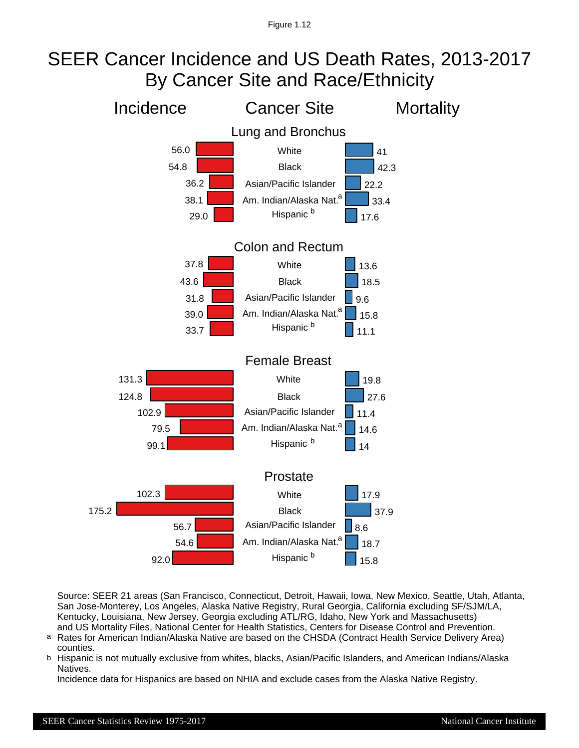# SEER Cancer Incidence and US Death Rates, 2013-2017 By Cancer Site and Race/Ethnicity



Source: SEER 21 areas (San Francisco, Connecticut, Detroit, Hawaii, Iowa, New Mexico, Seattle, Utah, Atlanta, San Jose-Monterey, Los Angeles, Alaska Native Registry, Rural Georgia, California excluding SF/SJM/LA, Kentucky, Louisiana, New Jersey, Georgia excluding ATL/RG, Idaho, New York and Massachusetts) and US Mortality Files, National Center for Health Statistics, Centers for Disease Control and Prevention.

- Rates for American Indian/Alaska Native are based on the CHSDA (Contract Health Service Delivery Area) counties. a
- Hispanic is not mutually exclusive from whites, blacks, Asian/Pacific Islanders, and American Indians/Alaska Natives. b

Incidence data for Hispanics are based on NHIA and exclude cases from the Alaska Native Registry.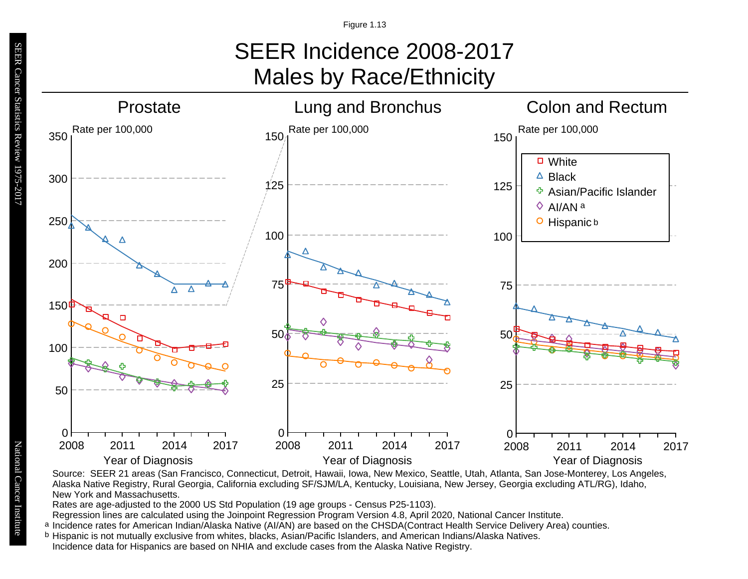# SEER Incidence 2008-2017 Males by Race/Ethnicity



Source: SEER 21 areas (San Francisco, Connecticut, Detroit, Hawaii, Iowa, New Mexico, Seattle, Utah, Atlanta, San Jose-Monterey, Los Angeles, Alaska Native Registry, Rural Georgia, California excluding SF/SJM/LA, Kentucky, Louisiana, New Jersey, Georgia excluding ATL/RG), Idaho, New York and Massachusetts.

Rates are age-adjusted to the 2000 US Std Population (19 age groups - Census P25-1103).

Regression lines are calculated using the Joinpoint Regression Program Version 4.8, April 2020, National Cancer Institute.

- a Incidence rates for American Indian/Alaska Native (AI/AN) are based on the CHSDA(Contract Health Service Delivery Area) counties. <sup>a</sup> Incidence rates for American Indian/Alaska Native (AI/AN) are based on the CHSDA(Contract Health Service Deliver<br><sup>b</sup> Hispanic is not mutually exclusive from whites, blacks, Asian/Pacific Islanders, and American Indians
- Incidence data for Hispanics are based on NHIA and exclude cases from the Alaska Native Registry.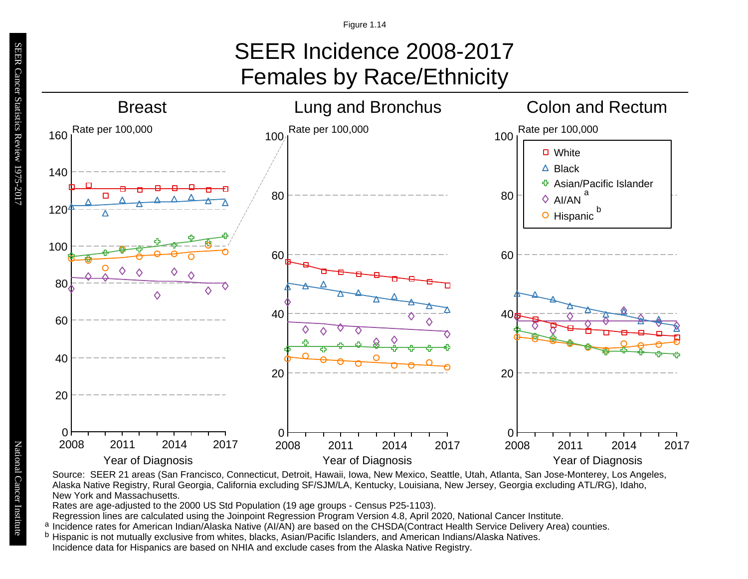# SEER Incidence 2008-2017 Females by Race/Ethnicity



Source: SEER 21 areas (San Francisco, Connecticut, Detroit, Hawaii, Iowa, New Mexico, Seattle, Utah, Atlanta, San Jose-Monterey, Los Angeles, Alaska Native Registry, Rural Georgia, California excluding SF/SJM/LA, Kentucky, Louisiana, New Jersey, Georgia excluding ATL/RG), Idaho, New York and Massachusetts.

Rates are age-adjusted to the 2000 US Std Population (19 age groups - Census P25-1103).

Regression lines are calculated using the Joinpoint Regression Program Version 4.8, April 2020, National Cancer Institute.

- <sup>a</sup> Incidence rates for American Indian/Ālaska Native (AI/ĀN) are based on the CHSDA(Contract Health Service Delivery Area) counties.<br><sup>b</sup> Hispanic is not mutually exclusive from whites, blacks, Asian/Pacific Islanders, and
- b Hispanic is not mutually exclusive from whites, blacks, Asian/Pacific Islanders, and American Indians/Alaska Natives. Incidence data for Hispanics are based on NHIA and exclude cases from the Alaska Native Registry.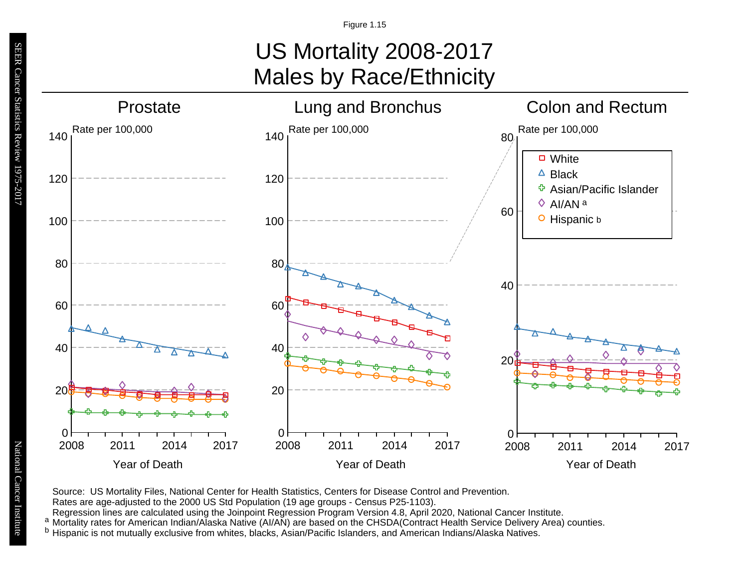# US Mortality 2008-2017 Males by Race/Ethnicity



Source: US Mortality Files, National Center for Health Statistics, Centers for Disease Control and Prevention.

Rates are age-adjusted to the 2000 US Std Population (19 age groups - Census P25-1103).

Regression lines are calculated using the Joinpoint Regression Program Version 4.8, April 2020, National Cancer Institute.

a Mortality rates for American Indian/Alaska Native (AI/AN) are based on the CHSDA(Contract Health Service Delivery Area) counties.

<sup>b</sup> Hispanic is not mutually exclusive from whites, blacks, Asian/Pacific Islanders, and American Indians/Alaska Natives.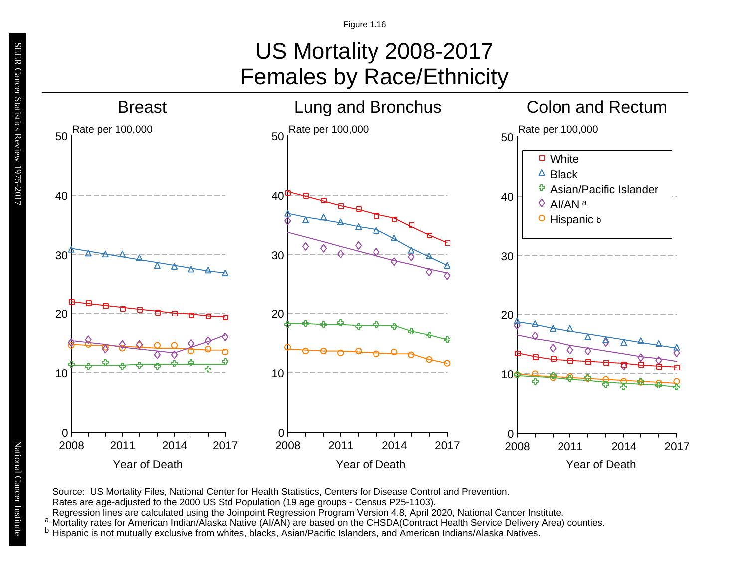# US Mortality 2008-2017 Females by Race/Ethnicity



Source: US Mortality Files, National Center for Health Statistics, Centers for Disease Control and Prevention.

Rates are age-adjusted to the 2000 US Std Population (19 age groups - Census P25-1103).

Regression lines are calculated using the Joinpoint Regression Program Version 4.8, April 2020, National Cancer Institute.

a Mortality rates for American Indian/Alaska Native (AI/AN) are based on the CHSDA(Contract Health Service Delivery Area) counties.

<sup>b</sup> Hispanic is not mutually exclusive from whites, blacks, Asian/Pacific Islanders, and American Indians/Alaska Natives.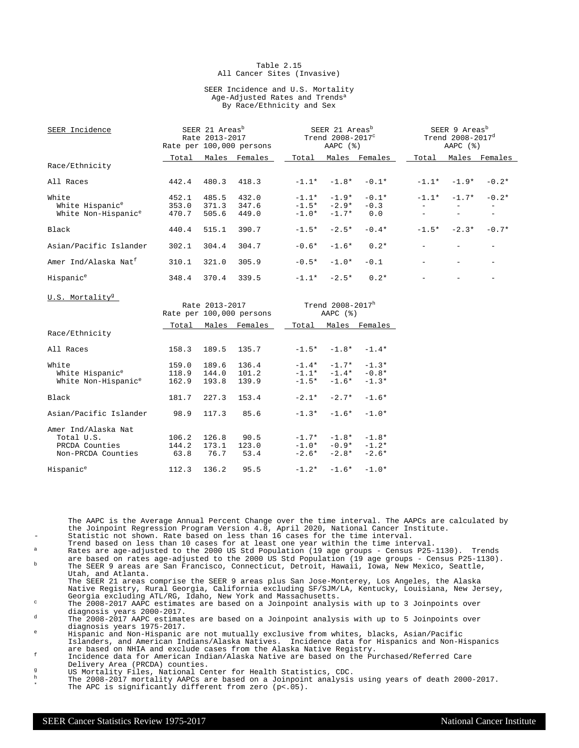#### Table 2.15 All Cancer Sites (Invasive)

#### SEER Incidence and U.S. Mortality Age-Adjusted Rates and Trends<sup>a</sup> By Race/Ethnicity and Sex

| SEER Incidence                       |                | SEER 21 Areas <sup>b</sup><br>Rate 2013-2017 | Rate per 100,000 persons                   |                    | SEER 21 Areas <sup>b</sup><br>Trend 2008-2017 <sup>c</sup><br>AAPC $(%)$ |                         |          | SEER 9 Areas <sup>b</sup><br>Trend 2008-2017 <sup>d</sup><br>AAPC $(%)$ |                          |
|--------------------------------------|----------------|----------------------------------------------|--------------------------------------------|--------------------|--------------------------------------------------------------------------|-------------------------|----------|-------------------------------------------------------------------------|--------------------------|
|                                      | Total          |                                              | Males Females                              | Total              |                                                                          | Males Females           | Total    |                                                                         | Males Females            |
| Race/Ethnicity                       |                |                                              |                                            |                    |                                                                          |                         |          |                                                                         |                          |
| All Races                            | 442.4          | 480.3                                        | 418.3                                      | $-1.1*$            | $-1.8*$                                                                  | $-0.1*$                 |          | $-1.1* -1.9*$                                                           | $-0.2*$                  |
| White<br>White Hispanic <sup>e</sup> | 452.1<br>353.0 | 485.5<br>371.3                               | 432.0<br>347.6                             | $-1.1*$<br>$-1.5*$ | $-1.9*$<br>$-2.9*$                                                       | $-0.1*$<br>$-0.3$       | $-1.1*$  | $-1.7*$                                                                 | $-0.2*$<br>$-$           |
| White Non-Hispanic <sup>e</sup>      | 470.7          | 505.6                                        | 449.0                                      | $-1.0*$            | $-1.7*$                                                                  | 0.0                     |          | $\overline{\phantom{a}}$                                                | $\equiv$ .               |
| Black                                | 440.4          | 515.1                                        | 390.7                                      | $-1.5*$            | $-2.5*$                                                                  | $-0.4*$                 |          | $-1.5* -2.3*$                                                           | $-0.7*$                  |
| Asian/Pacific Islander               | 302.1          | 304.4                                        | 304.7                                      | $-0.6*$            | $-1.6*$                                                                  | $0.2*$                  |          |                                                                         | $\overline{\phantom{0}}$ |
| Amer Ind/Alaska Nat <sup>f</sup>     | 310.1          | 321.0                                        | 305.9                                      | $-0.5*$            | $-1.0*$                                                                  | $-0.1$                  | $\equiv$ | $\equiv$                                                                | $ \,$                    |
| Hispanic <sup>e</sup>                | 348.4          | 370.4                                        | 339.5                                      |                    | $-1.1* -2.5*$                                                            | $0.2*$                  |          |                                                                         | $\overline{\phantom{a}}$ |
| U.S. Mortality <sup>9</sup>          |                |                                              |                                            |                    |                                                                          |                         |          |                                                                         |                          |
|                                      |                |                                              | Rate 2013-2017<br>Rate per 100,000 persons |                    | Trend 2008-2017h<br>AAPC $(%)$                                           |                         |          |                                                                         |                          |
|                                      | Total          |                                              | Males Females                              |                    |                                                                          | Total Males Females     |          |                                                                         |                          |
| Race/Ethnicity                       |                |                                              |                                            |                    |                                                                          |                         |          |                                                                         |                          |
| All Races                            | 158.3          | 189.5                                        | 135.7                                      |                    | $-1.5* -1.8* -1.4*$                                                      |                         |          |                                                                         |                          |
| White                                | 159.0          | 189.6                                        | 136.4                                      | $-1.4*$            | $-1.7*$                                                                  | $-1.3*$                 |          |                                                                         |                          |
| White Hispanic <sup>e</sup>          | 118.9          | 144.0                                        | 101.2                                      |                    |                                                                          | $-1.1* -1.4* -0.8*$     |          |                                                                         |                          |
| White Non-Hispanic <sup>e</sup>      | 162.9          | 193.8                                        | 139.9                                      | $-1.5*$            | $-1.6*$                                                                  | $-1.3*$                 |          |                                                                         |                          |
| Black                                | 181.7          | 227.3                                        | 153.4                                      | $-2.1*$            | $-2.7*$                                                                  | $-1.6*$                 |          |                                                                         |                          |
| Asian/Pacific Islander               | 98.9           | 117.3                                        | 85.6                                       | $-1.3*$            | $-1.6*$                                                                  | $-1.0*$                 |          |                                                                         |                          |
| Amer Ind/Alaska Nat                  |                |                                              |                                            |                    |                                                                          |                         |          |                                                                         |                          |
| Total U.S.                           | 106.2          | 126.8                                        | 90.5                                       |                    |                                                                          | $-1.7*$ $-1.8*$ $-1.8*$ |          |                                                                         |                          |
| PRCDA Counties                       | 144.2          | 173.1                                        | 123.0                                      |                    |                                                                          | $-1.0* -0.9* -1.2*$     |          |                                                                         |                          |
| Non-PRCDA Counties                   | 63.8           | 76.7                                         | 53.4                                       |                    |                                                                          | $-2.6* -2.8* -2.6*$     |          |                                                                         |                          |
| Hispanic <sup>e</sup>                | 112.3          | 136.2                                        | 95.5                                       | $-1.2*$            | $-1.6*$                                                                  | $-1.0*$                 |          |                                                                         |                          |

The AAPC is the Average Annual Percent Change over the time interval. The AAPCs are calculated by the Joinpoint Regression Program Version 4.8, April 2020, National Cancer Institute. Statistic not shown. Rate based on less than 16 cases for the time interval.

- Trend based on less than 10 cases for at least one year within the time interval. <sup>a</sup> Rates are age-adjusted to the 2000 US Std Population (19 age groups Census P25-1130). Trends
- are based on rates age-adjusted to the 2000 US Std Population (19 age groups Census P25-1130). <sup>b</sup> The SEER 9 areas are San Francisco, Connecticut, Detroit, Hawaii, Iowa, New Mexico, Seattle, Utah, and Atlanta.
- The SEER 21 areas comprise the SEER 9 areas plus San Jose-Monterey, Los Angeles, the Alaska Native Registry, Rural Georgia, California excluding SF/SJM/LA, Kentucky, Louisiana, New Jersey, Georgia excluding ATL/RG, Idaho, New York and Massachusetts.

<sup>c</sup> The 2008-2017 AAPC estimates are based on a Joinpoint analysis with up to 3 Joinpoints over diagnosis years 2000-2017.

<sup>d</sup> The 2008-2017 AAPC estimates are based on a Joinpoint analysis with up to 5 Joinpoints over diagnosis years 1975-2017.

<sup>e</sup> Hispanic and Non-Hispanic are not mutually exclusive from whites, blacks, Asian/Pacific Islanders, and American Indians/Alaska Natives. Incidence data for Hispanics and Non-Hispanics are based on NHIA and exclude cases from the Alaska Native Registry.

<sup>f</sup> Incidence data for American Indian/Alaska Native are based on the Purchased/Referred Care Delivery Area (PRCDA) counties.

- g<br>
US Mortality Files, National Center for Health Statistics, CDC.<br>
The 2008–2017 mentality ADCs are based an a Joinnaint applying
- <sup>h</sup> The 2008-2017 mortality AAPCs are based on a Joinpoint analysis using years of death 2000-2017. \* The APC is significantly different from zero (p<.05).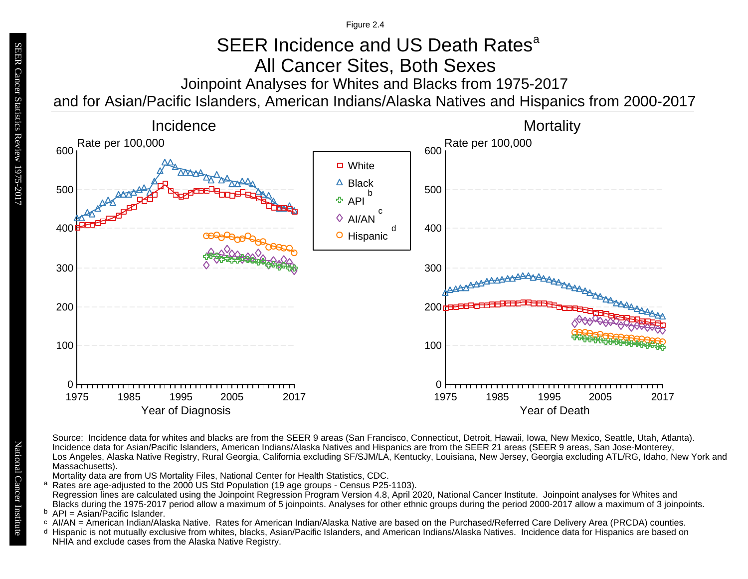Figure 2.4

# Joinpoint Analyses for Whites and Blacks from 1975-2017 SEER Incidence and US Death Rates<sup>a</sup> All Cancer Sites, Both Sexes

and for Asian/Pacific Islanders, American Indians/Alaska Natives and Hispanics from 2000-2017



Source: Incidence data for whites and blacks are from the SEER 9 areas (San Francisco, Connecticut, Detroit, Hawaii, Iowa, New Mexico, Seattle, Utah, Atlanta). Incidence data for Asian/Pacific Islanders, American Indians/Alaska Natives and Hispanics are from the SEER 21 areas (SEER 9 areas, San Jose-Monterey, Los Angeles, Alaska Native Registry, Rural Georgia, California excluding SF/SJM/LA, Kentucky, Louisiana, New Jersey, Georgia excluding ATL/RG, Idaho, New York and Massachusetts).

Mortality data are from US Mortality Files, National Center for Health Statistics, CDC.

a<br>b<br>d Rates are age-adjusted to the 2000 US Std Population (19 age groups - Census P25-1103). a Regression lines are calculated using the Joinpoint Regression Program Version 4.8, April 2020, National Cancer Institute. Joinpoint analyses for Whites and Blacks during the 1975-2017 period allow a maximum of 5 joinpoints. Analyses for other ethnic groups during the period 2000-2017 allow a maximum of 3 joinpoints.

<sup>b</sup> API = Asian/Pacific Islander.<br>○ AI/AN = American Indian/Ala

- AI/AN = American Indian/Alaska Native. Rates for American Indian/Alaska Native are based on the Purchased/Referred Care Delivery Area (PRCDA) counties.
- Hispanic is not mutually exclusive from whites, blacks, Asian/Pacific Islanders, and American Indians/Alaska Natives. Incidence data for Hispanics are based on NHIA and exclude cases from the Alaska Native Registry.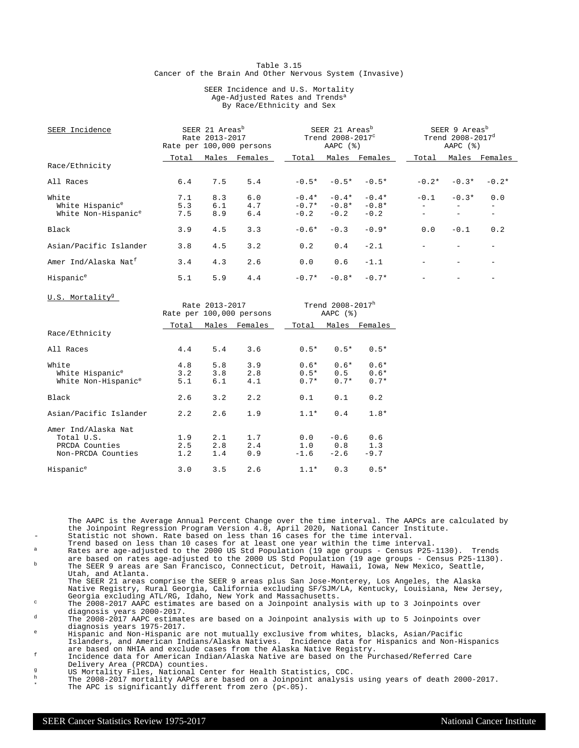#### Table 3.15 Cancer of the Brain And Other Nervous System (Invasive)

#### SEER Incidence and U.S. Mortality Age-Adjusted Rates and Trends<sup>a</sup> By Race/Ethnicity and Sex

| SEER Incidence                   | SEER 21 Areas <sup>b</sup><br>Rate 2013-2017<br>Rate per 100,000 persons |       |         | SEER 21 Areas <sup>b</sup><br>Trend 2008-2017 <sup>c</sup><br>AAPC $(%)$ |         |         | SEER 9 Areas <sup>b</sup><br>Trend $2008 - 2017^d$<br>AAPC $(%)$ |          |               |
|----------------------------------|--------------------------------------------------------------------------|-------|---------|--------------------------------------------------------------------------|---------|---------|------------------------------------------------------------------|----------|---------------|
|                                  | Total                                                                    | Males | Females | Total                                                                    | Males   | Females | Total                                                            |          | Males Females |
| Race/Ethnicity                   |                                                                          |       |         |                                                                          |         |         |                                                                  |          |               |
| All Races                        | 6.4                                                                      | 7.5   | 5.4     | $-0.5*$                                                                  | $-0.5*$ | $-0.5*$ | $-0.2*$                                                          | $-0.3*$  | $-0.2*$       |
| White                            | 7.1                                                                      | 8.3   | 6.0     | $-0.4*$                                                                  | $-0.4*$ | $-0.4*$ | $-0.1$                                                           | $-0.3*$  | 0.0           |
| White Hispanic <sup>e</sup>      | 5.3                                                                      | 6.1   | 4.7     | $-0.7*$                                                                  | $-0.8*$ | $-0.8*$ |                                                                  |          |               |
| White Non-Hispanic <sup>e</sup>  | 7.5                                                                      | 8.9   | 6.4     | $-0.2$                                                                   | $-0.2$  | $-0.2$  |                                                                  | $\equiv$ |               |
| Black                            | 3.9                                                                      | 4.5   | 3.3     | $-0.6*$                                                                  | $-0.3$  | $-0.9*$ | 0.0                                                              | $-0.1$   | 0.2           |
| Asian/Pacific Islander           | 3.8                                                                      | 4.5   | 3.2     | 0.2                                                                      | 0.4     | $-2.1$  |                                                                  |          |               |
| Amer Ind/Alaska Nat <sup>f</sup> | 3.4                                                                      | 4.3   | 2.6     | 0.0                                                                      | 0.6     | $-1.1$  |                                                                  |          |               |
| Hispanic <sup>e</sup>            | 5.1                                                                      | 5.9   | 4.4     | $-0.7*$                                                                  | $-0.8*$ | $-0.7*$ |                                                                  |          |               |

Rate  $2013 - 2017$  Trend  $2008 - 2017$ <sup>h</sup><br>e per  $100,000$  persons AAPC (%) Rate per 100,000 persons Total Males Females 1Total Males Females Race/Ethnicity All Races 4.4 5.4 3.6 0.5\* 0.5\* 0.5\* White 4.8 5.8 3.9 0.6\* 0.6\* 0.6\* White Hispanic<sup>e</sup> 3.2 3.8 2.8 0.5\* 0.5 0.6\*<br>White Non-Hispanic<sup>e</sup> 5.1 6.1 4.1 0.7\* 0.7\* 0.7\* White Non-Hispanic<sup>e</sup> Black 2.6 3.2 2.2 0.1 0.1 0.2 Asian/Pacific Islander 2.2 2.6 1.9 1.1\* 0.4 1.8\* Amer Ind/Alaska Nat Total U.S. 1.9 2.1 1.7 0.0 -0.6 0.6 2.5 2.8 2.4 1.0 0.8 1.3<br>1.2 1.4 0.9 -1.6 -2.6 -9.7 Non-PRCDA Counties Hispanic<sup>e</sup> 3.0 3.5 2.6 1.1\* 0.3 0.5\*

The AAPC is the Average Annual Percent Change over the time interval. The AAPCs are calculated by the Joinpoint Regression Program Version 4.8, April 2020, National Cancer Institute. Statistic not shown. Rate based on less than 16 cases for the time interval.

Trend based on less than 10 cases for at least one year within the time interval. <sup>a</sup> Rates are age-adjusted to the 2000 US Std Population (19 age groups - Census P25-1130). Trends

are based on rates age-adjusted to the 2000 US Std Population (19 age groups - Census P25-1130). <sup>b</sup> The SEER 9 areas are San Francisco, Connecticut, Detroit, Hawaii, Iowa, New Mexico, Seattle, Utah, and Atlanta.

The SEER 21 areas comprise the SEER 9 areas plus San Jose-Monterey, Los Angeles, the Alaska Native Registry, Rural Georgia, California excluding SF/SJM/LA, Kentucky, Louisiana, New Jersey, Georgia excluding ATL/RG, Idaho, New York and Massachusetts.

 $\degree$  The 2008-2017 AAPC estimates are based on a Joinpoint analysis with up to 3 Joinpoints over diagnosis years 2000-2017.

d The 2008-2017 AAPC estimates are based on a Joinpoint analysis with up to 5 Joinpoints over diagnosis years 1975-2017.

<sup>e</sup> Hispanic and Non-Hispanic are not mutually exclusive from whites, blacks, Asian/Pacific Islanders, and American Indians/Alaska Natives. Incidence data for Hispanics and Non-Hispanics are based on NHIA and exclude cases from the Alaska Native Registry.

<sup>f</sup> Incidence data for American Indian/Alaska Native are based on the Purchased/Referred Care Delivery Area (PRCDA) counties.

- g US Mortality Files, National Center for Health Statistics, CDC.<br>h The 2008-2017 mentality APOG are based an a Joinnaint applying
- <sup>h</sup> The 2008-2017 mortality AAPCs are based on a Joinpoint analysis using years of death 2000-2017. \* The APC is significantly different from zero (p<.05).

U.S. Mortality<sup>g</sup>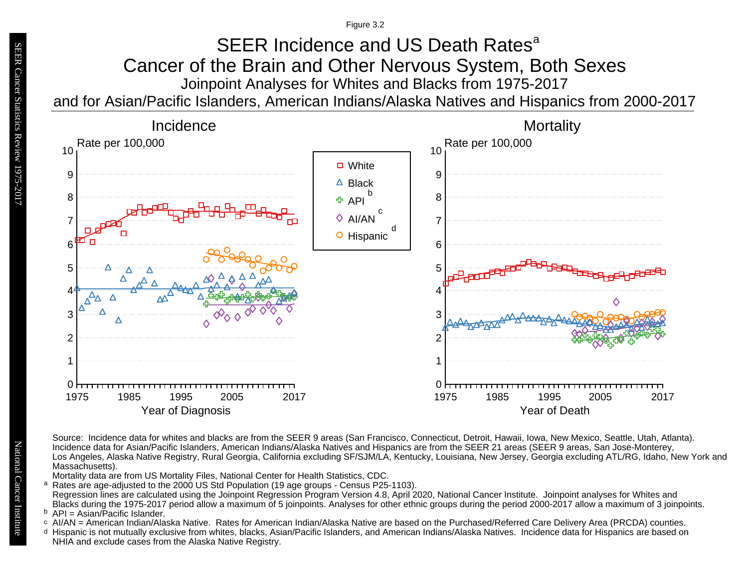Figure 3.2

## Joinpoint Analyses for Whites and Blacks from 1975-2017 and for Asian/Pacific Islanders, American Indians/Alaska Natives and Hispanics from 2000-2017 SEER Incidence and US Death Rates<sup>a</sup> Cancer of the Brain and Other Nervous System, Both Sexes



Source: Incidence data for whites and blacks are from the SEER 9 areas (San Francisco, Connecticut, Detroit, Hawaii, Iowa, New Mexico, Seattle, Utah, Atlanta). Incidence data for Asian/Pacific Islanders, American Indians/Alaska Natives and Hispanics are from the SEER 21 areas (SEER 9 areas, San Jose-Monterey, Los Angeles, Alaska Native Registry, Rural Georgia, California excluding SF/SJM/LA, Kentucky, Louisiana, New Jersey, Georgia excluding ATL/RG, Idaho, New York and Massachusetts).

Mortality data are from US Mortality Files, National Center for Health Statistics, CDC.

- a<br>b<br>d Rates are age-adjusted to the 2000 US Std Population (19 age groups - Census P25-1103). a Regression lines are calculated using the Joinpoint Regression Program Version 4.8, April 2020, National Cancer Institute. Joinpoint analyses for Whites and Blacks during the 1975-2017 period allow a maximum of 5 joinpoints. Analyses for other ethnic groups during the period 2000-2017 allow a maximum of 3 joinpoints.
- <sup>b</sup> API = Asian/Pacific Islander.<br>○ AI/AN = American Indian/Ala
- AI/AN = American Indian/Alaska Native. Rates for American Indian/Alaska Native are based on the Purchased/Referred Care Delivery Area (PRCDA) counties.
- Hispanic is not mutually exclusive from whites, blacks, Asian/Pacific Islanders, and American Indians/Alaska Natives. Incidence data for Hispanics are based on NHIA and exclude cases from the Alaska Native Registry.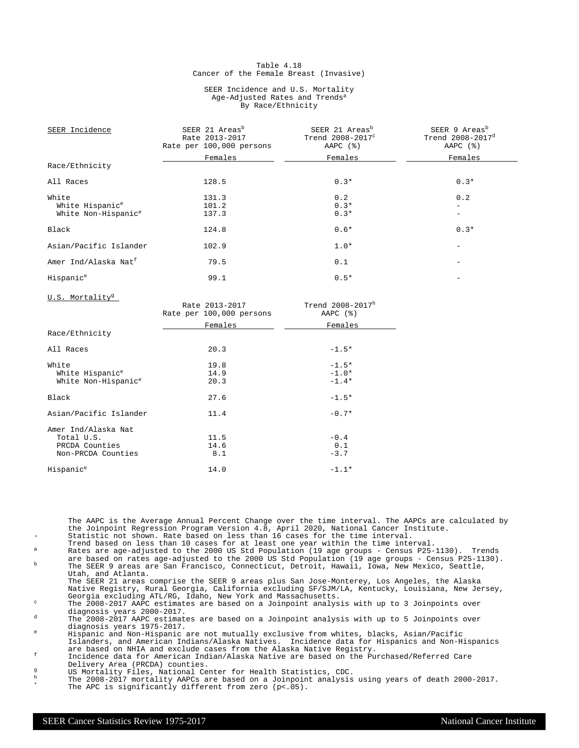#### Table 4.18 Cancer of the Female Breast (Invasive)

#### SEER Incidence and U.S. Mortality Age-Adjusted Rates and Trends<sup>a</sup> By Race/Ethnicity

| SEER Incidence                   | SEER 21 Areas <sup>b</sup><br>Rate 2013-2017<br>Rate per 100,000 persons | SEER 21 Areas <sup>b</sup><br>Trend $2008-2017^c$<br>AAPC $(%)$ | SEER 9 Areas <sup>b</sup><br>Trend $2008 - 2017^d$<br>AAPC $(%)$ |
|----------------------------------|--------------------------------------------------------------------------|-----------------------------------------------------------------|------------------------------------------------------------------|
|                                  | Females                                                                  | Females                                                         | Females                                                          |
| Race/Ethnicity                   |                                                                          |                                                                 |                                                                  |
| All Races                        | 128.5                                                                    | $0.3*$                                                          | $0.3*$                                                           |
| White                            | 131.3                                                                    | 0.2                                                             | 0.2                                                              |
| White Hispanic <sup>e</sup>      | 101.2                                                                    | $0.3*$                                                          |                                                                  |
| White Non-Hispanic <sup>e</sup>  | 137.3                                                                    | $0.3*$                                                          |                                                                  |
| Black                            | 124.8                                                                    | $0.6*$                                                          | $0.3*$                                                           |
| Asian/Pacific Islander           | 102.9                                                                    | $1.0*$                                                          |                                                                  |
| Amer Ind/Alaska Nat <sup>f</sup> | 79.5                                                                     | 0.1                                                             |                                                                  |
| Hispanic <sup>e</sup>            | 99.1                                                                     | $0.5*$                                                          |                                                                  |
| U.S. Mortality <sup>g</sup>      | $R = 2013 - 2017$                                                        | $Trend 2008-2017h$                                              |                                                                  |

|                                 | Rate per 100,000 persons | AAPC $(%)$ |
|---------------------------------|--------------------------|------------|
|                                 | Females                  | Females    |
| Race/Ethnicity                  |                          |            |
| All Races                       | 20.3                     | $-1.5*$    |
| White                           | 19.8                     | $-1.5*$    |
| White Hispanic <sup>e</sup>     | 14.9                     | $-1.0*$    |
| White Non-Hispanic <sup>e</sup> | 20.3                     | $-1.4*$    |
| Black                           | 27.6                     | $-1.5*$    |
| Asian/Pacific Islander          | 11.4                     | $-0.7*$    |
| Amer Ind/Alaska Nat             |                          |            |
| Total U.S.                      | 11.5                     | $-0.4$     |
| PRCDA Counties                  | 14.6                     | 0.1        |
| Non-PRCDA Counties              | 8.1                      | $-3.7$     |
| Hispanic <sup>e</sup>           | 14.0                     | $-1.1*$    |

The AAPC is the Average Annual Percent Change over the time interval. The AAPCs are calculated by the Joinpoint Regression Program Version 4.8, April 2020, National Cancer Institute. Statistic not shown. Rate based on less than 16 cases for the time interval.

- Trend based on less than 10 cases for at least one year within the time interval. <sup>a</sup> Rates are age-adjusted to the 2000 US Std Population (19 age groups Census P25-1130). Trends
- are based on rates age-adjusted to the 2000 US Std Population (19 age groups Census P25-1130). <sup>b</sup> The SEER 9 areas are San Francisco, Connecticut, Detroit, Hawaii, Iowa, New Mexico, Seattle, Utah, and Atlanta.

The SEER 21 areas comprise the SEER 9 areas plus San Jose-Monterey, Los Angeles, the Alaska Native Registry, Rural Georgia, California excluding SF/SJM/LA, Kentucky, Louisiana, New Jersey, Georgia excluding ATL/RG, Idaho, New York and Massachusetts.

<sup>c</sup> The 2008-2017 AAPC estimates are based on a Joinpoint analysis with up to 3 Joinpoints over diagnosis years 2000-2017.

<sup>d</sup> The 2008-2017 AAPC estimates are based on a Joinpoint analysis with up to 5 Joinpoints over diagnosis years 1975-2017.

<sup>e</sup> Hispanic and Non-Hispanic are not mutually exclusive from whites, blacks, Asian/Pacific Islanders, and American Indians/Alaska Natives. Incidence data for Hispanics and Non-Hispanics are based on NHIA and exclude cases from the Alaska Native Registry.

<sup>f</sup> Incidence data for American Indian/Alaska Native are based on the Purchased/Referred Care Delivery Area (PRCDA) counties.

g<br>
US Mortality Files, National Center for Health Statistics, CDC.<br>
The 2008-2017 mortality AADCs are based on a Joinnoint analysis

<sup>h</sup> The 2008-2017 mortality AAPCs are based on a Joinpoint analysis using years of death 2000-2017. \* The APC is significantly different from zero (p<.05).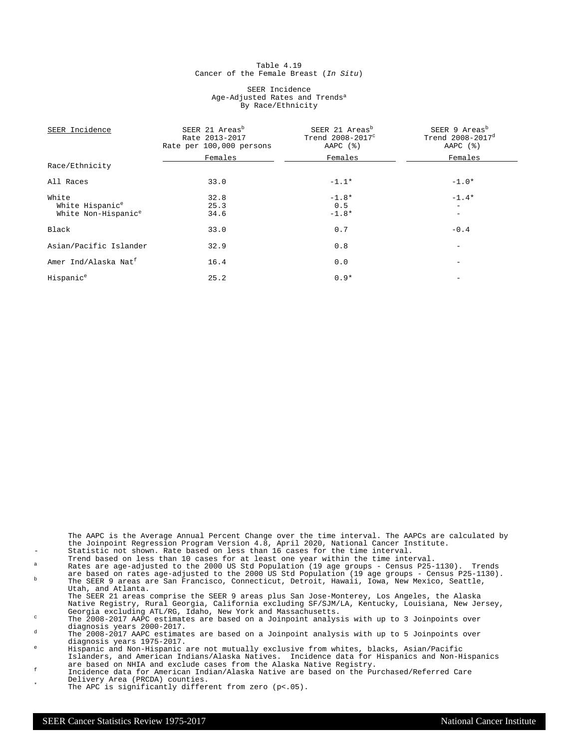#### Table 4.19 Cancer of the Female Breast (In Situ)

#### SEER Incidence Age-Adjusted Rates and Trends<sup>a</sup> By Race/Ethnicity

| SEER Incidence                   | SEER 21 Areas <sup>b</sup><br>Rate 2013-2017<br>Rate per 100,000 persons | SEER 21 Areas <sup>b</sup><br>Trend 2008-2017 <sup>c</sup><br>AAPC $(%)$ | SEER 9 Areas <sup>b</sup><br>Trend 2008-2017 <sup>d</sup><br>AAPC $(%)$ |
|----------------------------------|--------------------------------------------------------------------------|--------------------------------------------------------------------------|-------------------------------------------------------------------------|
|                                  | Females                                                                  | Females                                                                  | Females                                                                 |
| Race/Ethnicity                   |                                                                          |                                                                          |                                                                         |
| All Races                        | 33.0                                                                     | $-1.1*$                                                                  | $-1.0*$                                                                 |
| White                            | 32.8                                                                     | $-1.8*$                                                                  | $-1.4*$                                                                 |
| White Hispanic <sup>e</sup>      | 25.3                                                                     | 0.5                                                                      |                                                                         |
| White Non-Hispanic <sup>e</sup>  | 34.6                                                                     | $-1.8*$                                                                  | $-$                                                                     |
| Black                            | 33.0                                                                     | 0.7                                                                      | $-0.4$                                                                  |
| Asian/Pacific Islander           | 32.9                                                                     | 0.8                                                                      |                                                                         |
| Amer Ind/Alaska Nat <sup>f</sup> | 16.4                                                                     | 0.0                                                                      |                                                                         |
| Hispanic <sup>e</sup>            | 25.2                                                                     | $0.9*$                                                                   |                                                                         |

The AAPC is the Average Annual Percent Change over the time interval. The AAPCs are calculated by the Joinpoint Regression Program Version 4.8, April 2020, National Cancer Institute. - Statistic not shown. Rate based on less than 16 cases for the time interval.

- Trend based on less than 10 cases for at least one year within the time interval.
- $^{\text{a}}$  Rates are age-adjusted to the 2000 US Std Population (19 age groups Census P25-1130). Trends are based on rates age-adjusted to the 2000 US Std Population (19 age groups - Census P25-1130). <sup>b</sup> The SEER 9 areas are San Francisco, Connecticut, Detroit, Hawaii, Iowa, New Mexico, Seattle,

Utah, and Atlanta. The SEER 21 areas comprise the SEER 9 areas plus San Jose-Monterey, Los Angeles, the Alaska

Native Registry, Rural Georgia, California excluding SF/SJM/LA, Kentucky, Louisiana, New Jersey, Georgia excluding ATL/RG, Idaho, New York and Massachusetts. <sup>c</sup> The 2008-2017 AAPC estimates are based on a Joinpoint analysis with up to 3 Joinpoints over

diagnosis years 2000-2017.

 $d$  The 2008-2017 AAPC estimates are based on a Joinpoint analysis with up to 5 Joinpoints over diagnosis years 1975-2017.

<sup>e</sup> Hispanic and Non-Hispanic are not mutually exclusive from whites, blacks, Asian/Pacific Islanders, and American Indians/Alaska Natives. Incidence data for Hispanics and Non-Hispanics are based on NHIA and exclude cases from the Alaska Native Registry.

- <sup>f</sup> Incidence data for American Indian/Alaska Native are based on the Purchased/Referred Care Delivery Area (PRCDA) counties.
	- The APC is significantly different from zero  $(p<.05)$ .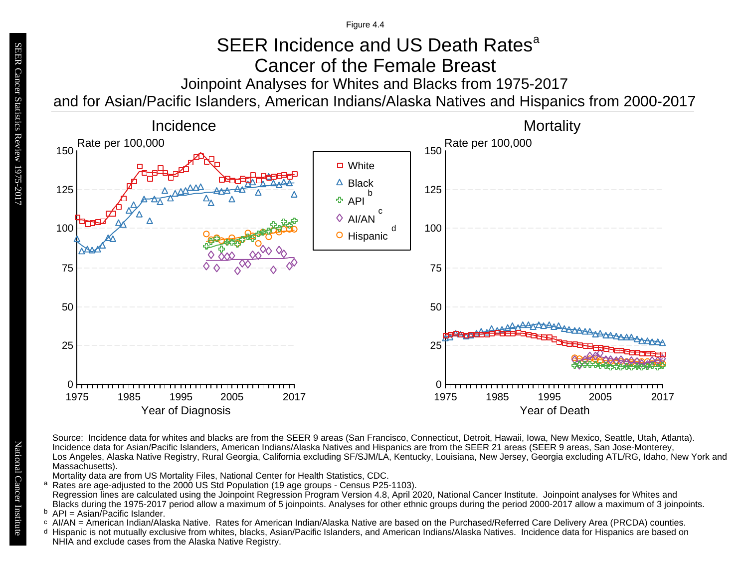Figure 4.4

# SEER Incidence and US Death Rates<sup>a</sup> Cancer of the Female Breast

Joinpoint Analyses for Whites and Blacks from 1975-2017

and for Asian/Pacific Islanders, American Indians/Alaska Natives and Hispanics from 2000-2017



Source: Incidence data for whites and blacks are from the SEER 9 areas (San Francisco, Connecticut, Detroit, Hawaii, Iowa, New Mexico, Seattle, Utah, Atlanta). Incidence data for Asian/Pacific Islanders, American Indians/Alaska Natives and Hispanics are from the SEER 21 areas (SEER 9 areas, San Jose-Monterey, Los Angeles, Alaska Native Registry, Rural Georgia, California excluding SF/SJM/LA, Kentucky, Louisiana, New Jersey, Georgia excluding ATL/RG, Idaho, New York and Massachusetts).

Mortality data are from US Mortality Files, National Center for Health Statistics, CDC.

a<br>b<br>d Rates are age-adjusted to the 2000 US Std Population (19 age groups - Census P25-1103). a Regression lines are calculated using the Joinpoint Regression Program Version 4.8, April 2020, National Cancer Institute. Joinpoint analyses for Whites and Blacks during the 1975-2017 period allow a maximum of 5 joinpoints. Analyses for other ethnic groups during the period 2000-2017 allow a maximum of 3 joinpoints.

 $P = A$ sian/Pacific Islander.

- b API = Asian/Pacific Islander.<br>○ AI/AN = American Indian/Alaska Native. Rates for American Indian/Alaska Native are based on the Purchased/Referred Care Delivery Area (PRCDA) counties.
- Hispanic is not mutually exclusive from whites, blacks, Asian/Pacific Islanders, and American Indians/Alaska Natives. Incidence data for Hispanics are based on NHIA and exclude cases from the Alaska Native Registry.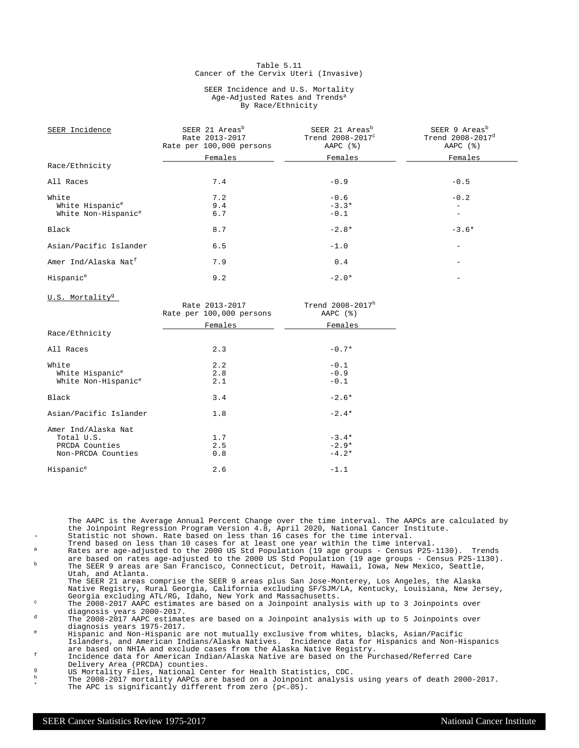#### Table 5.11 Cancer of the Cervix Uteri (Invasive)

#### SEER Incidence and U.S. Mortality Age-Adjusted Rates and Trends<sup>a</sup> By Race/Ethnicity

| SEER Incidence                   | SEER 21 Areas <sup>b</sup><br>Rate 2013-2017<br>Rate per 100,000 persons | SEER 21 Areas <sup>b</sup><br>Trend 2008-2017 <sup>c</sup><br>AAPC $(%)$ | SEER 9 Areas <sup>b</sup><br>Trend 2008-2017 <sup>d</sup><br>AAPC (%) |
|----------------------------------|--------------------------------------------------------------------------|--------------------------------------------------------------------------|-----------------------------------------------------------------------|
|                                  | Females                                                                  | Females                                                                  | Females                                                               |
| Race/Ethnicity                   |                                                                          |                                                                          |                                                                       |
| All Races                        | 7.4                                                                      | $-0.9$                                                                   | $-0.5$                                                                |
| White                            | 7.2                                                                      | $-0.6$                                                                   | $-0.2$                                                                |
| White Hispanic <sup>e</sup>      | 9.4                                                                      | $-3.3*$                                                                  |                                                                       |
| White Non-Hispanic <sup>e</sup>  | 6.7                                                                      | $-0.1$                                                                   | $\overline{\phantom{0}}$                                              |
| Black                            | 8.7                                                                      | $-2.8*$                                                                  | $-3.6*$                                                               |
| Asian/Pacific Islander           | 6.5                                                                      | $-1.0$                                                                   |                                                                       |
| Amer Ind/Alaska Nat <sup>f</sup> | 7.9                                                                      | 0.4                                                                      |                                                                       |
| Hispanic <sup>e</sup>            | 9.2                                                                      | $-2.0*$                                                                  |                                                                       |

U.S. Mortality<sup>g</sup>

| $0.001$ $101$ $041$             | Rate 2013-2017<br>Rate per 100,000 persons | Trend 2008-2017h<br>AAPC $(%)$ |
|---------------------------------|--------------------------------------------|--------------------------------|
|                                 | Females                                    | Females                        |
| Race/Ethnicity                  |                                            |                                |
| All Races                       | 2.3                                        | $-0.7*$                        |
| White                           | 2.2                                        | $-0.1$                         |
| White Hispanic <sup>e</sup>     | 2.8                                        | $-0.9$                         |
| White Non-Hispanic <sup>e</sup> | 2.1                                        | $-0.1$                         |
| Black                           | 3.4                                        | $-2.6*$                        |
| Asian/Pacific Islander          | 1.8                                        | $-2.4*$                        |
| Amer Ind/Alaska Nat             |                                            |                                |
| Total U.S.                      | 1.7                                        | $-3.4*$                        |
| PRCDA Counties                  | 2.5                                        | $-2.9*$                        |
| Non-PRCDA Counties              | 0.8                                        | $-4.2*$                        |
| Hispanic <sup>e</sup>           | 2.6                                        | $-1.1$                         |

The AAPC is the Average Annual Percent Change over the time interval. The AAPCs are calculated by the Joinpoint Regression Program Version 4.8, April 2020, National Cancer Institute. Statistic not shown. Rate based on less than 16 cases for the time interval.

- Trend based on less than 10 cases for at least one year within the time interval. <sup>a</sup> Rates are age-adjusted to the 2000 US Std Population (19 age groups Census P25-1130). Trends
- are based on rates age-adjusted to the 2000 US Std Population (19 age groups Census P25-1130). <sup>b</sup> The SEER 9 areas are San Francisco, Connecticut, Detroit, Hawaii, Iowa, New Mexico, Seattle, Utah, and Atlanta.
- The SEER 21 areas comprise the SEER 9 areas plus San Jose-Monterey, Los Angeles, the Alaska Native Registry, Rural Georgia, California excluding SF/SJM/LA, Kentucky, Louisiana, New Jersey, Georgia excluding ATL/RG, Idaho, New York and Massachusetts.

<sup>c</sup> The 2008-2017 AAPC estimates are based on a Joinpoint analysis with up to 3 Joinpoints over diagnosis years 2000-2017.

<sup>d</sup> The 2008-2017 AAPC estimates are based on a Joinpoint analysis with up to 5 Joinpoints over diagnosis years 1975-2017.

<sup>e</sup> Hispanic and Non-Hispanic are not mutually exclusive from whites, blacks, Asian/Pacific Islanders, and American Indians/Alaska Natives. Incidence data for Hispanics and Non-Hispanics are based on NHIA and exclude cases from the Alaska Native Registry.

<sup>f</sup> Incidence data for American Indian/Alaska Native are based on the Purchased/Referred Care Delivery Area (PRCDA) counties.

- g<br>
US Mortality Files, National Center for Health Statistics, CDC.<br>
The 2008–2017 mentality ADCs are based an a Joinnaint applying
- <sup>h</sup> The 2008-2017 mortality AAPCs are based on a Joinpoint analysis using years of death 2000-2017. \* The APC is significantly different from zero (p<.05).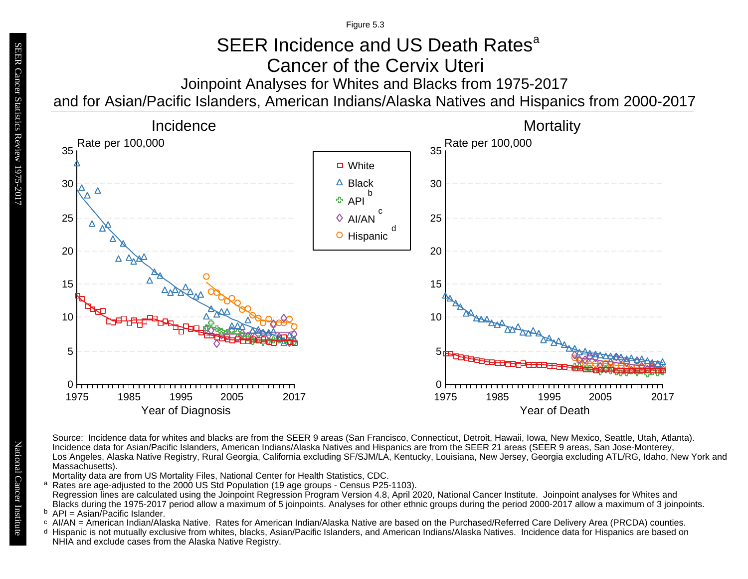Figure 5.3

# Joinpoint Analyses for Whites and Blacks from 1975-2017 SEER Incidence and US Death Rates<sup>a</sup> Cancer of the Cervix Uteri

and for Asian/Pacific Islanders, American Indians/Alaska Natives and Hispanics from 2000-2017



Source: Incidence data for whites and blacks are from the SEER 9 areas (San Francisco, Connecticut, Detroit, Hawaii, Iowa, New Mexico, Seattle, Utah, Atlanta). Incidence data for Asian/Pacific Islanders, American Indians/Alaska Natives and Hispanics are from the SEER 21 areas (SEER 9 areas, San Jose-Monterey, Los Angeles, Alaska Native Registry, Rural Georgia, California excluding SF/SJM/LA, Kentucky, Louisiana, New Jersey, Georgia excluding ATL/RG, Idaho, New York and Massachusetts).

Mortality data are from US Mortality Files, National Center for Health Statistics, CDC.

<sup>a</sup> Rates are age-adjusted to the 2000 US Std Population (19 age groups - Census P25-1103). Regression lines are calculated using the Joinpoint Regression Program Version 4.8, April 2020, National Cancer Institute. Joinpoint analyses for Whites and Blacks during the 1975-2017 period allow a maximum of 5 joinpoints. Analyses for other ethnic groups during the period 2000-2017 allow a maximum of 3 joinpoints. a<br>b<br>d

<sup>b</sup> API = Asian/Pacific Islander.<br>○ AI/AN = American Indian/Ala

- AI/AN = American Indian/Alaska Native. Rates for American Indian/Alaska Native are based on the Purchased/Referred Care Delivery Area (PRCDA) counties.
- Hispanic is not mutually exclusive from whites, blacks, Asian/Pacific Islanders, and American Indians/Alaska Natives. Incidence data for Hispanics are based on NHIA and exclude cases from the Alaska Native Registry.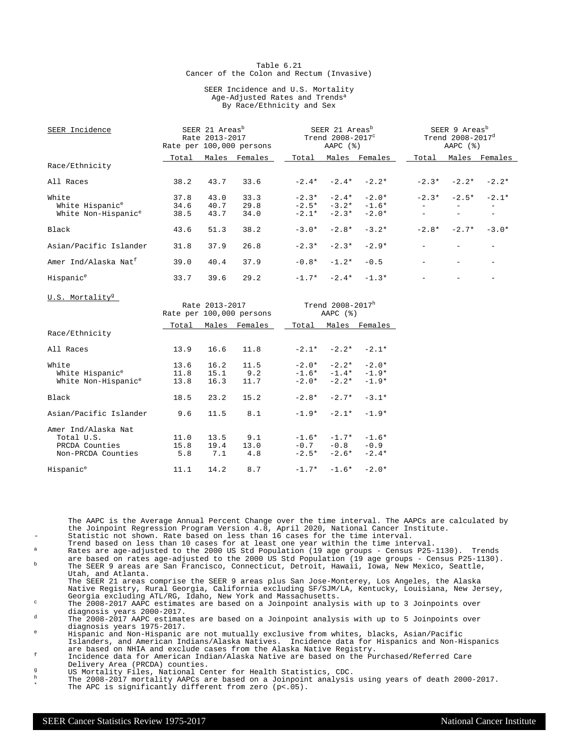#### Table 6.21 Cancer of the Colon and Rectum (Invasive)

#### SEER Incidence and U.S. Mortality Age-Adjusted Rates and Trends<sup>a</sup> By Race/Ethnicity and Sex

| SEER Incidence                    | SEER 21 Areas <sup>b</sup><br>Rate 2013-2017<br>Rate per 100,000 persons |      |                          | SEER 21 Areas <sup>b</sup><br>Trend $2008-2017^{\circ}$<br>$AAPC$ $(%)$ |               |                     | SEER 9 Areas <sup>b</sup><br>Trend 2008-2017 <sup>d</sup><br>AAPC $(%)$ |                          |                          |
|-----------------------------------|--------------------------------------------------------------------------|------|--------------------------|-------------------------------------------------------------------------|---------------|---------------------|-------------------------------------------------------------------------|--------------------------|--------------------------|
|                                   |                                                                          |      | Total Males Females      |                                                                         |               | Total Males Females |                                                                         |                          | Total Males Females      |
| Race/Ethnicity                    |                                                                          |      |                          |                                                                         |               |                     |                                                                         |                          |                          |
| All Races                         | 38.2                                                                     | 43.7 | 33.6                     |                                                                         |               | $-2.4* -2.4* -2.2*$ |                                                                         | $-2.3* -2.2*$            | $-2.2*$                  |
| White                             | 37.8                                                                     | 43.0 | 33.3                     |                                                                         |               | $-2.3* -2.4* -2.0*$ |                                                                         | $-2.3* -2.5*$            | $-2.1*$                  |
| White Hispanic <sup>e</sup>       | 34.6                                                                     | 40.7 | 29.8                     |                                                                         |               | $-2.5* -3.2* -1.6*$ |                                                                         |                          | $-$                      |
| White Non-Hispanic <sup>e</sup>   | 38.5                                                                     | 43.7 | 34.0                     |                                                                         |               | $-2.1* -2.3* -2.0*$ |                                                                         |                          | $\overline{\phantom{a}}$ |
| Black                             | 43.6                                                                     | 51.3 | 38.2                     | $-3.0*$                                                                 | $-2.8*$       | $-3.2*$             |                                                                         | $-2.8* -2.7*$            | $-3.0*$                  |
| Asian/Pacific Islander            | 31.8                                                                     | 37.9 | 26.8                     | $-2.3*$                                                                 | $-2.3*$       | $-2.9*$             |                                                                         | $\overline{\phantom{a}}$ | $\overline{\phantom{0}}$ |
| Amer Ind/Alaska Nat <sup>f</sup>  | 39.0                                                                     | 40.4 | 37.9                     | $-0.8*$                                                                 | $-1.2*$       | $-0.5$              | $\overline{\phantom{0}}$                                                |                          | $\overline{\phantom{0}}$ |
| Hispanic <sup>e</sup>             | 33.7                                                                     | 39.6 | 29.2                     |                                                                         |               | $-1.7* -2.4* -1.3*$ |                                                                         |                          |                          |
| U.S. Mortality <sup>g</sup>       |                                                                          |      |                          |                                                                         |               |                     |                                                                         |                          |                          |
|                                   |                                                                          |      | Rate 2013-2017           | Trend 2008-2017 $^{\rm h}$                                              |               |                     |                                                                         |                          |                          |
|                                   |                                                                          |      | Rate per 100,000 persons | $AAPC$ $(%)$                                                            |               |                     |                                                                         |                          |                          |
|                                   | Total                                                                    |      | Males Females            | Total                                                                   |               | Males Females       |                                                                         |                          |                          |
| Race/Ethnicity                    |                                                                          |      |                          |                                                                         |               |                     |                                                                         |                          |                          |
| All Races                         | 13.9                                                                     | 16.6 | 11.8                     |                                                                         |               | $-2.1* -2.2* -2.1*$ |                                                                         |                          |                          |
| White                             | 13.6                                                                     | 16.2 | 11.5                     |                                                                         |               | $-2.0* -2.2* -2.0*$ |                                                                         |                          |                          |
| White Hispanic <sup>e</sup>       | 11.8                                                                     | 15.1 | 9.2                      |                                                                         | $-1.6* -1.4*$ | $-1.9*$             |                                                                         |                          |                          |
| White Non-Hispanic <sup>e</sup>   | 13.8                                                                     | 16.3 | 11.7                     | $-2.0*$                                                                 | $-2.2*$       | $-1.9*$             |                                                                         |                          |                          |
| Black                             | 18.5                                                                     | 23.2 | 15.2                     | $-2.8*$                                                                 | $-2.7*$       | $-3.1*$             |                                                                         |                          |                          |
| Asian/Pacific Islander            | 9.6                                                                      | 11.5 | 8.1                      | $-1.9*$                                                                 | $-2.1*$       | $-1.9*$             |                                                                         |                          |                          |
| Amer Ind/Alaska Nat<br>Total U.S. | 11.0                                                                     | 13.5 | 9.1                      |                                                                         |               | $-1.6* -1.7* -1.6*$ |                                                                         |                          |                          |

The AAPC is the Average Annual Percent Change over the time interval. The AAPCs are calculated by the Joinpoint Regression Program Version 4.8, April 2020, National Cancer Institute.

Statistic not shown. Rate based on less than 16 cases for the time interval.

PRCDA Counties 15.8 19.4 13.0 -0.7 -0.8 -0.9 Non-PRCDA Counties  $5.8$   $7.1$   $4.8$   $-2.5*$   $-2.6*$   $-2.4*$ Hispanic<sup>e</sup> 11.1 14.2 8.7 -1.7\* -1.6\* -2.0\*

- Trend based on less than 10 cases for at least one year within the time interval. <sup>a</sup> Rates are age-adjusted to the 2000 US Std Population (19 age groups Census P25-1130). Trends
- are based on rates age-adjusted to the 2000 US Std Population (19 age groups Census P25-1130). <sup>b</sup> The SEER 9 areas are San Francisco, Connecticut, Detroit, Hawaii, Iowa, New Mexico, Seattle, Utah, and Atlanta.

The SEER 21 areas comprise the SEER 9 areas plus San Jose-Monterey, Los Angeles, the Alaska Native Registry, Rural Georgia, California excluding SF/SJM/LA, Kentucky, Louisiana, New Jersey, Georgia excluding ATL/RG, Idaho, New York and Massachusetts.

<sup>c</sup> The 2008-2017 AAPC estimates are based on a Joinpoint analysis with up to 3 Joinpoints over diagnosis years 2000-2017.

<sup>d</sup> The 2008-2017 AAPC estimates are based on a Joinpoint analysis with up to 5 Joinpoints over diagnosis years 1975-2017.

<sup>e</sup> Hispanic and Non-Hispanic are not mutually exclusive from whites, blacks, Asian/Pacific Islanders, and American Indians/Alaska Natives. Incidence data for Hispanics and Non-Hispanics are based on NHIA and exclude cases from the Alaska Native Registry.

<sup>f</sup> Incidence data for American Indian/Alaska Native are based on the Purchased/Referred Care Delivery Area (PRCDA) counties.

g<br>
US Mortality Files, National Center for Health Statistics, CDC.<br>
The 2008–2017 mentality ADCs are based an a Joinnaint applying

<sup>h</sup> The 2008-2017 mortality AAPCs are based on a Joinpoint analysis using years of death 2000-2017. \* The APC is significantly different from zero (p<.05).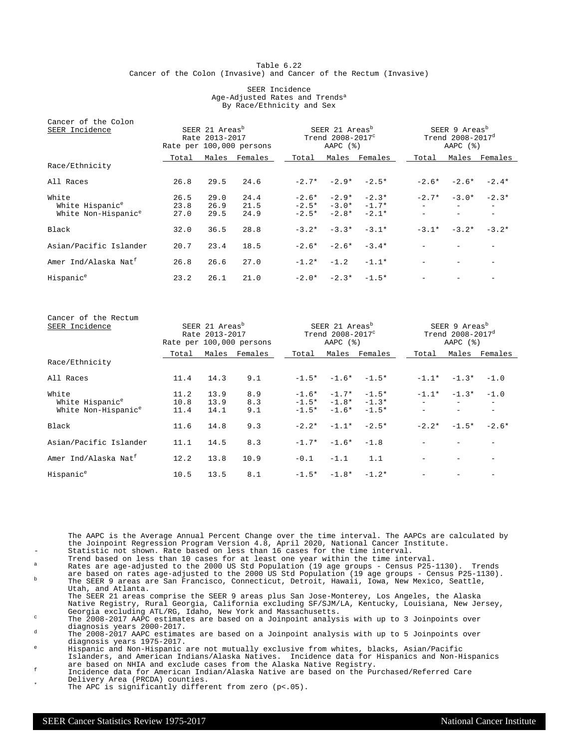#### Table 6.22 Cancer of the Colon (Invasive) and Cancer of the Rectum (Invasive)

#### SEER Incidence Age-Adjusted Rates and Trends<sup>a</sup> By Race/Ethnicity and Sex

| Cancer of the Colon              |                                                                          |      |               |         |                                                                          |                     |                                                                             |                     |               |
|----------------------------------|--------------------------------------------------------------------------|------|---------------|---------|--------------------------------------------------------------------------|---------------------|-----------------------------------------------------------------------------|---------------------|---------------|
| SEER Incidence                   | SEER 21 Areas <sup>b</sup><br>Rate 2013-2017<br>Rate per 100,000 persons |      |               |         | SEER 21 Areas <sup>b</sup><br>Trend 2008-2017 <sup>c</sup><br>AAPC $(%)$ |                     | SEER 9 Areas <sup>b</sup><br>Trend $2008 - 2017$ <sup>d</sup><br>AAPC $(%)$ |                     |               |
|                                  | Total                                                                    |      | Males Females | Total   |                                                                          | Males Females       | Total                                                                       |                     | Males Females |
| Race/Ethnicity                   |                                                                          |      |               |         |                                                                          |                     |                                                                             |                     |               |
| All Races                        | 26.8                                                                     | 29.5 | 24.6          |         |                                                                          | $-2.7* -2.9* -2.5*$ | $-2.6*$                                                                     | $-2.6*$             | $-2.4*$       |
| White                            | 26.5                                                                     | 29.0 | 24.4          |         | $-2.6* -2.9*$                                                            | $-2.3*$             |                                                                             | $-2.7* -3.0*$       | $-2.3*$       |
| White Hispanic <sup>e</sup>      | 23.8                                                                     | 26.9 | 21.5          |         |                                                                          | $-2.5* -3.0* -1.7*$ |                                                                             |                     |               |
| White Non-Hispanic <sup>e</sup>  | 27.0                                                                     | 29.5 | 24.9          | $-2.5*$ | $-2.8*$                                                                  | $-2.1*$             |                                                                             |                     |               |
| Black                            | 32.0                                                                     | 36.5 | 28.8          |         | $-3.2* -3.3*$                                                            | $-3.1*$             |                                                                             | $-3.1* -3.2* -3.2*$ |               |
| Asian/Pacific Islander           | 20.7                                                                     | 23.4 | 18.5          | $-2.6*$ | $-2.6*$                                                                  | $-3.4*$             |                                                                             |                     |               |
| Amer Ind/Alaska Nat <sup>f</sup> | 26.8                                                                     | 26.6 | 27.0          |         | $-1.2* -1.2$                                                             | $-1.1*$             |                                                                             |                     |               |
| Hispanic <sup>e</sup>            | 23.2                                                                     | 26.1 | 21.0          |         |                                                                          | $-2.0* -2.3* -1.5*$ |                                                                             |                     |               |

| Cancer of the Rectum<br>SEER Incidence                                  | SEER 21 Areas <sup>b</sup><br>Rate 2013-2017<br>Rate per 100,000 persons |                      |                   |        | SEER 21 Areas <sup>b</sup><br>Trend 2008-2017 <sup>c</sup><br>AAPC $(%)$ |                                               |         | SEER 9 Areas <sup>b</sup><br>Trend 2008-2017 <sup>d</sup><br>AAPC $(%)$ |                                    |  |
|-------------------------------------------------------------------------|--------------------------------------------------------------------------|----------------------|-------------------|--------|--------------------------------------------------------------------------|-----------------------------------------------|---------|-------------------------------------------------------------------------|------------------------------------|--|
|                                                                         | Total                                                                    | Males                | Females           | Total  |                                                                          | Males Females                                 | Total   |                                                                         | Males Females                      |  |
| Race/Ethnicity                                                          |                                                                          |                      |                   |        |                                                                          |                                               |         |                                                                         |                                    |  |
| All Races                                                               | 11.4                                                                     | 14.3                 | 9.1               |        |                                                                          | $-1.5* -1.6* -1.5*$                           |         | $-1.1* -1.3*$                                                           | $-1.0$                             |  |
| White<br>White Hispanic <sup>e</sup><br>White Non-Hispanic <sup>e</sup> | 11.2<br>10.8<br>11.4                                                     | 13.9<br>13.9<br>14.1 | 8.9<br>8.3<br>9.1 |        | $-1.6* -1.7*$<br>$-1.5* -1.6*$                                           | $-1.5*$<br>$-1.5*$ $-1.8*$ $-1.3*$<br>$-1.5*$ |         | $-1.1* -1.3*$<br>$\overline{\phantom{m}}$                               | $-1.0$<br>$\overline{\phantom{0}}$ |  |
| Black                                                                   | 11.6                                                                     | 14.8                 | 9.3               |        | $-2.2* -1.1*$                                                            | $-2.5*$                                       | $-2.2*$ | $-1.5*$                                                                 | $-2.6*$                            |  |
| Asian/Pacific Islander                                                  | 11.1                                                                     | 14.5                 | 8.3               |        | $-1.7* -1.6* -1.8$                                                       |                                               |         |                                                                         |                                    |  |
| Amer Ind/Alaska Nat <sup>t</sup>                                        | 12.2                                                                     | 13.8                 | 10.9              | $-0.1$ | $-1.1$                                                                   | 1.1                                           |         |                                                                         |                                    |  |
| Hispanic <sup>e</sup>                                                   | 10.5                                                                     | 13.5                 | 8.1               |        | $-1.5* -1.8* -1.2*$                                                      |                                               |         |                                                                         |                                    |  |

The AAPC is the Average Annual Percent Change over the time interval. The AAPCs are calculated by the Joinpoint Regression Program Version 4.8, April 2020, National Cancer Institute. - Statistic not shown. Rate based on less than 16 cases for the time interval.

Trend based on less than 10 cases for at least one year within the time interval.

 $^{\text{a}}$  Rates are age-adjusted to the 2000 US Std Population (19 age groups - Census P25-1130). Trends

are based on rates age-adjusted to the 2000 US Std Population (19 age groups - Census P25-1130). <sup>b</sup> The SEER 9 areas are San Francisco, Connecticut, Detroit, Hawaii, Iowa, New Mexico, Seattle, Utah, and Atlanta.

The SEER 21 areas comprise the SEER 9 areas plus San Jose-Monterey, Los Angeles, the Alaska Native Registry, Rural Georgia, California excluding SF/SJM/LA, Kentucky, Louisiana, New Jersey,

Georgia excluding ATL/RG, Idaho, New York and Massachusetts. <sup>c</sup> The 2008-2017 AAPC estimates are based on a Joinpoint analysis with up to 3 Joinpoints over diagnosis years 2000-2017.

 $d$  The 2008-2017 AAPC estimates are based on a Joinpoint analysis with up to 5 Joinpoints over diagnosis years 1975-2017.

<sup>e</sup> Hispanic and Non-Hispanic are not mutually exclusive from whites, blacks, Asian/Pacific Islanders, and American Indians/Alaska Natives. Incidence data for Hispanics and Non-Hispanics are based on NHIA and exclude cases from the Alaska Native Registry.

<sup>f</sup> Incidence data for American Indian/Alaska Native are based on the Purchased/Referred Care Delivery Area (PRCDA) counties.

The APC is significantly different from zero (p<.05).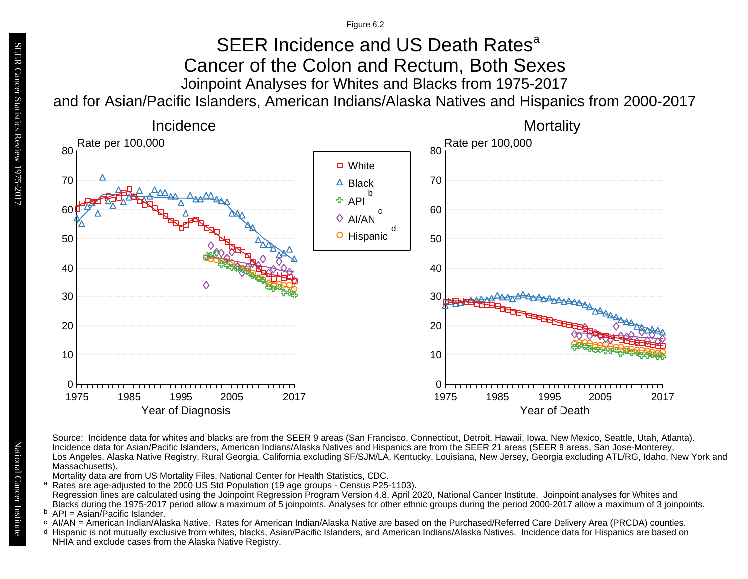Figure 6.2

### Joinpoint Analyses for Whites and Blacks from 1975-2017 and for Asian/Pacific Islanders, American Indians/Alaska Natives and Hispanics from 2000-2017 SEER Incidence and US Death Rates<sup>a</sup> Cancer of the Colon and Rectum, Both Sexes



Source: Incidence data for whites and blacks are from the SEER 9 areas (San Francisco, Connecticut, Detroit, Hawaii, Iowa, New Mexico, Seattle, Utah, Atlanta). Incidence data for Asian/Pacific Islanders, American Indians/Alaska Natives and Hispanics are from the SEER 21 areas (SEER 9 areas, San Jose-Monterey, Los Angeles, Alaska Native Registry, Rural Georgia, California excluding SF/SJM/LA, Kentucky, Louisiana, New Jersey, Georgia excluding ATL/RG, Idaho, New York and Massachusetts).

Mortality data are from US Mortality Files, National Center for Health Statistics, CDC.

a<br>b<br>d Rates are age-adjusted to the 2000 US Std Population (19 age groups - Census P25-1103). a Regression lines are calculated using the Joinpoint Regression Program Version 4.8, April 2020, National Cancer Institute. Joinpoint analyses for Whites and Blacks during the 1975-2017 period allow a maximum of 5 joinpoints. Analyses for other ethnic groups during the period 2000-2017 allow a maximum of 3 joinpoints.

<sup>b</sup> API = Asian/Pacific Islander.<br>○ AI/AN = American Indian/Ala

- AI/AN = American Indian/Alaska Native. Rates for American Indian/Alaska Native are based on the Purchased/Referred Care Delivery Area (PRCDA) counties.
- Hispanic is not mutually exclusive from whites, blacks, Asian/Pacific Islanders, and American Indians/Alaska Natives. Incidence data for Hispanics are based on NHIA and exclude cases from the Alaska Native Registry.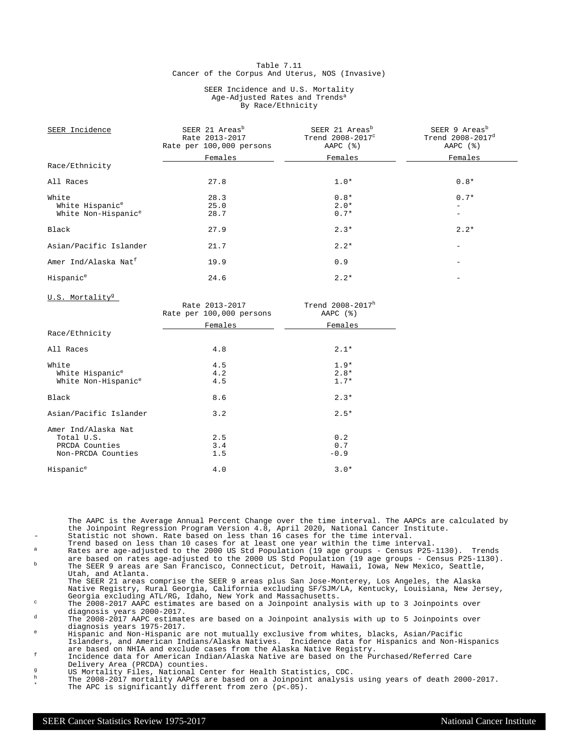#### Table 7.11 Cancer of the Corpus And Uterus, NOS (Invasive)

#### SEER Incidence and U.S. Mortality Age-Adjusted Rates and Trends<sup>a</sup> By Race/Ethnicity

| SEER Incidence                   | SEER 21 Areas <sup>b</sup><br>Rate 2013-2017<br>Rate per 100,000 persons | SEER 21 Areas <sup>b</sup><br>Trend 2008-2017 <sup>c</sup><br>AAPC $(%)$ | SEER 9 Areas <sup>b</sup><br>Trend 2008-2017 <sup>d</sup><br>AAPC $(%)$ |
|----------------------------------|--------------------------------------------------------------------------|--------------------------------------------------------------------------|-------------------------------------------------------------------------|
|                                  | Females                                                                  | Females                                                                  | Females                                                                 |
| Race/Ethnicity                   |                                                                          |                                                                          |                                                                         |
| All Races                        | 27.8                                                                     | $1.0*$                                                                   | $0.8*$                                                                  |
| White                            | 28.3                                                                     | $0.8*$                                                                   | $0.7*$                                                                  |
| White Hispanic <sup>e</sup>      | 25.0                                                                     | $2.0*$                                                                   |                                                                         |
| White Non-Hispanic <sup>e</sup>  | 28.7                                                                     | $0.7*$                                                                   |                                                                         |
| Black                            | 27.9                                                                     | $2.3*$                                                                   | $2.2*$                                                                  |
| Asian/Pacific Islander           | 21.7                                                                     | $2.2*$                                                                   |                                                                         |
| Amer Ind/Alaska Nat <sup>f</sup> | 19.9                                                                     | 0.9                                                                      |                                                                         |
| Hispanic <sup>e</sup>            | 24.6                                                                     | $2.2*$                                                                   |                                                                         |

U.S. Mortality<sup>g</sup>

| 0.0. MOLLGILLY                  | Rate 2013-2017<br>Rate per 100,000 persons | Trend 2008-2017h<br>AAPC $(%)$ |
|---------------------------------|--------------------------------------------|--------------------------------|
|                                 | Females                                    | Females                        |
| Race/Ethnicity                  |                                            |                                |
| All Races                       | 4.8                                        | $2.1*$                         |
| White                           | 4.5                                        | $1.9*$                         |
| White Hispanic <sup>e</sup>     | 4.2                                        | $2.8*$                         |
| White Non-Hispanic <sup>e</sup> | 4.5                                        | $1.7*$                         |
| Black                           | 8.6                                        | $2.3*$                         |
| Asian/Pacific Islander          | 3.2                                        | $2.5*$                         |
| Amer Ind/Alaska Nat             |                                            |                                |
| Total U.S.                      | 2.5                                        | 0.2                            |
| PRCDA Counties                  | 3.4                                        | 0.7                            |
| Non-PRCDA Counties              | 1.5                                        | $-0.9$                         |
| Hispanic <sup>e</sup>           | 4.0                                        | $3.0*$                         |

The AAPC is the Average Annual Percent Change over the time interval. The AAPCs are calculated by the Joinpoint Regression Program Version 4.8, April 2020, National Cancer Institute. Statistic not shown. Rate based on less than 16 cases for the time interval.

- Trend based on less than 10 cases for at least one year within the time interval. <sup>a</sup> Rates are age-adjusted to the 2000 US Std Population (19 age groups Census P25-1130). Trends
- are based on rates age-adjusted to the 2000 US Std Population (19 age groups Census P25-1130). <sup>b</sup> The SEER 9 areas are San Francisco, Connecticut, Detroit, Hawaii, Iowa, New Mexico, Seattle, Utah, and Atlanta.

The SEER 21 areas comprise the SEER 9 areas plus San Jose-Monterey, Los Angeles, the Alaska Native Registry, Rural Georgia, California excluding SF/SJM/LA, Kentucky, Louisiana, New Jersey, Georgia excluding ATL/RG, Idaho, New York and Massachusetts.

<sup>c</sup> The 2008-2017 AAPC estimates are based on a Joinpoint analysis with up to 3 Joinpoints over diagnosis years 2000-2017.

<sup>d</sup> The 2008-2017 AAPC estimates are based on a Joinpoint analysis with up to 5 Joinpoints over diagnosis years 1975-2017.

<sup>e</sup> Hispanic and Non-Hispanic are not mutually exclusive from whites, blacks, Asian/Pacific Islanders, and American Indians/Alaska Natives. Incidence data for Hispanics and Non-Hispanics are based on NHIA and exclude cases from the Alaska Native Registry.

<sup>f</sup> Incidence data for American Indian/Alaska Native are based on the Purchased/Referred Care Delivery Area (PRCDA) counties.

g<br>
US Mortality Files, National Center for Health Statistics, CDC.<br>
The 2008–2017 mentality ADCs are based an a Joinnaint applying

<sup>h</sup> The 2008-2017 mortality AAPCs are based on a Joinpoint analysis using years of death 2000-2017. \* The APC is significantly different from zero (p<.05).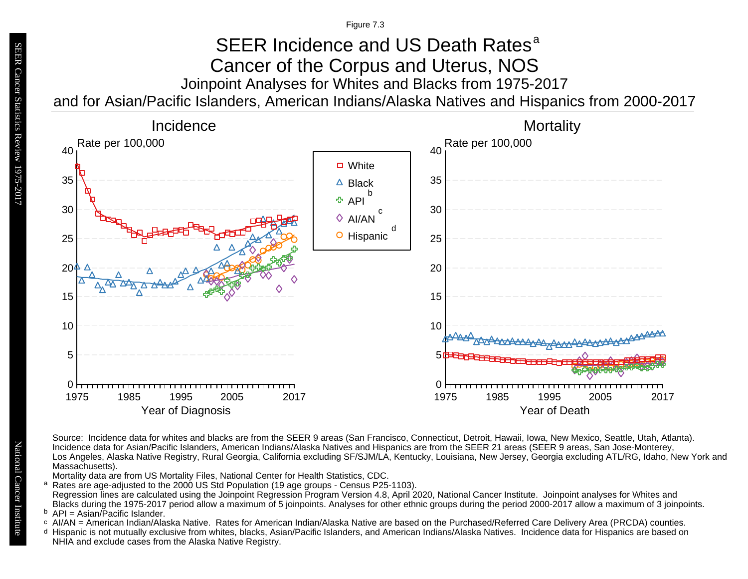Figure 7.3

### Joinpoint Analyses for Whites and Blacks from 1975-2017 and for Asian/Pacific Islanders, American Indians/Alaska Natives and Hispanics from 2000-2017 SEER Incidence and US Death Rates<sup>a</sup> Cancer of the Corpus and Uterus, NOS



Source: Incidence data for whites and blacks are from the SEER 9 areas (San Francisco, Connecticut, Detroit, Hawaii, Iowa, New Mexico, Seattle, Utah, Atlanta). Incidence data for Asian/Pacific Islanders, American Indians/Alaska Natives and Hispanics are from the SEER 21 areas (SEER 9 areas, San Jose-Monterey, Los Angeles, Alaska Native Registry, Rural Georgia, California excluding SF/SJM/LA, Kentucky, Louisiana, New Jersey, Georgia excluding ATL/RG, Idaho, New York and Massachusetts). Mortality data are from US Mortality Files, National Center for Health Statistics, CDC. a<br>b<br>d Rates are age-adjusted to the 2000 US Std Population (19 age groups - Census P25-1103). a Regression lines are calculated using the Joinpoint Regression Program Version 4.8, April 2020, National Cancer Institute. Joinpoint analyses for Whites and

Blacks during the 1975-2017 period allow a maximum of 5 joinpoints. Analyses for other ethnic groups during the period 2000-2017 allow a maximum of 3 joinpoints. <sup>b</sup> API = Asian/Pacific Islander.<br>○ AI/AN = American Indian/Ala

- AI/AN = American Indian/Alaska Native. Rates for American Indian/Alaska Native are based on the Purchased/Referred Care Delivery Area (PRCDA) counties.
- Hispanic is not mutually exclusive from whites, blacks, Asian/Pacific Islanders, and American Indians/Alaska Natives. Incidence data for Hispanics are based on NHIA and exclude cases from the Alaska Native Registry.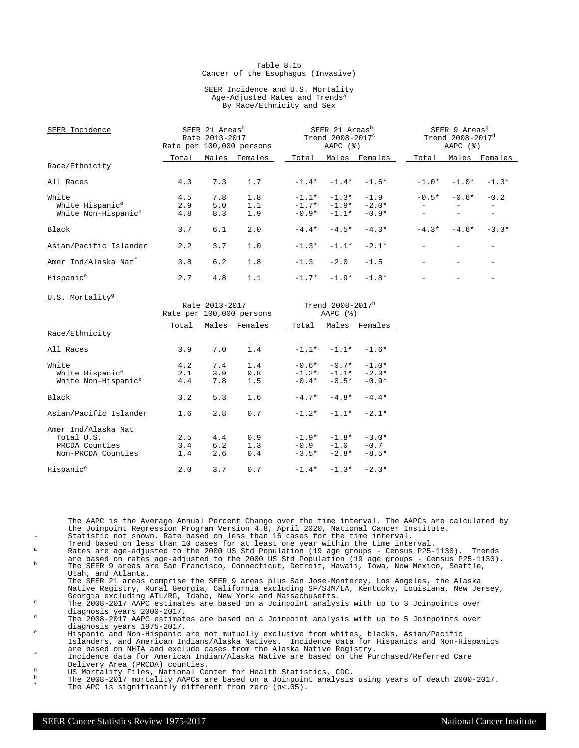#### Table 8.15 Cancer of the Esophagus (Invasive)

#### SEER Incidence and U.S. Mortality Age-Adjusted Rates and Trends<sup>a</sup> By Race/Ethnicity and Sex

| SEER Incidence                   | SEER 21 Areas <sup>b</sup><br>Rate 2013-2017<br>Rate per 100,000 persons |     |               | SEER 21 Areas <sup>b</sup><br>Trend 2008-2017 <sup>c</sup><br>AAPC $(%)$ |         |                         | SEER 9 Areas <sup>b</sup><br>Trend $2008 - 2017^d$<br>AAPC $(%)$ |                   |                          |
|----------------------------------|--------------------------------------------------------------------------|-----|---------------|--------------------------------------------------------------------------|---------|-------------------------|------------------------------------------------------------------|-------------------|--------------------------|
|                                  | Total                                                                    |     | Males Females | Total                                                                    |         | Males Females           | Total                                                            |                   | Males Females            |
| Race/Ethnicity                   |                                                                          |     |               |                                                                          |         |                         |                                                                  |                   |                          |
| All Races                        | 4.3                                                                      | 7.3 | 1.7           |                                                                          |         | $-1.4* -1.4* -1.6*$     | $-1.0*$                                                          |                   | $-1.0* -1.3*$            |
| White                            | 4.5                                                                      | 7.8 | 1.8           | $-1.1*$                                                                  |         | $-1.3* -1.9$            | $-0.5*$                                                          | $-0.6*$           | $-0.2$                   |
| White Hispanic <sup>e</sup>      | 2.9                                                                      | 5.0 | 1.1           |                                                                          |         | $-1.7*$ $-1.9*$ $-2.0*$ |                                                                  |                   | $\overline{\phantom{0}}$ |
| White Non-Hispanic <sup>e</sup>  | 4.8                                                                      | 8.3 | 1.9           | $-0.9*$                                                                  | $-1.1*$ | $-0.9*$                 |                                                                  |                   |                          |
| Black                            | 3.7                                                                      | 6.1 | 2.0           | $-4.4*$                                                                  | $-4.5*$ | $-4.3*$                 | $-4.3*$                                                          | $-4.6*$           | $-3.3*$                  |
| Asian/Pacific Islander           | 2.2                                                                      | 3.7 | 1.0           |                                                                          |         | $-1.3* -1.1* -2.1*$     |                                                                  |                   |                          |
| Amer Ind/Alaska Nat <sup>f</sup> | 3.8                                                                      | 6.2 | 1.8           | $-1.3$                                                                   | $-2.0$  | $-1.5$                  |                                                                  | $\qquad \qquad -$ |                          |
| Hispanic <sup>e</sup>            | 2.7                                                                      | 4.8 | 1.1           |                                                                          |         | $-1.7* -1.9* -1.8*$     |                                                                  |                   |                          |
| U.S. Mortality <sup>g</sup>      |                                                                          |     |               |                                                                          |         |                         |                                                                  |                   |                          |

| 0.0. MOLLGILLY                                                            |                   | Rate 2013-2017    | Rate per 100,000 persons | Trend 2008-2017h<br>AAPC $(%)$ |                                                       |                              |  |  |
|---------------------------------------------------------------------------|-------------------|-------------------|--------------------------|--------------------------------|-------------------------------------------------------|------------------------------|--|--|
|                                                                           | Total             |                   | Males Females            | Total                          |                                                       | Males Females                |  |  |
| Race/Ethnicity                                                            |                   |                   |                          |                                |                                                       |                              |  |  |
| All Races                                                                 | 3.9               | 7.0               | 1.4                      |                                | $-1.1* -1.1* -1.6*$                                   |                              |  |  |
| White<br>White Hispanic <sup>e</sup><br>White Non-Hispanic <sup>e</sup>   | 4.2<br>2.1<br>4.4 | 7.4<br>3.9<br>7.8 | 1.4<br>0.8<br>1.5        |                                | $-0.6* -0.7* -1.0*$<br>$-1.2* -1.1*$<br>$-0.4* -0.5*$ | $-2.3*$<br>$-0.9*$           |  |  |
| Black                                                                     | 3.2               | 5.3               | 1.6                      |                                | $-4.7* -4.8*$                                         | $-4.4*$                      |  |  |
| Asian/Pacific Islander                                                    | 1.6               | 2.8               | 0.7                      |                                | $-1.2* -1.1* -2.1*$                                   |                              |  |  |
| Amer Ind/Alaska Nat<br>Total U.S.<br>PRCDA Counties<br>Non-PRCDA Counties | 2.5<br>3.4<br>1.4 | 4.4<br>6.2<br>2.6 | 0.9<br>1.3<br>0.4        |                                | $-1.9* -1.8*$<br>$-0.9 -1.0$<br>$-3.5* -2.8*$         | $-3.0*$<br>$-0.7$<br>$-8.5*$ |  |  |
| Hispanic <sup>e</sup>                                                     | 2.0               | 3.7               | 0.7                      |                                | $-1.4* -1.3* -2.3*$                                   |                              |  |  |

The AAPC is the Average Annual Percent Change over the time interval. The AAPCs are calculated by the Joinpoint Regression Program Version 4.8, April 2020, National Cancer Institute. Statistic not shown. Rate based on less than 16 cases for the time interval.

Trend based on less than 10 cases for at least one year within the time interval. <sup>a</sup> Rates are age-adjusted to the 2000 US Std Population (19 age groups - Census P25-1130). Trends

are based on rates age-adjusted to the 2000 US Std Population (19 age groups - Census P25-1130). <sup>b</sup> The SEER 9 areas are San Francisco, Connecticut, Detroit, Hawaii, Iowa, New Mexico, Seattle, Utah, and Atlanta.

The SEER 21 areas comprise the SEER 9 areas plus San Jose-Monterey, Los Angeles, the Alaska Native Registry, Rural Georgia, California excluding SF/SJM/LA, Kentucky, Louisiana, New Jersey, Georgia excluding ATL/RG, Idaho, New York and Massachusetts.

<sup>c</sup> The 2008-2017 AAPC estimates are based on a Joinpoint analysis with up to 3 Joinpoints over diagnosis years 2000-2017.

<sup>d</sup> The 2008-2017 AAPC estimates are based on a Joinpoint analysis with up to 5 Joinpoints over diagnosis years 1975-2017.

<sup>e</sup> Hispanic and Non-Hispanic are not mutually exclusive from whites, blacks, Asian/Pacific Islanders, and American Indians/Alaska Natives. Incidence data for Hispanics and Non-Hispanics are based on NHIA and exclude cases from the Alaska Native Registry.

<sup>f</sup> Incidence data for American Indian/Alaska Native are based on the Purchased/Referred Care Delivery Area (PRCDA) counties.

g<br>
US Mortality Files, National Center for Health Statistics, CDC.<br>
The 2008-2017 mortality AADCs are based on a Joinnoint analysis

<sup>h</sup> The 2008-2017 mortality AAPCs are based on a Joinpoint analysis using years of death 2000-2017. \* The APC is significantly different from zero (p<.05).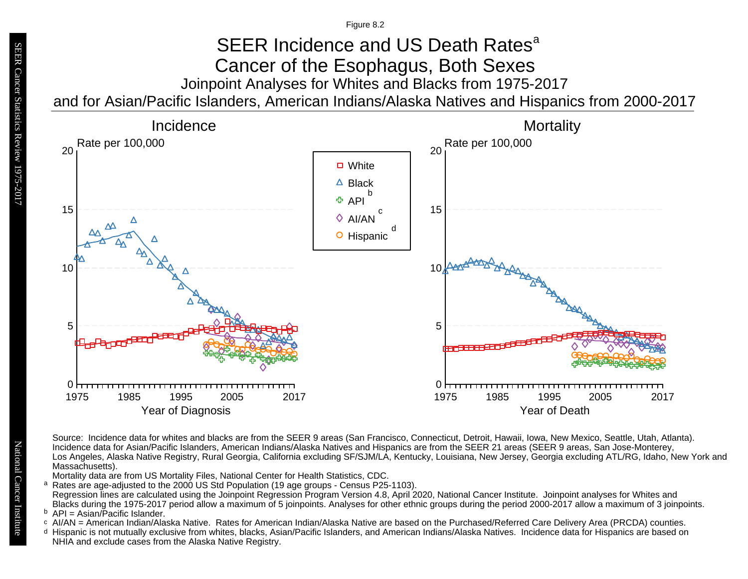Figure 8.2

## Joinpoint Analyses for Whites and Blacks from 1975-2017 and for Asian/Pacific Islanders, American Indians/Alaska Natives and Hispanics from 2000-2017 SEER Incidence and US Death Rates<sup>a</sup> Cancer of the Esophagus, Both Sexes



Source: Incidence data for whites and blacks are from the SEER 9 areas (San Francisco, Connecticut, Detroit, Hawaii, Iowa, New Mexico, Seattle, Utah, Atlanta). Incidence data for Asian/Pacific Islanders, American Indians/Alaska Natives and Hispanics are from the SEER 21 areas (SEER 9 areas, San Jose-Monterey, Los Angeles, Alaska Native Registry, Rural Georgia, California excluding SF/SJM/LA, Kentucky, Louisiana, New Jersey, Georgia excluding ATL/RG, Idaho, New York and Massachusetts).

Mortality data are from US Mortality Files, National Center for Health Statistics, CDC.

- a<br>b<br>d Rates are age-adjusted to the 2000 US Std Population (19 age groups - Census P25-1103). a Regression lines are calculated using the Joinpoint Regression Program Version 4.8, April 2020, National Cancer Institute. Joinpoint analyses for Whites and Blacks during the 1975-2017 period allow a maximum of 5 joinpoints. Analyses for other ethnic groups during the period 2000-2017 allow a maximum of 3 joinpoints.
- <sup>b</sup> API = Asian/Pacific Islander.<br>○ AI/AN = American Indian/Ala
- AI/AN = American Indian/Alaska Native. Rates for American Indian/Alaska Native are based on the Purchased/Referred Care Delivery Area (PRCDA) counties.
- Hispanic is not mutually exclusive from whites, blacks, Asian/Pacific Islanders, and American Indians/Alaska Natives. Incidence data for Hispanics are based on NHIA and exclude cases from the Alaska Native Registry.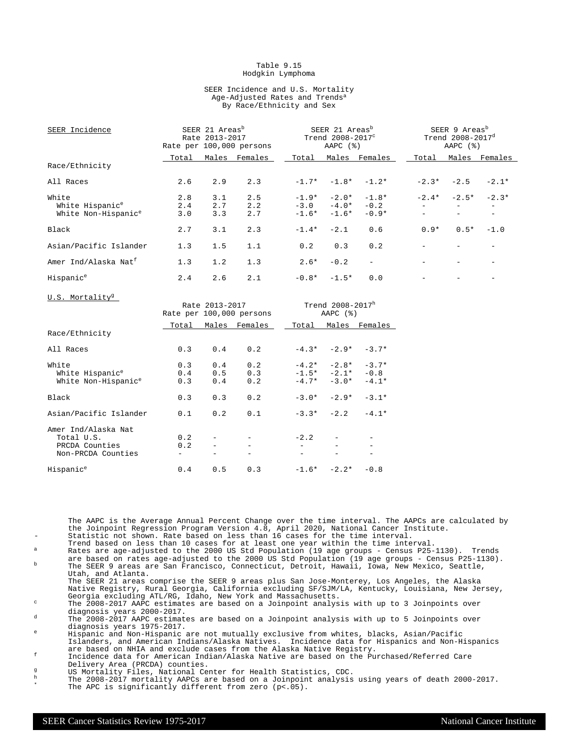#### Table 9.15 Hodgkin Lymphoma

#### SEER Incidence and U.S. Mortality Age-Adjusted Rates and Trends<sup>a</sup> By Race/Ethnicity and Sex

| SEER Incidence                   | SEER 21 Areas <sup>b</sup><br>Rate 2013-2017<br>Rate per 100,000 persons |     |                     |                                     | SEER 21 Areas <sup>b</sup><br>Trend $2008-2017^{\circ}$<br>AAPC $(%)$ |                         |        | SEER 9 Areas <sup>b</sup><br>Trend $2008 - 2017^d$<br>AAPC $(%)$ |               |  |
|----------------------------------|--------------------------------------------------------------------------|-----|---------------------|-------------------------------------|-----------------------------------------------------------------------|-------------------------|--------|------------------------------------------------------------------|---------------|--|
|                                  | Total                                                                    |     | Males Females       | Total                               |                                                                       | Males Females           | Total  |                                                                  | Males Females |  |
| Race/Ethnicity                   |                                                                          |     |                     |                                     |                                                                       |                         |        |                                                                  |               |  |
| All Races                        | 2.6                                                                      | 2.9 | 2.3                 |                                     |                                                                       | $-1.7*$ $-1.8*$ $-1.2*$ |        | $-2.3* -2.5$                                                     | $-2.1*$       |  |
| White                            | 2.8                                                                      | 3.1 | 2.5                 |                                     |                                                                       | $-1.9* -2.0* -1.8*$     |        | $-2.4* -2.5*$                                                    | $-2.3*$       |  |
| White Hispanic <sup>e</sup>      | 2.4                                                                      | 2.7 | 2.2                 |                                     |                                                                       | $-3.0 -4.0* -0.2$       |        |                                                                  |               |  |
| White Non-Hispanic <sup>e</sup>  | 3.0                                                                      | 3.3 | 2.7                 |                                     | $-1.6* -1.6*$                                                         | $-0.9*$                 |        | $\equiv$                                                         |               |  |
| Black                            | 2.7                                                                      | 3.1 | 2.3                 | $-1.4*$                             | $-2.1$                                                                | 0.6                     | $0.9*$ | $0.5*$                                                           | $-1.0$        |  |
| Asian/Pacific Islander           | 1.3                                                                      | 1.5 | 1.1                 | 0.2                                 | 0.3                                                                   | 0.2                     |        |                                                                  |               |  |
| Amer Ind/Alaska Nat <sup>f</sup> | 1.3                                                                      | 1.2 | 1.3                 | $2.6*$                              | $-0.2$                                                                | $\equiv$                |        |                                                                  |               |  |
| Hispanic <sup>e</sup>            | 2.4                                                                      | 2.6 | 2.1                 |                                     | $-0.8* -1.5*$                                                         | 0.0                     |        |                                                                  |               |  |
| U.S. Mortality <sup>g</sup>      | Rate 2013-2017<br>Rate per 100,000 persons                               |     |                     | Trend $2008 - 2017^h$<br>AAPC $(%)$ |                                                                       |                         |        |                                                                  |               |  |
|                                  |                                                                          |     | Total Males Females |                                     |                                                                       | Total Males Females     |        |                                                                  |               |  |

|                                                                           | Total             |                          | Males Females     | Total  |                                                 | Males Females                |
|---------------------------------------------------------------------------|-------------------|--------------------------|-------------------|--------|-------------------------------------------------|------------------------------|
| Race/Ethnicity                                                            |                   |                          |                   |        |                                                 |                              |
| All Races                                                                 | 0.3               | 0.4                      | 0.2               |        | $-4.3* -2.9*$                                   | $-3.7*$                      |
| White<br>White Hispanic <sup>e</sup><br>White Non-Hispanic <sup>e</sup>   | 0.3<br>0.4<br>0.3 | 0.4<br>$0.5 -$<br>0.4    | 0.2<br>0.3<br>0.2 |        | $-4.2* -2.8*$<br>$-1.5* -2.1*$<br>$-4.7* -3.0*$ | $-3.7*$<br>$-0.8$<br>$-4.1*$ |
| Black                                                                     | 0.3               | 0.3                      | 0.2               |        | $-3.0* -2.9*$                                   | $-3.1*$                      |
| Asian/Pacific Islander                                                    | 0.1               | 0.2                      | 0.1               |        | $-3.3* -2.2 -4.1*$                              |                              |
| Amer Ind/Alaska Nat<br>Total U.S.<br>PRCDA Counties<br>Non-PRCDA Counties | 0.2<br>0.2        | $\overline{\phantom{a}}$ |                   | $-2.2$ |                                                 |                              |
| Hispanic <sup>e</sup>                                                     | 0.4               | 0.5                      | 0.3               |        | $-1.6* -2.2*$                                   | $-0.8$                       |

The AAPC is the Average Annual Percent Change over the time interval. The AAPCs are calculated by the Joinpoint Regression Program Version 4.8, April 2020, National Cancer Institute. Statistic not shown. Rate based on less than 16 cases for the time interval.

- Trend based on less than 10 cases for at least one year within the time interval. <sup>a</sup> Rates are age-adjusted to the 2000 US Std Population (19 age groups Census P25-1130). Trends
- are based on rates age-adjusted to the 2000 US Std Population (19 age groups Census P25-1130). <sup>b</sup> The SEER 9 areas are San Francisco, Connecticut, Detroit, Hawaii, Iowa, New Mexico, Seattle, Utah, and Atlanta.

The SEER 21 areas comprise the SEER 9 areas plus San Jose-Monterey, Los Angeles, the Alaska Native Registry, Rural Georgia, California excluding SF/SJM/LA, Kentucky, Louisiana, New Jersey, Georgia excluding ATL/RG, Idaho, New York and Massachusetts.

<sup>c</sup> The 2008-2017 AAPC estimates are based on a Joinpoint analysis with up to 3 Joinpoints over diagnosis years 2000-2017.

<sup>d</sup> The 2008-2017 AAPC estimates are based on a Joinpoint analysis with up to 5 Joinpoints over diagnosis years 1975-2017.

<sup>e</sup> Hispanic and Non-Hispanic are not mutually exclusive from whites, blacks, Asian/Pacific Islanders, and American Indians/Alaska Natives. Incidence data for Hispanics and Non-Hispanics are based on NHIA and exclude cases from the Alaska Native Registry.

<sup>f</sup> Incidence data for American Indian/Alaska Native are based on the Purchased/Referred Care Delivery Area (PRCDA) counties.

g<br>
US Mortality Files, National Center for Health Statistics, CDC.<br>
The 2008-2017 mortality AADCs are based on a Joinnoint analysis

<sup>h</sup> The 2008-2017 mortality AAPCs are based on a Joinpoint analysis using years of death 2000-2017. \* The APC is significantly different from zero (p<.05).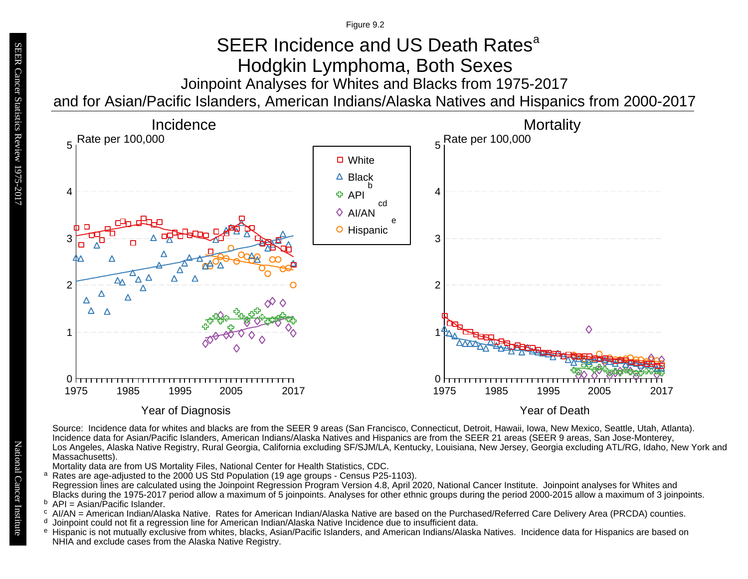Figure 9.2

# Joinpoint Analyses for Whites and Blacks from 1975-2017 SEER Incidence and US Death Rates<sup>a</sup> Hodgkin Lymphoma, Both Sexes

and for Asian/Pacific Islanders, American Indians/Alaska Natives and Hispanics from 2000-2017



Source: Incidence data for whites and blacks are from the SEER 9 areas (San Francisco, Connecticut, Detroit, Hawaii, Iowa, New Mexico, Seattle, Utah, Atlanta). Incidence data for Asian/Pacific Islanders, American Indians/Alaska Natives and Hispanics are from the SEER 21 areas (SEER 9 areas, San Jose-Monterey, Los Angeles, Alaska Native Registry, Rural Georgia, California excluding SF/SJM/LA, Kentucky, Louisiana, New Jersey, Georgia excluding ATL/RG, Idaho, New York and Massachusetts).

Mortality data are from US Mortality Files, National Center for Health Statistics, CDC.

Rates are age-adjusted to the 2000 US Std Population (19 age groups - Census P25-1103). Regression lines are calculated using the Joinpoint Regression Program Version 4.8, April 2020, National Cancer Institute. Joinpoint analyses for Whites and Blacks during the 1975-2017 period allow a maximum of 5 joinpoints. Analyses for other ethnic groups during the period 2000-2015 allow a maximum of 3 joinpoints.

<sup>b</sup> API = Asian/Pacific Islander.<br><sup>c</sup> AI/AN – American Indian/Ala

- AI/AN = American Indian/Alaska Native. Rates for American Indian/Alaska Native are based on the Purchased/Referred Care Delivery Area (PRCDA) counties.
- Joinpoint could not fit a regression line for American Indian/Alaska Native Incidence due to insufficient data. d
- <sup>e</sup> Hispanic is not mutually exclusive from whites, blacks, Asian/Pacific Islanders, and American Indians/Alaska Natives. Incidence data for Hispanics are based on NHIA and exclude cases from the Alaska Native Registry. a<br>b c d<br>e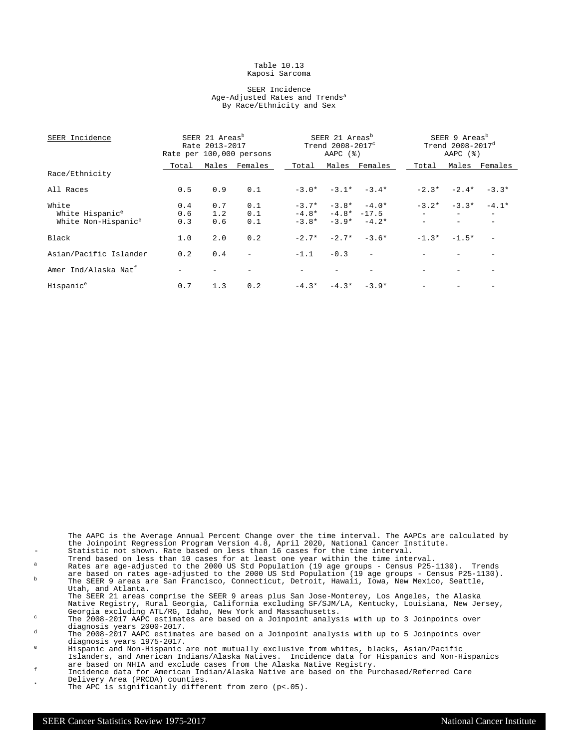#### Table 10.13 Kaposi Sarcoma

#### SEER Incidence Age-Adjusted Rates and Trends<sup>a</sup> By Race/Ethnicity and Sex

| SEER Incidence                   | SEER 21 Areas <sup>b</sup><br>Rate 2013-2017<br>Rate per 100,000 persons |     |                          |         | SEER 21 Areas <sup>b</sup><br>Trend 2008-2017 <sup>c</sup><br>AAPC (%) |                          |         | SEER 9 Areas <sup>b</sup><br>Trend $2008 - 2017^d$<br>AAPC $(%)$ |               |  |
|----------------------------------|--------------------------------------------------------------------------|-----|--------------------------|---------|------------------------------------------------------------------------|--------------------------|---------|------------------------------------------------------------------|---------------|--|
|                                  | Total                                                                    |     | Males Females            | Total   |                                                                        | Males Females            | Total   |                                                                  | Males Females |  |
| Race/Ethnicity                   |                                                                          |     |                          |         |                                                                        |                          |         |                                                                  |               |  |
| All Races                        | 0.5                                                                      | 0.9 | 0.1                      |         |                                                                        | $-3.0* -3.1* -3.4*$      | $-2.3*$ | $-2.4*$                                                          | $-3.3*$       |  |
| White                            | 0.4                                                                      | 0.7 | 0.1                      |         | $-3.7*$ $-3.8*$ $-4.0*$                                                |                          |         | $-3.2* -3.3*$                                                    | $-4.1*$       |  |
| White Hispanic <sup>e</sup>      | 0.6                                                                      | 1.2 | 0.1                      |         | $-4.8* -4.8* -17.5$                                                    |                          |         | $\overline{\phantom{0}}$                                         |               |  |
| White Non-Hispanic <sup>e</sup>  | 0.3                                                                      | 0.6 | 0.1                      | $-3.8*$ |                                                                        | $-3.9* -4.2*$            |         |                                                                  |               |  |
| Black                            | 1.0                                                                      | 2.0 | 0.2                      | $-2.7*$ |                                                                        | $-2.7* -3.6*$            |         | $-1.3* -1.5*$                                                    |               |  |
| Asian/Pacific Islander           | 0.2                                                                      | 0.4 | $\overline{\phantom{a}}$ | $-1.1$  | $-0.3$                                                                 | $\overline{\phantom{a}}$ |         |                                                                  |               |  |
| Amer Ind/Alaska Nat <sup>f</sup> |                                                                          |     |                          |         |                                                                        |                          |         |                                                                  |               |  |
| Hispanic <sup>e</sup>            | 0.7                                                                      | 1.3 | 0.2                      |         | $-4.3* -4.3* -3.9*$                                                    |                          |         |                                                                  |               |  |

The AAPC is the Average Annual Percent Change over the time interval. The AAPCs are calculated by the Joinpoint Regression Program Version 4.8, April 2020, National Cancer Institute. - Statistic not shown. Rate based on less than 16 cases for the time interval.

Trend based on less than 10 cases for at least one year within the time interval.

 $^{\text{a}}$  Rates are age-adjusted to the 2000 US Std Population (19 age groups - Census P25-1130). Trends are based on rates age-adjusted to the 2000 US Std Population (19 age groups - Census P25-1130). <sup>b</sup> The SEER 9 areas are San Francisco, Connecticut, Detroit, Hawaii, Iowa, New Mexico, Seattle,

Utah, and Atlanta. The SEER 21 areas comprise the SEER 9 areas plus San Jose-Monterey, Los Angeles, the Alaska

Native Registry, Rural Georgia, California excluding SF/SJM/LA, Kentucky, Louisiana, New Jersey, Georgia excluding ATL/RG, Idaho, New York and Massachusetts. <sup>c</sup> The 2008-2017 AAPC estimates are based on a Joinpoint analysis with up to 3 Joinpoints over

diagnosis years 2000-2017.

 $d$  The 2008-2017 AAPC estimates are based on a Joinpoint analysis with up to 5 Joinpoints over diagnosis years 1975-2017.

<sup>e</sup> Hispanic and Non-Hispanic are not mutually exclusive from whites, blacks, Asian/Pacific Islanders, and American Indians/Alaska Natives. Incidence data for Hispanics and Non-Hispanics are based on NHIA and exclude cases from the Alaska Native Registry.

- <sup>f</sup> Incidence data for American Indian/Alaska Native are based on the Purchased/Referred Care Delivery Area (PRCDA) counties.
	- The APC is significantly different from zero  $(p<.05)$ .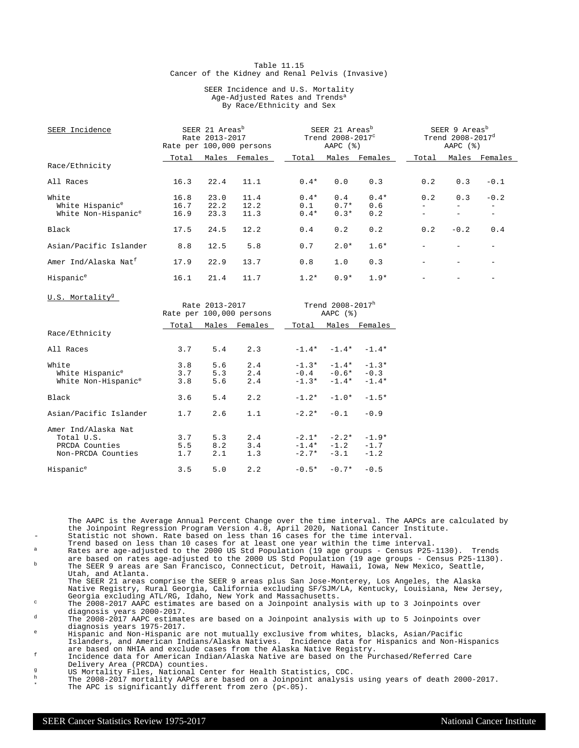#### Table 11.15 Cancer of the Kidney and Renal Pelvis (Invasive)

#### SEER Incidence and U.S. Mortality Age-Adjusted Rates and Trends<sup>a</sup> By Race/Ethnicity and Sex

| SEER Incidence                   | SEER 21 Areas <sup>b</sup><br>Rate 2013-2017<br>Rate per 100,000 persons |                |                          |         | SEER 21 Areas <sup>b</sup><br>Trend 2008-2017 <sup>c</sup><br>AAPC $(%)$ |                     | SEER 9 Areas <sup>b</sup><br>Trend 2008-2017 <sup>d</sup><br>AAPC $(%)$ |                          |                          |  |
|----------------------------------|--------------------------------------------------------------------------|----------------|--------------------------|---------|--------------------------------------------------------------------------|---------------------|-------------------------------------------------------------------------|--------------------------|--------------------------|--|
|                                  | Total                                                                    |                | Males Females            | Total   |                                                                          | Males Females       | Total                                                                   |                          | Males Females            |  |
| Race/Ethnicity                   |                                                                          |                |                          |         |                                                                          |                     |                                                                         |                          |                          |  |
| All Races                        | 16.3                                                                     | 22.4           | 11.1                     | $0.4*$  | 0.0                                                                      | 0.3                 | 0.2                                                                     | 0.3                      | $-0.1$                   |  |
| White                            | 16.8                                                                     | 23.0           | 11.4                     | $0.4*$  | 0.4                                                                      | $0.4*$              | 0.2                                                                     | 0.3                      | $-0.2$                   |  |
| White Hispanic <sup>e</sup>      | 16.7                                                                     | 22.2           | 12.2                     | 0.1     | $0.7*$                                                                   | 0.6                 | $\equiv$                                                                | $\overline{\phantom{a}}$ | $\overline{\phantom{0}}$ |  |
| White Non-Hispanic <sup>e</sup>  | 16.9                                                                     | 23.3           | 11.3                     | $0.4*$  | $0.3*$                                                                   | 0.2                 | $\overline{\phantom{a}}$                                                | $\overline{\phantom{0}}$ | $\equiv$                 |  |
| Black                            | 17.5                                                                     | 24.5           | 12.2                     | 0.4     | 0.2                                                                      | 0.2                 | 0.2                                                                     | $-0.2$                   | 0.4                      |  |
| Asian/Pacific Islander           | 8.8                                                                      | 12.5           | 5.8                      | 0.7     | $2.0*$                                                                   | $1.6*$              |                                                                         |                          | $\overline{\phantom{a}}$ |  |
| Amer Ind/Alaska Nat <sup>f</sup> | 17.9                                                                     | 22.9           | 13.7                     | 0.8     | 1.0                                                                      | 0.3                 |                                                                         |                          |                          |  |
| Hispanic <sup>e</sup>            | 16.1                                                                     | 21.4           | 11.7                     | $1.2*$  | $0.9*$                                                                   | $1.9*$              |                                                                         |                          |                          |  |
| U.S. Mortality <sup>g</sup>      |                                                                          |                |                          |         |                                                                          |                     |                                                                         |                          |                          |  |
|                                  |                                                                          | Rate 2013-2017 |                          |         | Trend 2008-2017h                                                         |                     |                                                                         |                          |                          |  |
|                                  |                                                                          |                | Rate per 100,000 persons |         | AAPC $(%)$                                                               |                     |                                                                         |                          |                          |  |
|                                  | Total                                                                    |                | Males Females            | Total   |                                                                          | Males Females       |                                                                         |                          |                          |  |
| Race/Ethnicity                   |                                                                          |                |                          |         |                                                                          |                     |                                                                         |                          |                          |  |
| All Races                        | 3.7                                                                      | 5.4            | 2.3                      |         |                                                                          | $-1.4* -1.4* -1.4*$ |                                                                         |                          |                          |  |
| White                            | 3.8                                                                      | 5.6            | 2.4                      |         |                                                                          | $-1.3* -1.4* -1.3*$ |                                                                         |                          |                          |  |
| White Hispanic <sup>e</sup>      | 3.7                                                                      | 5.3            | 2.4                      |         | $-0.4 -0.6* -0.3$                                                        |                     |                                                                         |                          |                          |  |
| White Non-Hispanic <sup>e</sup>  | 3.8                                                                      | 5.6            | 2.4                      | $-1.3*$ | $-1.4*$                                                                  | $-1.4*$             |                                                                         |                          |                          |  |

| Black                                                                     |            | $3.6$ $5.4$ $2.2$                     |     | $-1.2$ * $-1.0$ * $-1.5$ *             |                                                          |        |
|---------------------------------------------------------------------------|------------|---------------------------------------|-----|----------------------------------------|----------------------------------------------------------|--------|
| Asian/Pacific Islander                                                    |            |                                       |     | $1.7$ $2.6$ $1.1$ $-2.2$ $-0.1$ $-0.9$ |                                                          |        |
| Amer Ind/Alaska Nat<br>Total U.S.<br>PRCDA Counties<br>Non-PRCDA Counties | 3.7<br>1.7 | 5.3 2.4<br>$5.5 \t 8.2 \t 3.4$<br>2.1 | 1.3 |                                        | $-2.1* -2.2* -1.9*$<br>$-1.4* -1.2 -1.7$<br>$-2.7* -3.1$ | $-1.2$ |
| Hispanic <sup>e</sup>                                                     |            | $3.5 \t 5.0$                          | 2.2 |                                        | $-0.5* -0.7* -0.5$                                       |        |

The AAPC is the Average Annual Percent Change over the time interval. The AAPCs are calculated by the Joinpoint Regression Program Version 4.8, April 2020, National Cancer Institute. Statistic not shown. Rate based on less than 16 cases for the time interval.

- Trend based on less than 10 cases for at least one year within the time interval. <sup>a</sup> Rates are age-adjusted to the 2000 US Std Population (19 age groups Census P25-1130). Trends
- are based on rates age-adjusted to the 2000 US Std Population (19 age groups Census P25-1130). <sup>b</sup> The SEER 9 areas are San Francisco, Connecticut, Detroit, Hawaii, Iowa, New Mexico, Seattle, Utah, and Atlanta.
- The SEER 21 areas comprise the SEER 9 areas plus San Jose-Monterey, Los Angeles, the Alaska Native Registry, Rural Georgia, California excluding SF/SJM/LA, Kentucky, Louisiana, New Jersey, Georgia excluding ATL/RG, Idaho, New York and Massachusetts.

<sup>c</sup> The 2008-2017 AAPC estimates are based on a Joinpoint analysis with up to 3 Joinpoints over diagnosis years 2000-2017.

<sup>d</sup> The 2008-2017 AAPC estimates are based on a Joinpoint analysis with up to 5 Joinpoints over diagnosis years 1975-2017.

<sup>e</sup> Hispanic and Non-Hispanic are not mutually exclusive from whites, blacks, Asian/Pacific Islanders, and American Indians/Alaska Natives. Incidence data for Hispanics and Non-Hispanics are based on NHIA and exclude cases from the Alaska Native Registry.

<sup>f</sup> Incidence data for American Indian/Alaska Native are based on the Purchased/Referred Care Delivery Area (PRCDA) counties.

- g<br>
US Mortality Files, National Center for Health Statistics, CDC.<br>
The 2008–2017 mentality ADOG are based an a Joinnaint applying
- <sup>h</sup> The 2008-2017 mortality AAPCs are based on a Joinpoint analysis using years of death 2000-2017. \* The APC is significantly different from zero (p<.05).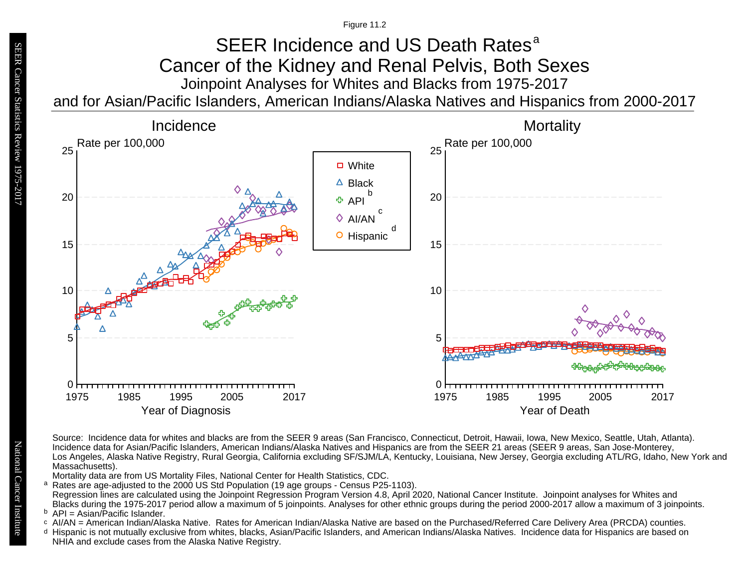### Joinpoint Analyses for Whites and Blacks from 1975-2017 and for Asian/Pacific Islanders, American Indians/Alaska Natives and Hispanics from 2000-2017 SEER Incidence and US Death Rates<sup>a</sup> Cancer of the Kidney and Renal Pelvis, Both Sexes



Source: Incidence data for whites and blacks are from the SEER 9 areas (San Francisco, Connecticut, Detroit, Hawaii, Iowa, New Mexico, Seattle, Utah, Atlanta). Incidence data for Asian/Pacific Islanders, American Indians/Alaska Natives and Hispanics are from the SEER 21 areas (SEER 9 areas, San Jose-Monterey, Los Angeles, Alaska Native Registry, Rural Georgia, California excluding SF/SJM/LA, Kentucky, Louisiana, New Jersey, Georgia excluding ATL/RG, Idaho, New York and Massachusetts).

Mortality data are from US Mortality Files, National Center for Health Statistics, CDC.

a<br>b<br>d Rates are age-adjusted to the 2000 US Std Population (19 age groups - Census P25-1103). a Regression lines are calculated using the Joinpoint Regression Program Version 4.8, April 2020, National Cancer Institute. Joinpoint analyses for Whites and Blacks during the 1975-2017 period allow a maximum of 5 joinpoints. Analyses for other ethnic groups during the period 2000-2017 allow a maximum of 3 joinpoints.

<sup>b</sup> API = Asian/Pacific Islander.<br>○ AI/AN = American Indian/Ala

- AI/AN = American Indian/Alaska Native. Rates for American Indian/Alaska Native are based on the Purchased/Referred Care Delivery Area (PRCDA) counties.
- Hispanic is not mutually exclusive from whites, blacks, Asian/Pacific Islanders, and American Indians/Alaska Natives. Incidence data for Hispanics are based on NHIA and exclude cases from the Alaska Native Registry.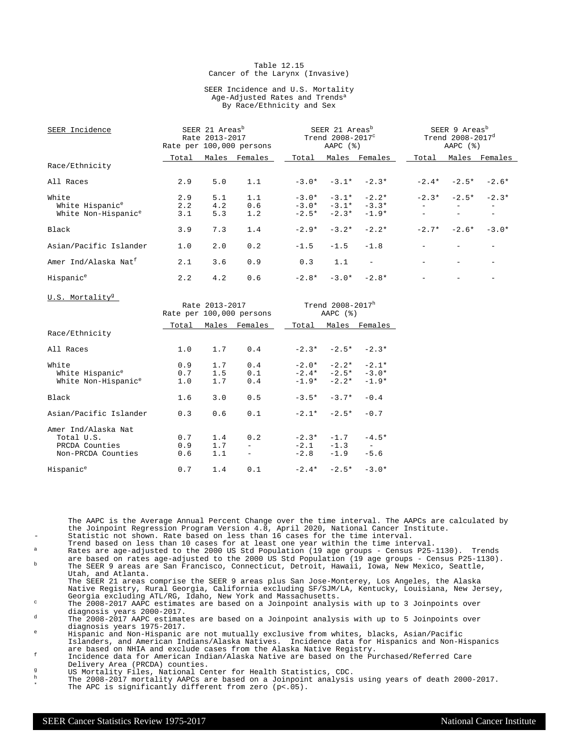#### Table 12.15 Cancer of the Larynx (Invasive)

#### SEER Incidence and U.S. Mortality Age-Adjusted Rates and Trends<sup>a</sup> By Race/Ethnicity and Sex

| SEER Incidence                   |       | SEER 21 Areas <sup>b</sup><br>Rate 2013-2017 | Rate per 100,000 persons |         | SEER 21 Areas <sup>b</sup><br>SEER 9 Areas <sup>b</sup><br>Trend $2008 - 2017^d$<br>Trend 2008-2017 <sup>c</sup><br>AAPC $(\frac{1}{6})$<br>AAPC $(%)$ |                          |         |               |         |
|----------------------------------|-------|----------------------------------------------|--------------------------|---------|--------------------------------------------------------------------------------------------------------------------------------------------------------|--------------------------|---------|---------------|---------|
|                                  | Total | Males                                        | Females                  | Total   |                                                                                                                                                        | Males Females            | Total   | Males         | Females |
| Race/Ethnicity                   |       |                                              |                          |         |                                                                                                                                                        |                          |         |               |         |
| All Races                        | 2.9   | 5.0                                          | 1.1                      |         |                                                                                                                                                        | $-3.0* -3.1* -2.3*$      | $-2.4*$ | $-2.5*$       | $-2.6*$ |
| White                            | 2.9   | 5.1                                          | 1.1                      |         |                                                                                                                                                        | $-3.0* -3.1* -2.2*$      |         | $-2.3* -2.5*$ | $-2.3*$ |
| White Hispanic <sup>e</sup>      | 2.2   | 4.2                                          | 0.6                      |         |                                                                                                                                                        | $-3.0* -3.1* -3.3*$      |         |               |         |
| White Non-Hispanic <sup>e</sup>  | 3.1   | 5.3                                          | 1.2                      | $-2.5*$ | $-2.3*$                                                                                                                                                | $-1.9*$                  |         |               |         |
| Black                            | 3.9   | 7.3                                          | 1.4                      | $-2.9*$ | $-3.2*$                                                                                                                                                | $-2.2*$                  | $-2.7*$ | $-2.6*$       | $-3.0*$ |
| Asian/Pacific Islander           | 1.0   | 2.0                                          | 0.2                      | $-1.5$  |                                                                                                                                                        | $-1.5 - 1.8$             |         |               |         |
| Amer Ind/Alaska Nat <sup>f</sup> | 2.1   | 3.6                                          | 0.9                      | 0.3     | 1.1                                                                                                                                                    | $\overline{\phantom{a}}$ |         |               |         |
| Hispanic <sup>e</sup>            | 2.2   | 4.2                                          | 0.6                      | $-2.8*$ |                                                                                                                                                        | $-3.0* -2.8*$            |         |               |         |
| U.S. Mortality <sup>g</sup>      |       |                                              |                          |         |                                                                                                                                                        |                          |         |               |         |

|                                                                           |                   | Rate 2013-2017    | Rate per 100,000 persons          |       | Trend 2008-2017h<br>AAPC $(%)$                        |                                 |
|---------------------------------------------------------------------------|-------------------|-------------------|-----------------------------------|-------|-------------------------------------------------------|---------------------------------|
|                                                                           | Total             |                   | Males Females                     | Total |                                                       | Males Females                   |
| Race/Ethnicity                                                            |                   |                   |                                   |       |                                                       |                                 |
| All Races                                                                 | 1.0               | 1.7               | 0.4                               |       | $-2.3* -2.5* -2.3*$                                   |                                 |
| White<br>White Hispanic <sup>e</sup><br>White Non-Hispanic <sup>e</sup>   | 0.9<br>0.7<br>1.0 | 1.7<br>1.5<br>1.7 | 0.4<br>0.1<br>0.4                 |       | $-2.0* -2.2*$<br>$-2.4* -2.5* -3.0*$<br>$-1.9* -2.2*$ | $-2.1*$<br>$-1.9*$              |
| Black                                                                     | 1.6               | 3.0               | 0.5                               |       | $-3.5* -3.7*$                                         | $-0.4$                          |
| Asian/Pacific Islander                                                    | 0.3               | 0.6               | 0.1                               |       | $-2.1* -2.5*$                                         | $-0.7$                          |
| Amer Ind/Alaska Nat<br>Total U.S.<br>PRCDA Counties<br>Non-PRCDA Counties | 0.7<br>0.9<br>0.6 | 1.4<br>1.7<br>1.1 | 0.2<br>$\sim$ 100 $\mu$<br>$\sim$ |       | $-2.3* -1.7$<br>$-2.1 -1.3$<br>$-2.8 -1.9$            | $-4.5*$<br>$\sim$ $-$<br>$-5.6$ |
| Hispanic <sup>e</sup>                                                     | 0.7               | 1.4               | 0.1                               |       | $-2.4* -2.5* -3.0*$                                   |                                 |

The AAPC is the Average Annual Percent Change over the time interval. The AAPCs are calculated by the Joinpoint Regression Program Version 4.8, April 2020, National Cancer Institute. Statistic not shown. Rate based on less than 16 cases for the time interval.

Trend based on less than 10 cases for at least one year within the time interval. <sup>a</sup> Rates are age-adjusted to the 2000 US Std Population (19 age groups - Census P25-1130). Trends

are based on rates age-adjusted to the 2000 US Std Population (19 age groups - Census P25-1130).<br><sup>b</sup> The SEER 9 areas are San Francisco, Connecticut, Detroit, Hawaii, Iowa, New Mexico, Seattle, Utah, and Atlanta.

The SEER 21 areas comprise the SEER 9 areas plus San Jose-Monterey, Los Angeles, the Alaska Native Registry, Rural Georgia, California excluding SF/SJM/LA, Kentucky, Louisiana, New Jersey, Georgia excluding ATL/RG, Idaho, New York and Massachusetts.

<sup>c</sup> The 2008-2017 AAPC estimates are based on a Joinpoint analysis with up to 3 Joinpoints over diagnosis years 2000-2017.

<sup>d</sup> The 2008-2017 AAPC estimates are based on a Joinpoint analysis with up to 5 Joinpoints over diagnosis years 1975-2017.

<sup>e</sup> Hispanic and Non-Hispanic are not mutually exclusive from whites, blacks, Asian/Pacific Islanders, and American Indians/Alaska Natives. Incidence data for Hispanics and Non-Hispanics are based on NHIA and exclude cases from the Alaska Native Registry.

<sup>f</sup> Incidence data for American Indian/Alaska Native are based on the Purchased/Referred Care Delivery Area (PRCDA) counties.

g<br>
US Mortality Files, National Center for Health Statistics, CDC.<br>
The 2008–2017 mentality ADOG are based an a Joinnaint applying

<sup>h</sup> The 2008-2017 mortality AAPCs are based on a Joinpoint analysis using years of death 2000-2017. \* The APC is significantly different from zero (p<.05).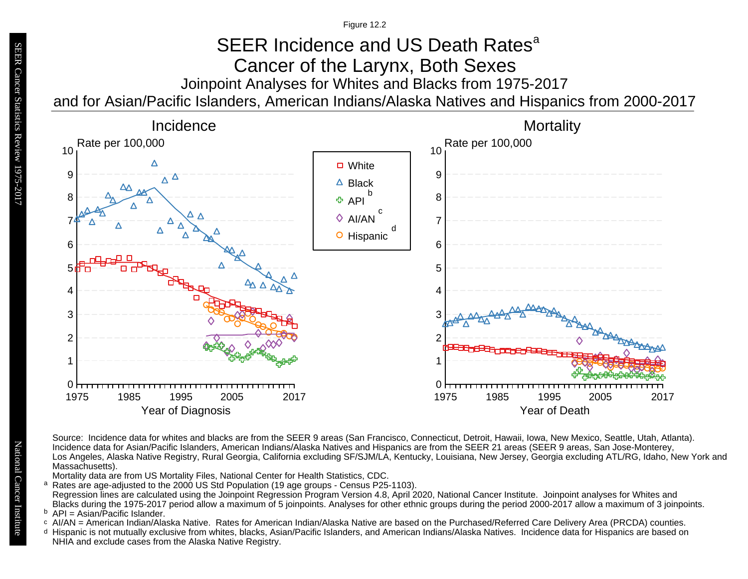### Joinpoint Analyses for Whites and Blacks from 1975-2017 and for Asian/Pacific Islanders, American Indians/Alaska Natives and Hispanics from 2000-2017 SEER Incidence and US Death Rates<sup>a</sup> Cancer of the Larynx, Both Sexes



Source: Incidence data for whites and blacks are from the SEER 9 areas (San Francisco, Connecticut, Detroit, Hawaii, Iowa, New Mexico, Seattle, Utah, Atlanta). Incidence data for Asian/Pacific Islanders, American Indians/Alaska Natives and Hispanics are from the SEER 21 areas (SEER 9 areas, San Jose-Monterey, Los Angeles, Alaska Native Registry, Rural Georgia, California excluding SF/SJM/LA, Kentucky, Louisiana, New Jersey, Georgia excluding ATL/RG, Idaho, New York and Massachusetts).

Mortality data are from US Mortality Files, National Center for Health Statistics, CDC.

a<br>b<br>d Rates are age-adjusted to the 2000 US Std Population (19 age groups - Census P25-1103). a Regression lines are calculated using the Joinpoint Regression Program Version 4.8, April 2020, National Cancer Institute. Joinpoint analyses for Whites and Blacks during the 1975-2017 period allow a maximum of 5 joinpoints. Analyses for other ethnic groups during the period 2000-2017 allow a maximum of 3 joinpoints.

<sup>b</sup> API = Asian/Pacific Islander.<br>○ AI/AN = American Indian/Ala

- AI/AN = American Indian/Alaska Native. Rates for American Indian/Alaska Native are based on the Purchased/Referred Care Delivery Area (PRCDA) counties.
- Hispanic is not mutually exclusive from whites, blacks, Asian/Pacific Islanders, and American Indians/Alaska Natives. Incidence data for Hispanics are based on NHIA and exclude cases from the Alaska Native Registry.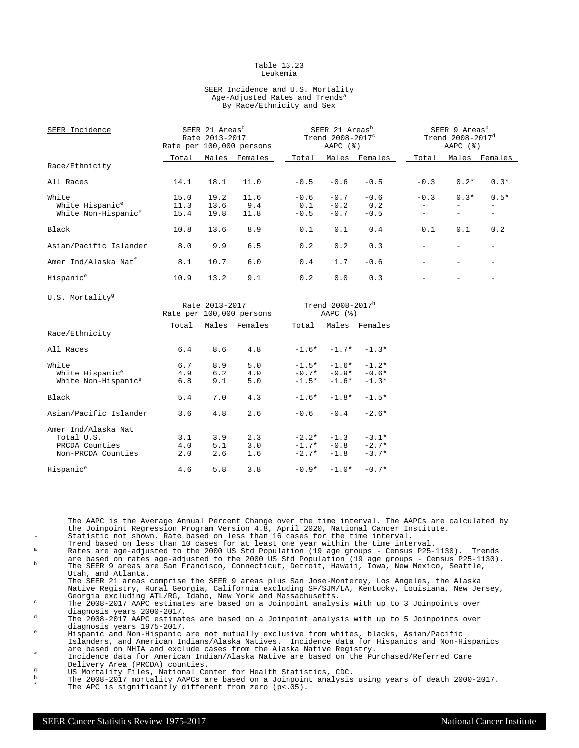#### Table 13.23 Leukemia

#### SEER Incidence and U.S. Mortality Age-Adjusted Rates and Trends<sup>a</sup> By Race/Ethnicity and Sex

| SEER Incidence                   |       | SEER 21 Areas <sup>b</sup><br>Rate 2013-2017 | Rate per 100,000 persons |        | SEER 21 Areas <sup>b</sup><br>Trend 2008-2017 <sup>c</sup><br>AAPC $(%)$ |               |                          |                          | SEER 9 Areas <sup>b</sup><br>Trend 2008-2017 <sup>d</sup><br>AAPC $(%)$ |  |
|----------------------------------|-------|----------------------------------------------|--------------------------|--------|--------------------------------------------------------------------------|---------------|--------------------------|--------------------------|-------------------------------------------------------------------------|--|
|                                  | Total | Males                                        | Females                  | Total  |                                                                          | Males Females | Total                    |                          | Males Females                                                           |  |
| Race/Ethnicity                   |       |                                              |                          |        |                                                                          |               |                          |                          |                                                                         |  |
| All Races                        | 14.1  | 18.1                                         | 11.0                     | $-0.5$ | $-0.6$                                                                   | $-0.5$        | $-0.3$                   | $0.2*$                   | $0.3*$                                                                  |  |
| White                            | 15.0  | 19.2                                         | 11.6                     | $-0.6$ | $-0.7$                                                                   | $-0.6$        | $-0.3$                   | $0.3*$                   | $0.5*$                                                                  |  |
| White Hispanic <sup>e</sup>      | 11.3  | 13.6                                         | 9.4                      | 0.1    | $-0.2$                                                                   | 0.2           |                          |                          |                                                                         |  |
| White Non-Hispanic <sup>e</sup>  | 15.4  | 19.8                                         | 11.8                     | $-0.5$ | $-0.7$                                                                   | $-0.5$        | $\overline{\phantom{a}}$ | $\overline{\phantom{0}}$ |                                                                         |  |
| Black                            | 10.8  | 13.6                                         | 8.9                      | 0.1    | 0.1                                                                      | 0.4           | 0.1                      | 0.1                      | 0.2                                                                     |  |
| Asian/Pacific Islander           | 8.0   | 9.9                                          | 6.5                      | 0.2    | 0.2                                                                      | 0.3           |                          |                          |                                                                         |  |
| Amer Ind/Alaska Nat <sup>f</sup> | 8.1   | 10.7                                         | 6.0                      | 0.4    | 1.7                                                                      | $-0.6$        |                          |                          |                                                                         |  |
| Hispanic <sup>e</sup>            | 10.9  | 13.2                                         | 9.1                      | 0.2    | 0.0                                                                      | 0.3           |                          |                          |                                                                         |  |
| U.S. Mortality <sup>g</sup>      |       | Rate 2013-2017                               | Rate per 100,000 persons |        | Trend $2008 - 2017^h$<br>AAPC $(%)$                                      |               |                          |                          |                                                                         |  |

|                                                                           |                   |                   | Rate per 100,000 persons |                    | AAFC (0)                                  |                               |
|---------------------------------------------------------------------------|-------------------|-------------------|--------------------------|--------------------|-------------------------------------------|-------------------------------|
|                                                                           | Total             |                   | Males Females            | Total              |                                           | Males Females                 |
| Race/Ethnicity                                                            |                   |                   |                          |                    |                                           |                               |
| All Races                                                                 | 6.4               | 8.6               | 4.8                      |                    | $-1.6* -1.7* -1.3*$                       |                               |
| White<br>White Hispanic <sup>e</sup><br>White Non-Hispanic <sup>e</sup>   | 6.7<br>4.9<br>6.8 | 8.9<br>6.2<br>9.1 | 5.0<br>4.0<br>5.0        | $-1.5*$            | $-1.6*$<br>$-0.7* -0.9*$<br>$-1.5* -1.6*$ | $-1.2*$<br>$-0.6*$<br>$-1.3*$ |
| Black                                                                     | 5.4               | 7.0               | 4.3                      | $-1.6*$            | $-1.8*$                                   | $-1.5*$                       |
| Asian/Pacific Islander                                                    | 3.6               | 4.8               | 2.6                      |                    | $-0.6 - 0.4$                              | $-2.6*$                       |
| Amer Ind/Alaska Nat<br>Total U.S.<br>PRCDA Counties<br>Non-PRCDA Counties | 3.1<br>4.0<br>2.0 | 3.9<br>5.1<br>2.6 | 2.3<br>3.0<br>1.6        | $-2.2*$<br>$-2.7*$ | $-1.3$<br>$-1.7* -0.8$<br>$-1.8$          | $-3.1*$<br>$-2.7*$<br>$-3.7*$ |
| Hispanic <sup>e</sup>                                                     | 4.6               | 5.8               | 3.8                      |                    | $-0.9* -1.0*$                             | $-0.7*$                       |

The AAPC is the Average Annual Percent Change over the time interval. The AAPCs are calculated by the Joinpoint Regression Program Version 4.8, April 2020, National Cancer Institute. Statistic not shown. Rate based on less than 16 cases for the time interval.

- Trend based on less than 10 cases for at least one year within the time interval. <sup>a</sup> Rates are age-adjusted to the 2000 US Std Population (19 age groups Census P25-1130). Trends
- are based on rates age-adjusted to the 2000 US Std Population (19 age groups Census P25-1130).<br><sup>b</sup> The SEER 9 areas are San Francisco, Connecticut, Detroit, Hawaii, Iowa, New Mexico, Seattle, Utah, and Atlanta.
- The SEER 21 areas comprise the SEER 9 areas plus San Jose-Monterey, Los Angeles, the Alaska Native Registry, Rural Georgia, California excluding SF/SJM/LA, Kentucky, Louisiana, New Jersey, Georgia excluding ATL/RG, Idaho, New York and Massachusetts.

<sup>c</sup> The 2008-2017 AAPC estimates are based on a Joinpoint analysis with up to 3 Joinpoints over diagnosis years 2000-2017.

<sup>d</sup> The 2008-2017 AAPC estimates are based on a Joinpoint analysis with up to 5 Joinpoints over diagnosis years 1975-2017.

<sup>e</sup> Hispanic and Non-Hispanic are not mutually exclusive from whites, blacks, Asian/Pacific Islanders, and American Indians/Alaska Natives. Incidence data for Hispanics and Non-Hispanics are based on NHIA and exclude cases from the Alaska Native Registry.

<sup>f</sup> Incidence data for American Indian/Alaska Native are based on the Purchased/Referred Care Delivery Area (PRCDA) counties.

- g<br>
US Mortality Files, National Center for Health Statistics, CDC.<br>
The 2008-2017 mortality AADCs are based on a Joinnoint analysis
- <sup>h</sup> The 2008-2017 mortality AAPCs are based on a Joinpoint analysis using years of death 2000-2017. \* The APC is significantly different from zero (p<.05).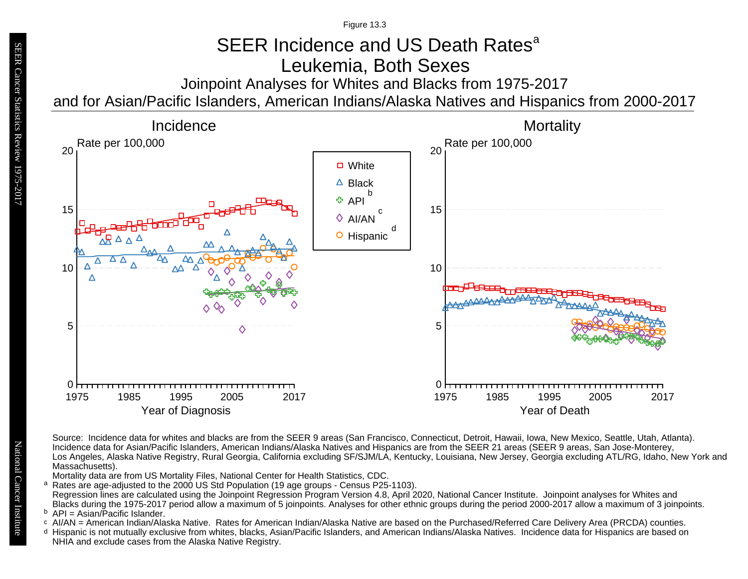# SEER Incidence and US Death Rates<sup>a</sup> Leukemia, Both Sexes

Joinpoint Analyses for Whites and Blacks from 1975-2017

and for Asian/Pacific Islanders, American Indians/Alaska Natives and Hispanics from 2000-2017



Source: Incidence data for whites and blacks are from the SEER 9 areas (San Francisco, Connecticut, Detroit, Hawaii, Iowa, New Mexico, Seattle, Utah, Atlanta). Incidence data for Asian/Pacific Islanders, American Indians/Alaska Natives and Hispanics are from the SEER 21 areas (SEER 9 areas, San Jose-Monterey, Los Angeles, Alaska Native Registry, Rural Georgia, California excluding SF/SJM/LA, Kentucky, Louisiana, New Jersey, Georgia excluding ATL/RG, Idaho, New York and Massachusetts).

Mortality data are from US Mortality Files, National Center for Health Statistics, CDC.

- a<br>b<br>d Rates are age-adjusted to the 2000 US Std Population (19 age groups - Census P25-1103). a Regression lines are calculated using the Joinpoint Regression Program Version 4.8, April 2020, National Cancer Institute. Joinpoint analyses for Whites and Blacks during the 1975-2017 period allow a maximum of 5 joinpoints. Analyses for other ethnic groups during the period 2000-2017 allow a maximum of 3 joinpoints.
- <sup>b</sup> API = Asian/Pacific Islander.<br>○ AI/AN = American Indian/Ala
- AI/AN = American Indian/Alaska Native. Rates for American Indian/Alaska Native are based on the Purchased/Referred Care Delivery Area (PRCDA) counties.
- Hispanic is not mutually exclusive from whites, blacks, Asian/Pacific Islanders, and American Indians/Alaska Natives. Incidence data for Hispanics are based on NHIA and exclude cases from the Alaska Native Registry.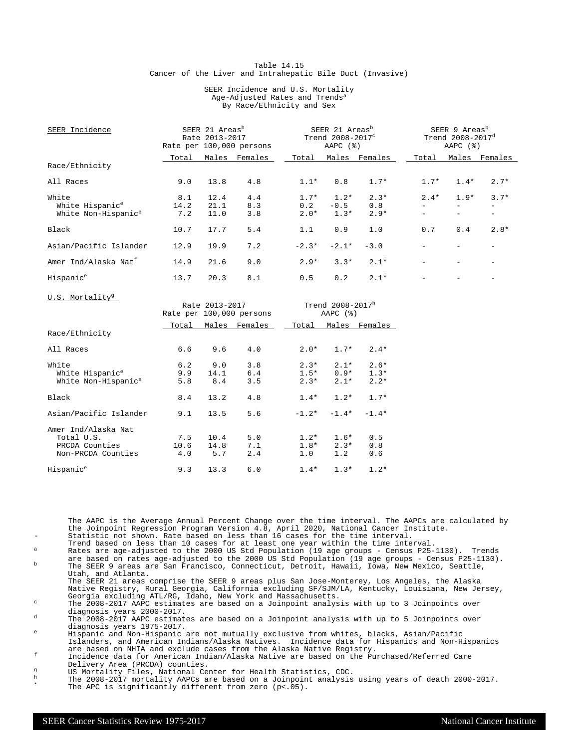#### Table 14.15 Cancer of the Liver and Intrahepatic Bile Duct (Invasive)

#### SEER Incidence and U.S. Mortality Age-Adjusted Rates and Trends<sup>a</sup> By Race/Ethnicity and Sex

| SEER Incidence                   |       | SEER 21 Areas <sup>b</sup><br>Rate 2013-2017 | Rate per 100,000 persons | SEER 21 Areas <sup>b</sup><br>Trend 2008-2017 <sup>c</sup><br>AAPC $(%)$ |         |               | SEER 9 Areas <sup>b</sup><br>Trend 2008-2017 <sup>d</sup><br>AAPC $(%)$ |        |         |
|----------------------------------|-------|----------------------------------------------|--------------------------|--------------------------------------------------------------------------|---------|---------------|-------------------------------------------------------------------------|--------|---------|
|                                  | Total | Males                                        | Females                  | Total                                                                    |         | Males Females | Total                                                                   | Males  | Females |
| Race/Ethnicity                   |       |                                              |                          |                                                                          |         |               |                                                                         |        |         |
| All Races                        | 9.0   | 13.8                                         | 4.8                      | $1.1*$                                                                   | 0.8     | $1.7*$        | $1.7*$                                                                  | $1.4*$ | $2.7*$  |
| White                            | 8.1   | 12.4                                         | 4.4                      | $1.7*$                                                                   | $1.2*$  | $2.3*$        | $2.4*$                                                                  | $1.9*$ | $3.7*$  |
| White Hispanic <sup>e</sup>      | 14.2  | 21.1                                         | 8.3                      | 0.2                                                                      | $-0.5$  | 0.8           |                                                                         |        |         |
| White Non-Hispanic <sup>e</sup>  | 7.2   | 11.0                                         | 3.8                      | $2.0*$                                                                   | $1.3*$  | $2.9*$        |                                                                         |        |         |
| Black                            | 10.7  | 17.7                                         | 5.4                      | 1.1                                                                      | 0.9     | 1.0           | 0.7                                                                     | 0.4    | $2.8*$  |
| Asian/Pacific Islander           | 12.9  | 19.9                                         | 7.2                      | $-2.3*$                                                                  | $-2.1*$ | $-3.0$        |                                                                         |        |         |
| Amer Ind/Alaska Nat <sup>f</sup> | 14.9  | 21.6                                         | 9.0                      | $2.9*$                                                                   | $3.3*$  | $2.1*$        |                                                                         |        |         |
| Hispanic <sup>e</sup>            | 13.7  | 20.3                                         | 8.1                      | 0.5                                                                      | 0.2     | $2.1*$        |                                                                         |        |         |
| U.S. Mortality <sup>g</sup>      |       |                                              |                          |                                                                          |         |               |                                                                         |        |         |

| 0.0. MOLLGILLY                                                            |                    | Rate 2013-2017      | Rate per 100,000 persons |                            | Trend 2008-2017h<br>AAPC $(%)$ |                            |
|---------------------------------------------------------------------------|--------------------|---------------------|--------------------------|----------------------------|--------------------------------|----------------------------|
|                                                                           | Total              |                     | Males Females            | Total                      |                                | Males Females              |
| Race/Ethnicity                                                            |                    |                     |                          |                            |                                |                            |
| All Races                                                                 | 6.6                | 9.6                 | 4.0                      | $2.0*$                     | $1.7*$                         | $2.4*$                     |
| White<br>White Hispanic <sup>e</sup><br>White Non-Hispanic <sup>e</sup>   | 6.2<br>9.9<br>5.8  | 9.0<br>14.1<br>8.4  | 3.8<br>6.4<br>3.5        | $2.3*$<br>$1.5*$<br>$2.3*$ | $2.1*$<br>$0.9*$<br>$2.1*$     | $2.6*$<br>$1.3*$<br>$2.2*$ |
| Black                                                                     | 8.4                | 13.2                | 4.8                      | $1.4*$                     | $1.2*$                         | $1.7*$                     |
| Asian/Pacific Islander                                                    | 9.1                | 13.5                | 5.6                      | $-1.2*$                    | $-1.4*$                        | $-1.4*$                    |
| Amer Ind/Alaska Nat<br>Total U.S.<br>PRCDA Counties<br>Non-PRCDA Counties | 7.5<br>10.6<br>4.0 | 10.4<br>14.8<br>5.7 | 5.0<br>7.1<br>2.4        | $1.2*$<br>$1.8*$<br>1.0    | $1.6*$<br>$2.3*$<br>1.2        | 0.5<br>0.8<br>0.6          |
| Hispanic <sup>e</sup>                                                     | 9.3                | 13.3                | 6.0                      | $1.4*$                     | $1.3*$                         | $1.2*$                     |

The AAPC is the Average Annual Percent Change over the time interval. The AAPCs are calculated by the Joinpoint Regression Program Version 4.8, April 2020, National Cancer Institute. Statistic not shown. Rate based on less than 16 cases for the time interval.

- Trend based on less than 10 cases for at least one year within the time interval. <sup>a</sup> Rates are age-adjusted to the 2000 US Std Population (19 age groups Census P25-1130). Trends
- are based on rates age-adjusted to the 2000 US Std Population (19 age groups Census P25-1130).<br><sup>b</sup> The SEER 9 areas are San Francisco, Connecticut, Detroit, Hawaii, Iowa, New Mexico, Seattle, Utah, and Atlanta.

The SEER 21 areas comprise the SEER 9 areas plus San Jose-Monterey, Los Angeles, the Alaska Native Registry, Rural Georgia, California excluding SF/SJM/LA, Kentucky, Louisiana, New Jersey, Georgia excluding ATL/RG, Idaho, New York and Massachusetts.

<sup>c</sup> The 2008-2017 AAPC estimates are based on a Joinpoint analysis with up to 3 Joinpoints over diagnosis years 2000-2017.

<sup>d</sup> The 2008-2017 AAPC estimates are based on a Joinpoint analysis with up to 5 Joinpoints over diagnosis years 1975-2017.

<sup>e</sup> Hispanic and Non-Hispanic are not mutually exclusive from whites, blacks, Asian/Pacific Islanders, and American Indians/Alaska Natives. Incidence data for Hispanics and Non-Hispanics are based on NHIA and exclude cases from the Alaska Native Registry.

<sup>f</sup> Incidence data for American Indian/Alaska Native are based on the Purchased/Referred Care Delivery Area (PRCDA) counties.

- g<br>
US Mortality Files, National Center for Health Statistics, CDC.<br>
The 2008–2017 mentality ADOG are based an a Joinnaint applying
- <sup>h</sup> The 2008-2017 mortality AAPCs are based on a Joinpoint analysis using years of death 2000-2017. \* The APC is significantly different from zero (p<.05).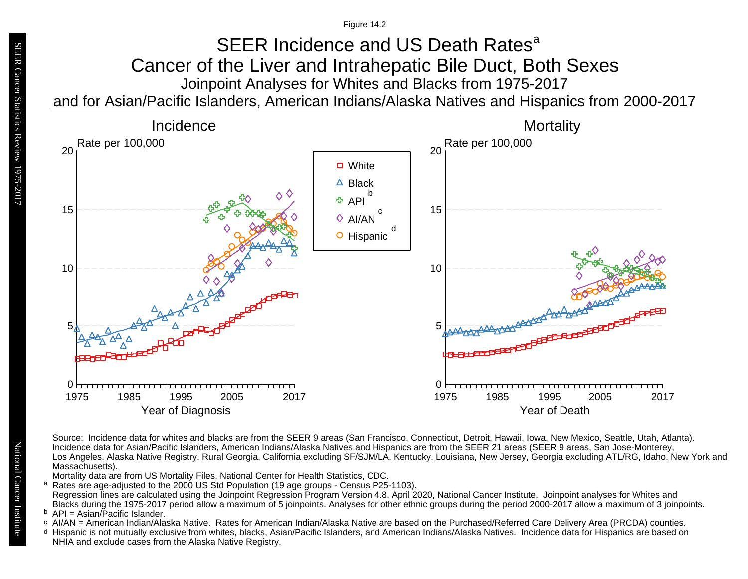### Joinpoint Analyses for Whites and Blacks from 1975-2017 and for Asian/Pacific Islanders, American Indians/Alaska Natives and Hispanics from 2000-2017 SEER Incidence and US Death Rates<sup>a</sup> Cancer of the Liver and Intrahepatic Bile Duct, Both Sexes



Source: Incidence data for whites and blacks are from the SEER 9 areas (San Francisco, Connecticut, Detroit, Hawaii, Iowa, New Mexico, Seattle, Utah, Atlanta). Incidence data for Asian/Pacific Islanders, American Indians/Alaska Natives and Hispanics are from the SEER 21 areas (SEER 9 areas, San Jose-Monterey, Los Angeles, Alaska Native Registry, Rural Georgia, California excluding SF/SJM/LA, Kentucky, Louisiana, New Jersey, Georgia excluding ATL/RG, Idaho, New York and Massachusetts).

Mortality data are from US Mortality Files, National Center for Health Statistics, CDC.

- a<br>b<br>d Rates are age-adjusted to the 2000 US Std Population (19 age groups - Census P25-1103). a Regression lines are calculated using the Joinpoint Regression Program Version 4.8, April 2020, National Cancer Institute. Joinpoint analyses for Whites and Blacks during the 1975-2017 period allow a maximum of 5 joinpoints. Analyses for other ethnic groups during the period 2000-2017 allow a maximum of 3 joinpoints.
- <sup>b</sup> API = Asian/Pacific Islander.<br>○ AI/AN = American Indian/Ala
- AI/AN = American Indian/Alaska Native. Rates for American Indian/Alaska Native are based on the Purchased/Referred Care Delivery Area (PRCDA) counties.
- Hispanic is not mutually exclusive from whites, blacks, Asian/Pacific Islanders, and American Indians/Alaska Natives. Incidence data for Hispanics are based on NHIA and exclude cases from the Alaska Native Registry.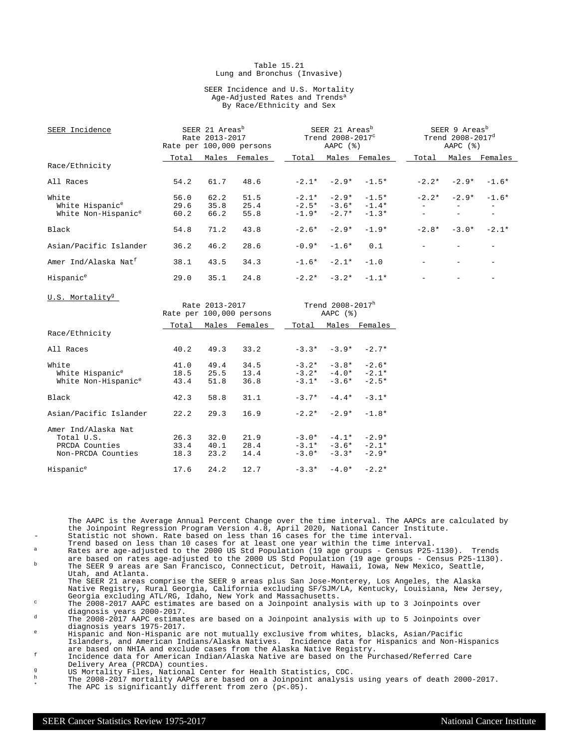#### Table 15.21 Lung and Bronchus (Invasive)

#### SEER Incidence and U.S. Mortality Age-Adjusted Rates and Trends<sup>a</sup> By Race/Ethnicity and Sex

| SEER Incidence                                                            |                      | SEER 21 Areas <sup>b</sup><br>Rate 2013-2017 | Rate per 100,000 persons |         | SEER 21 Areas <sup>b</sup><br>Trend $2008-2017^{\circ}$<br>$AAPC$ $(%)$ |                                                                   |                          | SEER 9 Areas <sup>b</sup><br>Trend 2008-2017 <sup>d</sup><br>AAPC $(%)$ |                          |
|---------------------------------------------------------------------------|----------------------|----------------------------------------------|--------------------------|---------|-------------------------------------------------------------------------|-------------------------------------------------------------------|--------------------------|-------------------------------------------------------------------------|--------------------------|
|                                                                           | Total                |                                              | Males Females            |         |                                                                         | Total Males Females                                               | Total                    |                                                                         | Males Females            |
| Race/Ethnicity                                                            |                      |                                              |                          |         |                                                                         |                                                                   |                          |                                                                         |                          |
| All Races                                                                 | 54.2                 | 61.7                                         | 48.6                     |         | $-2.1* -2.9*$                                                           | $-1.5*$                                                           | $-2.2*$                  | $-2.9*$                                                                 | $-1.6*$                  |
| White                                                                     | 56.0                 | 62.2                                         | 51.5                     |         |                                                                         | $-2.1* -2.9* -1.5*$                                               |                          | $-2.2* -2.9*$                                                           | $-1.6*$                  |
| White Hispanic <sup>e</sup>                                               | 29.6                 | 35.8                                         | 25.4                     |         |                                                                         | $-2.5* -3.6* -1.4*$                                               | $\equiv$                 | $\overline{\phantom{m}}$                                                | $\sim$                   |
| White Non-Hispanic <sup>e</sup>                                           | 60.2                 | 66.2                                         | 55.8                     |         | $-1.9* -2.7*$                                                           | $-1.3*$                                                           |                          | $\overline{\phantom{a}}$                                                | $\overline{\phantom{a}}$ |
| Black                                                                     | 54.8                 | 71.2                                         | 43.8                     | $-2.6*$ | $-2.9*$                                                                 | $-1.9*$                                                           |                          | $-2.8* -3.0*$                                                           | $-2.1*$                  |
| Asian/Pacific Islander                                                    | 36.2                 | 46.2                                         | 28.6                     | $-0.9*$ | $-1.6*$                                                                 | 0.1                                                               |                          |                                                                         |                          |
| Amer Ind/Alaska Nat <sup>f</sup>                                          | 38.1                 | 43.5                                         | 34.3                     | $-1.6*$ | $-2.1*$                                                                 | $-1.0$                                                            | $\overline{\phantom{a}}$ | $\overline{\phantom{a}}$                                                | $\overline{\phantom{0}}$ |
| Hispanic <sup>e</sup>                                                     | 29.0                 | 35.1                                         | 24.8                     |         | $-2.2* -3.2*$                                                           | $-1.1*$                                                           |                          |                                                                         |                          |
| U.S. Mortality <sup>9</sup>                                               |                      | Rate 2013-2017                               | Rate per 100,000 persons |         | Trend 2008-2017h<br>AAPC $(%)$                                          |                                                                   |                          |                                                                         |                          |
|                                                                           |                      |                                              | Total Males Females      |         |                                                                         | Total Males Females                                               |                          |                                                                         |                          |
| Race/Ethnicity                                                            |                      |                                              |                          |         |                                                                         |                                                                   |                          |                                                                         |                          |
| All Races                                                                 | 40.2                 | 49.3                                         | 33.2                     |         |                                                                         | $-3.3* -3.9* -2.7*$                                               |                          |                                                                         |                          |
| White                                                                     | 41.0                 | 49.4                                         | 34.5                     |         |                                                                         | $-3.2^*$ $-3.8^*$ $-2.6^*$                                        |                          |                                                                         |                          |
| White Hispanic <sup>e</sup>                                               | 18.5                 | 25.5                                         | 13.4                     |         |                                                                         | $-3.2* -4.0* -2.1*$                                               |                          |                                                                         |                          |
| White Non-Hispanic <sup>e</sup>                                           | 43.4                 | 51.8                                         | 36.8                     |         |                                                                         | $-3.1* -3.6* -2.5*$                                               |                          |                                                                         |                          |
| Black                                                                     | 42.3                 | 58.8                                         | 31.1                     | $-3.7*$ | $-4.4*$                                                                 | $-3.1*$                                                           |                          |                                                                         |                          |
| Asian/Pacific Islander                                                    | 22.2                 | 29.3                                         | 16.9                     |         | $-2.2* -2.9*$                                                           | $-1.8*$                                                           |                          |                                                                         |                          |
| Amer Ind/Alaska Nat<br>Total U.S.<br>PRCDA Counties<br>Non-PRCDA Counties | 26.3<br>33.4<br>18.3 | 32.0<br>40.1<br>23.2                         | 21.9<br>28.4<br>14.4     |         |                                                                         | $-3.0* -4.1* -2.9*$<br>$-3.1* -3.6* -2.1*$<br>$-3.0* -3.3* -2.9*$ |                          |                                                                         |                          |

The AAPC is the Average Annual Percent Change over the time interval. The AAPCs are calculated by the Joinpoint Regression Program Version 4.8, April 2020, National Cancer Institute.

Statistic not shown. Rate based on less than 16 cases for the time interval.

 $Hispanic<sup>e</sup>$  17.6 24.2 12.7 -3.3\* -4.0\* -2.2\*

Trend based on less than 10 cases for at least one year within the time interval. <sup>a</sup> Rates are age-adjusted to the 2000 US Std Population (19 age groups - Census P25-1130). Trends

are based on rates age-adjusted to the 2000 US Std Population (19 age groups - Census P25-1130).<br><sup>b</sup> The SEER 9 areas are San Francisco, Connecticut, Detroit, Hawaii, Iowa, New Mexico, Seattle, Utah, and Atlanta.

The SEER 21 areas comprise the SEER 9 areas plus San Jose-Monterey, Los Angeles, the Alaska Native Registry, Rural Georgia, California excluding SF/SJM/LA, Kentucky, Louisiana, New Jersey, Georgia excluding ATL/RG, Idaho, New York and Massachusetts.

<sup>c</sup> The 2008-2017 AAPC estimates are based on a Joinpoint analysis with up to 3 Joinpoints over diagnosis years 2000-2017.

<sup>d</sup> The 2008-2017 AAPC estimates are based on a Joinpoint analysis with up to 5 Joinpoints over diagnosis years 1975-2017.

<sup>e</sup> Hispanic and Non-Hispanic are not mutually exclusive from whites, blacks, Asian/Pacific Islanders, and American Indians/Alaska Natives. Incidence data for Hispanics and Non-Hispanics are based on NHIA and exclude cases from the Alaska Native Registry.

<sup>f</sup> Incidence data for American Indian/Alaska Native are based on the Purchased/Referred Care Delivery Area (PRCDA) counties.

g<br>
US Mortality Files, National Center for Health Statistics, CDC.<br>
The 2008-2017 mortality AADCs are based on a Joinnoint analysis

<sup>h</sup> The 2008-2017 mortality AAPCs are based on a Joinpoint analysis using years of death 2000-2017. \* The APC is significantly different from zero (p<.05).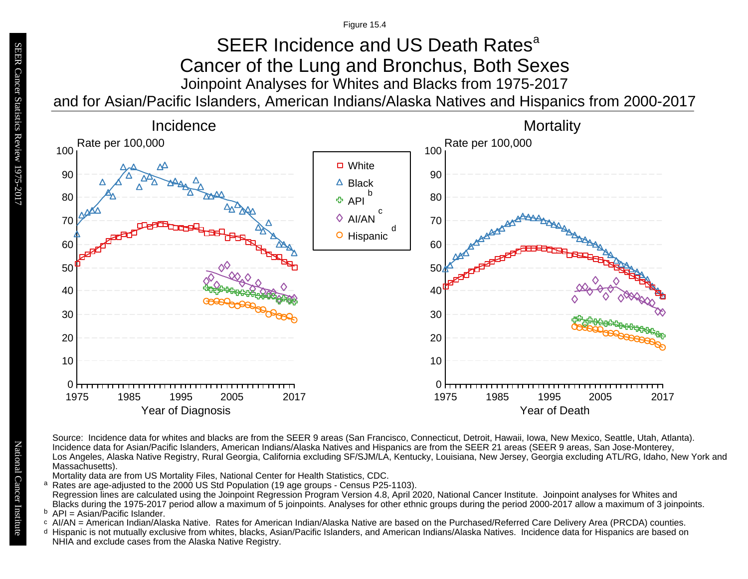### Joinpoint Analyses for Whites and Blacks from 1975-2017 and for Asian/Pacific Islanders, American Indians/Alaska Natives and Hispanics from 2000-2017 SEER Incidence and US Death Rates<sup>a</sup> Cancer of the Lung and Bronchus, Both Sexes



Source: Incidence data for whites and blacks are from the SEER 9 areas (San Francisco, Connecticut, Detroit, Hawaii, Iowa, New Mexico, Seattle, Utah, Atlanta). Incidence data for Asian/Pacific Islanders, American Indians/Alaska Natives and Hispanics are from the SEER 21 areas (SEER 9 areas, San Jose-Monterey, Los Angeles, Alaska Native Registry, Rural Georgia, California excluding SF/SJM/LA, Kentucky, Louisiana, New Jersey, Georgia excluding ATL/RG, Idaho, New York and Massachusetts).

Mortality data are from US Mortality Files, National Center for Health Statistics, CDC.

<sup>a</sup> Rates are age-adjusted to the 2000 US Std Population (19 age groups - Census P25-1103). Regression lines are calculated using the Joinpoint Regression Program Version 4.8, April 2020, National Cancer Institute. Joinpoint analyses for Whites and Blacks during the 1975-2017 period allow a maximum of 5 joinpoints. Analyses for other ethnic groups during the period 2000-2017 allow a maximum of 3 joinpoints. a<br>b<br>d

<sup>b</sup> API = Asian/Pacific Islander.<br>○ AI/AN = American Indian/Ala

- AI/AN = American Indian/Alaska Native. Rates for American Indian/Alaska Native are based on the Purchased/Referred Care Delivery Area (PRCDA) counties.
- Hispanic is not mutually exclusive from whites, blacks, Asian/Pacific Islanders, and American Indians/Alaska Natives. Incidence data for Hispanics are based on NHIA and exclude cases from the Alaska Native Registry.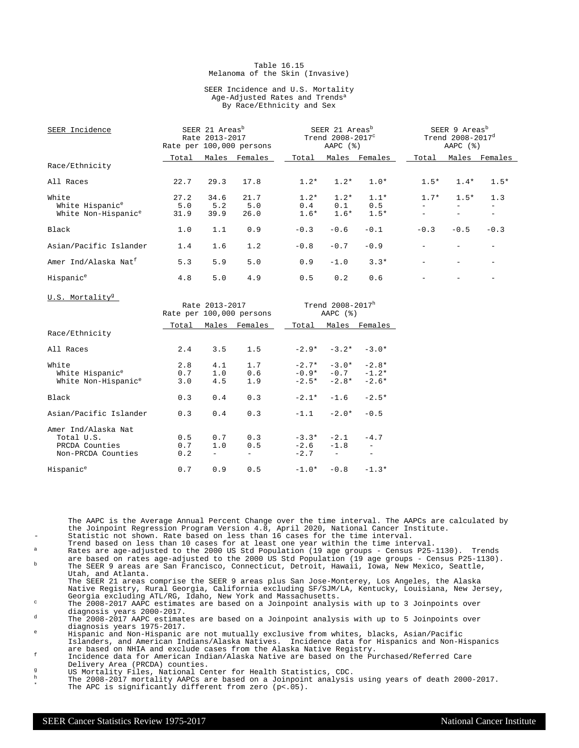#### Table 16.15 Melanoma of the Skin (Invasive)

#### SEER Incidence and U.S. Mortality Age-Adjusted Rates and Trends<sup>a</sup> By Race/Ethnicity and Sex

| SEER Incidence                                                          |                     | SEER 21 Areas <sup>b</sup><br>Rate 2013-2017 | Rate per 100,000 persons | SEER 21 Areas <sup>b</sup><br>Trend 2008-2017 <sup>c</sup><br>AAPC (%)<br>Males Females<br>Total |                         |                         |        | SEER 9 Areas <sup>b</sup><br>Trend 2008-2017 <sup>d</sup><br>AAPC $(%)$ |               |  |
|-------------------------------------------------------------------------|---------------------|----------------------------------------------|--------------------------|--------------------------------------------------------------------------------------------------|-------------------------|-------------------------|--------|-------------------------------------------------------------------------|---------------|--|
|                                                                         | Total               | Males                                        | Females                  |                                                                                                  |                         |                         | Total  |                                                                         | Males Females |  |
| Race/Ethnicity                                                          |                     |                                              |                          |                                                                                                  |                         |                         |        |                                                                         |               |  |
| All Races                                                               | 22.7                | 29.3                                         | 17.8                     | $1.2*$                                                                                           | $1.2*$                  | $1.0*$                  | $1.5*$ | $1.4*$                                                                  | $1.5*$        |  |
| White<br>White Hispanic <sup>e</sup><br>White Non-Hispanic <sup>e</sup> | 27.2<br>5.0<br>31.9 | 34.6<br>5.2<br>39.9                          | 21.7<br>5.0<br>26.0      | $1.2*$<br>0.4<br>$1.6*$                                                                          | $1.2*$<br>0.1<br>$1.6*$ | $1.1*$<br>0.5<br>$1.5*$ | $1.7*$ | $1.5*$                                                                  | 1.3           |  |
| Black                                                                   | 1.0                 | 1.1                                          | 0.9                      | $-0.3$                                                                                           | $-0.6$                  | $-0.1$                  | $-0.3$ | $-0.5$                                                                  | $-0.3$        |  |
| Asian/Pacific Islander                                                  | 1.4                 | 1.6                                          | 1.2                      | $-0.8$                                                                                           | $-0.7$                  | $-0.9$                  |        |                                                                         |               |  |
| Amer Ind/Alaska Nat <sup>f</sup>                                        | 5.3                 | 5.9                                          | 5.0                      | 0.9                                                                                              | $-1.0$                  | $3.3*$                  |        |                                                                         |               |  |
| Hispanic <sup>e</sup>                                                   | 4.8                 | 5.0                                          | 4.9                      | 0.5                                                                                              | 0.2                     | 0.6                     |        |                                                                         |               |  |

U.S. Mortality<sup>g</sup> Rate  $2013 - 2017$  Trend  $2008 - 2017$ <sup>h</sup><br>e per  $100,000$  persons AAPC (%) Rate per 100,000 persons Total Males Females 1Total Males Females Race/Ethnicity All Races 2.4 3.5 1.5 -2.9\* -3.2\* -3.0\* White 2.8 4.1 1.7 -2.7\* -3.0\* -2.8\*<br>White Hispanic<sup>e</sup> 0.7 1.0 0.6 -0.9\* -0.7 -1.2\* White Non-Hispanic<sup>e</sup> 3.0 4.5 1.9  $-2.5*$   $-2.8*$   $-2.6*$ Black 0.3 0.4 0.3 -2.1\* -1.6 -2.5\* Asian/Pacific Islander 0.3 0.4 0.3 -1.1 -2.0\* -0.5 Amer Ind/Alaska Nat Total U.S. 0.5 0.7 0.3 -3.3\* -2.1 -4.7  $\begin{array}{ccccccccc}\n0.7 & 1.0 & 0.5 & -2.6 & -1.8 & -1.8 \\
0.2 & - & - & -2.7 & - & -1.8\n\end{array}$ Non-PRCDA Counties 0.2 - -Hispanic<sup>e</sup> 0.7 0.9 0.5 -1.0\* -0.8 -1.3\*

The AAPC is the Average Annual Percent Change over the time interval. The AAPCs are calculated by the Joinpoint Regression Program Version 4.8, April 2020, National Cancer Institute.

Statistic not shown. Rate based on less than 16 cases for the time interval.

- Trend based on less than 10 cases for at least one year within the time interval. <sup>a</sup> Rates are age-adjusted to the 2000 US Std Population (19 age groups Census P25-1130). Trends
- are based on rates age-adjusted to the 2000 US Std Population (19 age groups Census P25-1130).<br><sup>b</sup> The SEER 9 areas are San Francisco, Connecticut, Detroit, Hawaii, Iowa, New Mexico, Seattle, Utah, and Atlanta.

The SEER 21 areas comprise the SEER 9 areas plus San Jose-Monterey, Los Angeles, the Alaska Native Registry, Rural Georgia, California excluding SF/SJM/LA, Kentucky, Louisiana, New Jersey, Georgia excluding ATL/RG, Idaho, New York and Massachusetts.

 $\degree$  The 2008-2017 AAPC estimates are based on a Joinpoint analysis with up to 3 Joinpoints over diagnosis years 2000-2017.

d The 2008-2017 AAPC estimates are based on a Joinpoint analysis with up to 5 Joinpoints over diagnosis years 1975-2017.

<sup>e</sup> Hispanic and Non-Hispanic are not mutually exclusive from whites, blacks, Asian/Pacific Islanders, and American Indians/Alaska Natives. Incidence data for Hispanics and Non-Hispanics are based on NHIA and exclude cases from the Alaska Native Registry.

<sup>f</sup> Incidence data for American Indian/Alaska Native are based on the Purchased/Referred Care Delivery Area (PRCDA) counties.

- g US Mortality Files, National Center for Health Statistics, CDC.<br>h The 2008-2017 mentality APOG are based an a Joinnaint applyzic
- <sup>h</sup> The 2008-2017 mortality AAPCs are based on a Joinpoint analysis using years of death 2000-2017. \* The APC is significantly different from zero (p<.05).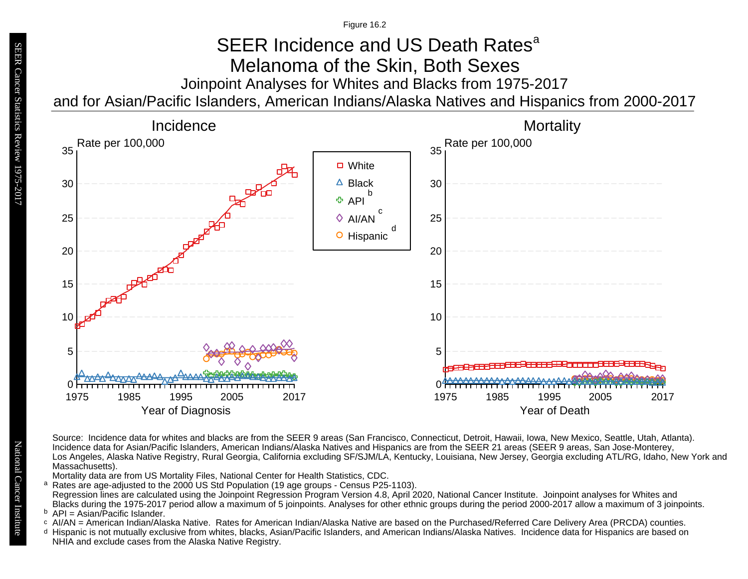# Joinpoint Analyses for Whites and Blacks from 1975-2017 SEER Incidence and US Death Rates<sup>a</sup> Melanoma of the Skin, Both Sexes

and for Asian/Pacific Islanders, American Indians/Alaska Natives and Hispanics from 2000-2017



Source: Incidence data for whites and blacks are from the SEER 9 areas (San Francisco, Connecticut, Detroit, Hawaii, Iowa, New Mexico, Seattle, Utah, Atlanta). Incidence data for Asian/Pacific Islanders, American Indians/Alaska Natives and Hispanics are from the SEER 21 areas (SEER 9 areas, San Jose-Monterey, Los Angeles, Alaska Native Registry, Rural Georgia, California excluding SF/SJM/LA, Kentucky, Louisiana, New Jersey, Georgia excluding ATL/RG, Idaho, New York and Massachusetts).

Mortality data are from US Mortality Files, National Center for Health Statistics, CDC.

- a<br>b<br>d Rates are age-adjusted to the 2000 US Std Population (19 age groups - Census P25-1103). a Regression lines are calculated using the Joinpoint Regression Program Version 4.8, April 2020, National Cancer Institute. Joinpoint analyses for Whites and Blacks during the 1975-2017 period allow a maximum of 5 joinpoints. Analyses for other ethnic groups during the period 2000-2017 allow a maximum of 3 joinpoints.
- <sup>b</sup> API = Asian/Pacific Islander.<br>○ AI/AN = American Indian/Ala
- AI/AN = American Indian/Alaska Native. Rates for American Indian/Alaska Native are based on the Purchased/Referred Care Delivery Area (PRCDA) counties.
- Hispanic is not mutually exclusive from whites, blacks, Asian/Pacific Islanders, and American Indians/Alaska Natives. Incidence data for Hispanics are based on NHIA and exclude cases from the Alaska Native Registry.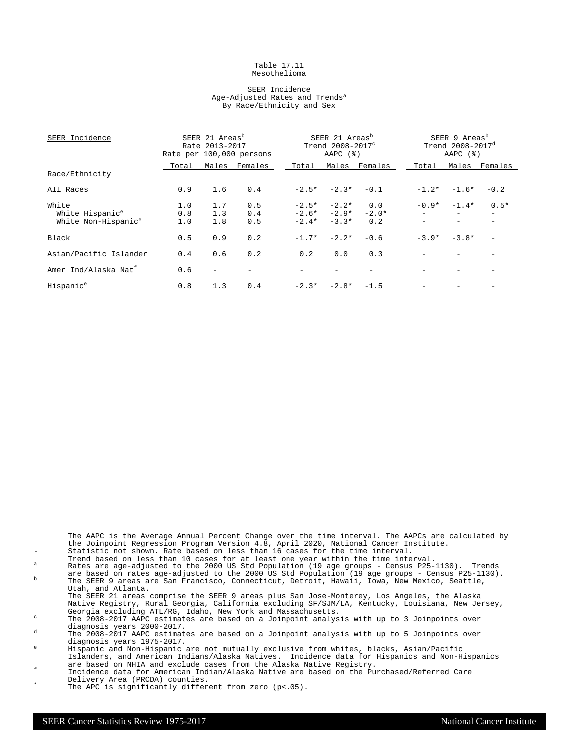#### Table 17.11 Mesothelioma

#### SEER Incidence Age-Adjusted Rates and Trends<sup>a</sup> By Race/Ethnicity and Sex

| SEER Incidence                   |       | SEER 21 Areas <sup>b</sup><br>Rate 2013-2017 | Rate per 100,000 persons | SEER 9 Areas <sup>b</sup><br>SEER 21 Areas <sup>b</sup><br>Trend $2008 - 2017^d$<br>Trend $2008 - 2017^c$<br>AAPC $(%)$<br>AAPC $(%)$ |               |               |         |                          |               |
|----------------------------------|-------|----------------------------------------------|--------------------------|---------------------------------------------------------------------------------------------------------------------------------------|---------------|---------------|---------|--------------------------|---------------|
|                                  | Total |                                              | Males Females            | Total                                                                                                                                 |               | Males Females | Total   |                          | Males Females |
| Race/Ethnicity                   |       |                                              |                          |                                                                                                                                       |               |               |         |                          |               |
| All Races                        | 0.9   | 1.6                                          | 0.4                      |                                                                                                                                       | $-2.5* -2.3*$ | $-0.1$        | $-1.2*$ | $-1.6*$                  | $-0.2$        |
| White                            | 1.0   | 1.7                                          | 0.5                      | $-2.5*$                                                                                                                               | $-2.2*$       | 0.0           | $-0.9*$ | $-1.4*$                  | $0.5*$        |
| White Hispanic <sup>e</sup>      | 0.8   | 1.3                                          | 0.4                      |                                                                                                                                       | $-2.6* -2.9*$ | $-2.0*$       |         | $\overline{\phantom{0}}$ | $-$           |
| White Non-Hispanic <sup>e</sup>  | 1.0   | 1.8                                          | 0.5                      | $-2.4*$                                                                                                                               | $-3.3*$       | 0.2           |         |                          |               |
| Black                            | 0.5   | 0.9                                          | 0.2                      | $-1.7*$                                                                                                                               | $-2.2*$       | $-0.6$        | $-3.9*$ | $-3.8*$                  |               |
| Asian/Pacific Islander           | 0.4   | 0.6                                          | 0.2                      | 0.2                                                                                                                                   | 0.0           | 0.3           |         |                          |               |
| Amer Ind/Alaska Nat <sup>f</sup> | 0.6   |                                              |                          |                                                                                                                                       |               |               |         |                          |               |
| Hispanic <sup>e</sup>            | 0.8   | 1.3                                          | 0.4                      |                                                                                                                                       | $-2.3* -2.8*$ | $-1.5$        |         |                          |               |

The AAPC is the Average Annual Percent Change over the time interval. The AAPCs are calculated by the Joinpoint Regression Program Version 4.8, April 2020, National Cancer Institute. - Statistic not shown. Rate based on less than 16 cases for the time interval.

Trend based on less than 10 cases for at least one year within the time interval.

 $^{\text{a}}$  Rates are age-adjusted to the 2000 US Std Population (19 age groups - Census P25-1130). Trends are based on rates age-adjusted to the 2000 US Std Population (19 age groups - Census P25-1130).<br><sup>b</sup> The SEER 9 areas are San Francisco, Connecticut, Detroit, Hawaii, Iowa, New Mexico, Seattle,

Utah, and Atlanta. The SEER 21 areas comprise the SEER 9 areas plus San Jose-Monterey, Los Angeles, the Alaska

Native Registry, Rural Georgia, California excluding SF/SJM/LA, Kentucky, Louisiana, New Jersey, Georgia excluding ATL/RG, Idaho, New York and Massachusetts. <sup>c</sup> The 2008-2017 AAPC estimates are based on a Joinpoint analysis with up to 3 Joinpoints over

diagnosis years 2000-2017.

 $d$  The 2008-2017 AAPC estimates are based on a Joinpoint analysis with up to 5 Joinpoints over diagnosis years 1975-2017.

<sup>e</sup> Hispanic and Non-Hispanic are not mutually exclusive from whites, blacks, Asian/Pacific Islanders, and American Indians/Alaska Natives. Incidence data for Hispanics and Non-Hispanics are based on NHIA and exclude cases from the Alaska Native Registry.

- <sup>f</sup> Incidence data for American Indian/Alaska Native are based on the Purchased/Referred Care Delivery Area (PRCDA) counties.
	- The APC is significantly different from zero  $(p<.05)$ .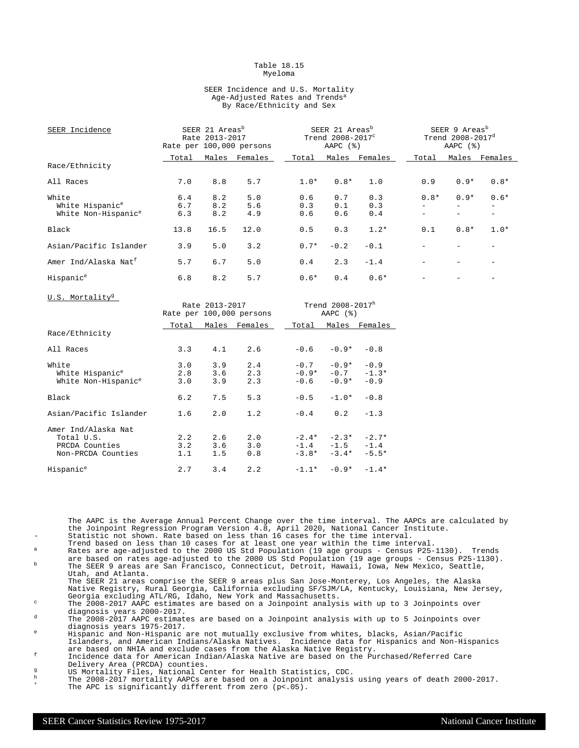#### Table 18.15 Myeloma

#### SEER Incidence and U.S. Mortality Age-Adjusted Rates and Trends<sup>a</sup> By Race/Ethnicity and Sex

| SEER Incidence                   |       | SEER 21 Areas <sup>b</sup><br>Rate 2013-2017 | Rate per 100,000 persons |        | SEER 21 Areas <sup>b</sup><br>SEER 9 Areas <sup>b</sup><br>Trend $2008 - 2017^d$<br>Trend 2008-2017 <sup>c</sup><br>AAPC $(%)$<br>AAPC $(%)$ |               |        |        |               |
|----------------------------------|-------|----------------------------------------------|--------------------------|--------|----------------------------------------------------------------------------------------------------------------------------------------------|---------------|--------|--------|---------------|
|                                  | Total |                                              | Males Females            | Total  |                                                                                                                                              | Males Females | Total  |        | Males Females |
| Race/Ethnicity                   |       |                                              |                          |        |                                                                                                                                              |               |        |        |               |
| All Races                        | 7.0   | 8.8                                          | 5.7                      | $1.0*$ | $0.8*$                                                                                                                                       | 1.0           | 0.9    | $0.9*$ | $0.8*$        |
| White                            | 6.4   | 8.2                                          | 5.0                      | 0.6    | 0.7                                                                                                                                          | 0.3           | $0.8*$ | $0.9*$ | $0.6*$        |
| White Hispanic <sup>e</sup>      | 6.7   | 8.2                                          | 5.6                      | 0.3    | 0.1                                                                                                                                          | 0.3           |        |        |               |
| White Non-Hispanic <sup>e</sup>  | 6.3   | 8.2                                          | 4.9                      | 0.6    | 0.6                                                                                                                                          | 0.4           |        |        |               |
| Black                            | 13.8  | 16.5                                         | 12.0                     | 0.5    | 0.3                                                                                                                                          | $1.2*$        | 0.1    | $0.8*$ | $1.0*$        |
| Asian/Pacific Islander           | 3.9   | 5.0                                          | 3.2                      | $0.7*$ | $-0.2$                                                                                                                                       | $-0.1$        |        |        |               |
| Amer Ind/Alaska Nat <sup>f</sup> | 5.7   | 6.7                                          | 5.0                      | 0.4    | 2.3                                                                                                                                          | $-1.4$        |        |        |               |
| Hispanic <sup>e</sup>            | 6.8   | 8.2                                          | 5.7                      | $0.6*$ | 0.4                                                                                                                                          | $0.6*$        |        |        |               |
| U.S. Mortality <sup>g</sup>      |       | Rate 2013-2017                               | Rate per 100,000 persons |        | Trend 2008-2017h<br>$\text{AMP}($ $(\frac{6}{5})$                                                                                            |               |        |        |               |

|                                 |       | Rate per 100,000 persons |               |         | AAPC $(%)$          |               |  |  |
|---------------------------------|-------|--------------------------|---------------|---------|---------------------|---------------|--|--|
|                                 | Total |                          | Males Females | Total   |                     | Males Females |  |  |
| Race/Ethnicity                  |       |                          |               |         |                     |               |  |  |
| All Races                       | 3.3   | 4.1                      | 2.6           | $-0.6$  | $-0.9*$             | $-0.8$        |  |  |
| White                           | 3.0   | 3.9                      | 2.4           | $-0.7$  | $-0.9*$             | $-0.9$        |  |  |
| White Hispanic <sup>e</sup>     | 2.8   | 3.6                      | 2.3           |         | $-0.9* -0.7$        | $-1.3*$       |  |  |
| White Non-Hispanic <sup>e</sup> | 3.0   | 3.9                      | 2.3           | $-0.6$  | $-0.9*$             | $-0.9$        |  |  |
| Black                           | 6.2   | 7.5                      | 5.3           | $-0.5$  | $-1.0*$             | $-0.8$        |  |  |
| Asian/Pacific Islander          | 1.6   | 2.0                      | 1.2           | $-0.4$  | 0.2                 | $-1.3$        |  |  |
| Amer Ind/Alaska Nat             |       |                          |               |         |                     |               |  |  |
| Total U.S.                      | 2.2   | 2.6                      | 2.0           | $-2.4*$ | $-2.3*$             | $-2.7*$       |  |  |
| PRCDA Counties                  | 3.2   | 3.6                      | 3.0           |         | $-1.4 -1.5$         | $-1.4$        |  |  |
| Non-PRCDA Counties              | 1.1   | 1.5                      | 0.8           | $-3.8*$ | $-3.4*$             | $-5.5*$       |  |  |
| Hispanic <sup>e</sup>           | 2.7   | 3.4                      | 2.2           |         | $-1.1* -0.9* -1.4*$ |               |  |  |

The AAPC is the Average Annual Percent Change over the time interval. The AAPCs are calculated by the Joinpoint Regression Program Version 4.8, April 2020, National Cancer Institute. Statistic not shown. Rate based on less than 16 cases for the time interval.

- Trend based on less than 10 cases for at least one year within the time interval. <sup>a</sup> Rates are age-adjusted to the 2000 US Std Population (19 age groups Census P25-1130). Trends
- are based on rates age-adjusted to the 2000 US Std Population (19 age groups Census P25-1130).<br><sup>b</sup> The SEER 9 areas are San Francisco, Connecticut, Detroit, Hawaii, Iowa, New Mexico, Seattle, Utah, and Atlanta.
- The SEER 21 areas comprise the SEER 9 areas plus San Jose-Monterey, Los Angeles, the Alaska Native Registry, Rural Georgia, California excluding SF/SJM/LA, Kentucky, Louisiana, New Jersey, Georgia excluding ATL/RG, Idaho, New York and Massachusetts.

<sup>c</sup> The 2008-2017 AAPC estimates are based on a Joinpoint analysis with up to 3 Joinpoints over diagnosis years 2000-2017.

<sup>d</sup> The 2008-2017 AAPC estimates are based on a Joinpoint analysis with up to 5 Joinpoints over diagnosis years 1975-2017.

<sup>e</sup> Hispanic and Non-Hispanic are not mutually exclusive from whites, blacks, Asian/Pacific Islanders, and American Indians/Alaska Natives. Incidence data for Hispanics and Non-Hispanics are based on NHIA and exclude cases from the Alaska Native Registry.

<sup>f</sup> Incidence data for American Indian/Alaska Native are based on the Purchased/Referred Care Delivery Area (PRCDA) counties.

g<br>
US Mortality Files, National Center for Health Statistics, CDC.<br>
The 2008-2017 mortality AADCs are based on a Joinnoint analysis

 $^{\text{h}}$  The 2008-2017 mortality AAPCs are based on a Joinpoint analysis using years of death 2000-2017. \* The APC is significantly different from zero (p<.05).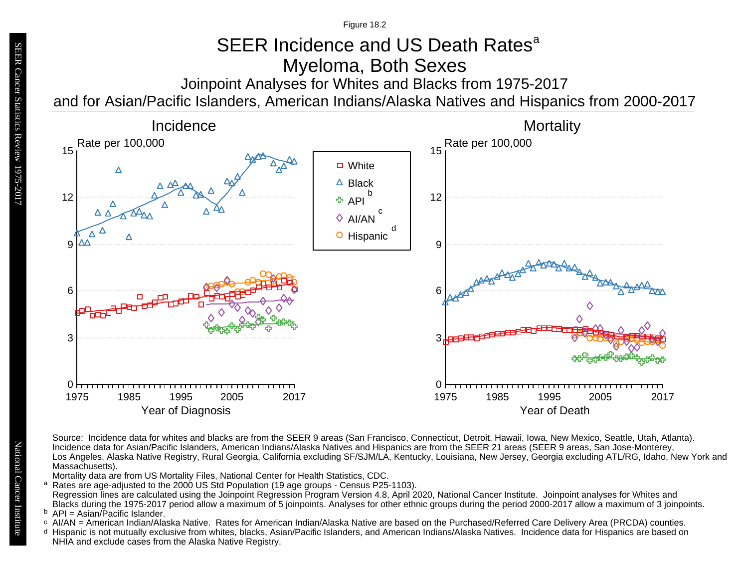# SEER Incidence and US Death Rates<sup>a</sup> Myeloma, Both Sexes

Joinpoint Analyses for Whites and Blacks from 1975-2017

and for Asian/Pacific Islanders, American Indians/Alaska Natives and Hispanics from 2000-2017



Source: Incidence data for whites and blacks are from the SEER 9 areas (San Francisco, Connecticut, Detroit, Hawaii, Iowa, New Mexico, Seattle, Utah, Atlanta). Incidence data for Asian/Pacific Islanders, American Indians/Alaska Natives and Hispanics are from the SEER 21 areas (SEER 9 areas, San Jose-Monterey, Los Angeles, Alaska Native Registry, Rural Georgia, California excluding SF/SJM/LA, Kentucky, Louisiana, New Jersey, Georgia excluding ATL/RG, Idaho, New York and Massachusetts).

Mortality data are from US Mortality Files, National Center for Health Statistics, CDC.

a<br>b<br>d Rates are age-adjusted to the 2000 US Std Population (19 age groups - Census P25-1103). a Regression lines are calculated using the Joinpoint Regression Program Version 4.8, April 2020, National Cancer Institute. Joinpoint analyses for Whites and Blacks during the 1975-2017 period allow a maximum of 5 joinpoints. Analyses for other ethnic groups during the period 2000-2017 allow a maximum of 3 joinpoints.

 $P = A$ sian/Pacific Islander.

- b API = Asian/Pacific Islander.<br>○ AI/AN = American Indian/Alaska Native. Rates for American Indian/Alaska Native are based on the Purchased/Referred Care Delivery Area (PRCDA) counties.
- Hispanic is not mutually exclusive from whites, blacks, Asian/Pacific Islanders, and American Indians/Alaska Natives. Incidence data for Hispanics are based on NHIA and exclude cases from the Alaska Native Registry.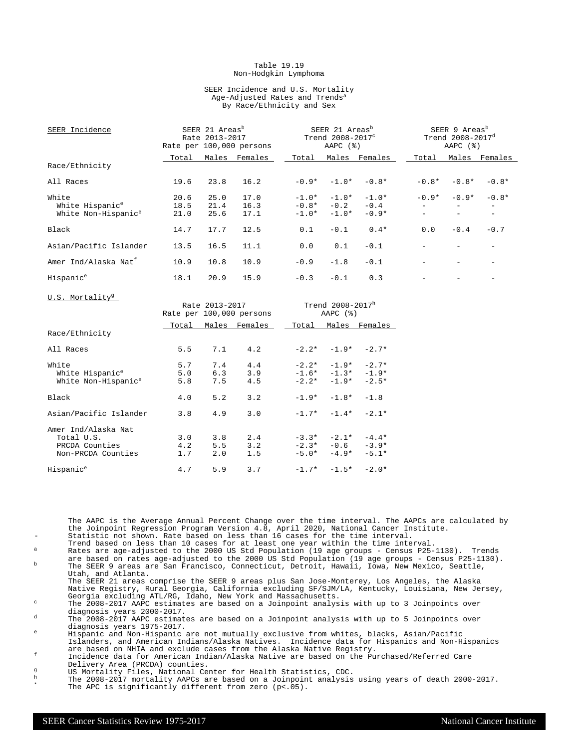#### Table 19.19 Non-Hodgkin Lymphoma

#### SEER Incidence and U.S. Mortality Age-Adjusted Rates and Trends<sup>a</sup> By Race/Ethnicity and Sex

| SEER Incidence                   |       | SEER 21 Areas <sup>b</sup><br>Rate 2013-2017 | Rate per 100,000 persons |         | SEER 21 Areas <sup>b</sup><br>Trend 2008-2017°<br>AAPC $(%)$ |                     |         | SEER 9 Areas <sup>b</sup><br>Trend 2008-2017 <sup>d</sup><br>AAPC $(%)$ |               |
|----------------------------------|-------|----------------------------------------------|--------------------------|---------|--------------------------------------------------------------|---------------------|---------|-------------------------------------------------------------------------|---------------|
|                                  | Total |                                              | Males Females            | Total   |                                                              | Males Females       | Total   |                                                                         | Males Females |
| Race/Ethnicity                   |       |                                              |                          |         |                                                              |                     |         |                                                                         |               |
| All Races                        | 19.6  | 23.8                                         | 16.2                     |         | $-0.9* -1.0*$                                                | $-0.8*$             | $-0.8*$ | $-0.8*$                                                                 | $-0.8*$       |
| White                            | 20.6  | 25.0                                         | 17.0                     |         |                                                              | $-1.0* -1.0* -1.0*$ | $-0.9*$ | $-0.9*$                                                                 | $-0.8*$       |
| White Hispanic <sup>e</sup>      | 18.5  | 21.4                                         | 16.3                     |         | $-0.8* -0.2$                                                 | $-0.4$              |         |                                                                         |               |
| White Non-Hispanic <sup>e</sup>  | 21.0  | 25.6                                         | 17.1                     | $-1.0*$ | $-1.0*$                                                      | $-0.9*$             |         |                                                                         |               |
| Black                            | 14.7  | 17.7                                         | 12.5                     | 0.1     | $-0.1$                                                       | $0.4*$              | 0.0     | $-0.4$                                                                  | $-0.7$        |
| Asian/Pacific Islander           | 13.5  | 16.5                                         | 11.1                     | 0.0     | 0.1                                                          | $-0.1$              |         |                                                                         |               |
| Amer Ind/Alaska Nat <sup>f</sup> | 10.9  | 10.8                                         | 10.9                     | $-0.9$  | $-1.8$                                                       | $-0.1$              |         |                                                                         |               |
| Hispanic <sup>e</sup>            | 18.1  | 20.9                                         | 15.9                     | $-0.3$  | $-0.1$                                                       | 0.3                 |         |                                                                         |               |
| U.S. Mortality <sup>g</sup>      |       |                                              |                          |         |                                                              |                     |         |                                                                         |               |
|                                  |       | Rate 2013-2017                               |                          |         | Trend 2008-2017h                                             |                     |         |                                                                         |               |
|                                  |       |                                              | Rate per 100,000 persons |         | AAPC $(%)$                                                   |                     |         |                                                                         |               |
|                                  | Total |                                              | Males Females            | Total   |                                                              | Males Females       |         |                                                                         |               |
| Rate/Fthnintri                   |       |                                              |                          |         |                                                              |                     |         |                                                                         |               |

|                                                                           | Total             | Males             | Females           | Total              | Males                                                 | Females                       |
|---------------------------------------------------------------------------|-------------------|-------------------|-------------------|--------------------|-------------------------------------------------------|-------------------------------|
| Race/Ethnicity                                                            |                   |                   |                   |                    |                                                       |                               |
| All Races                                                                 | 5.5               | 7.1               | 4.2               |                    | $-2.2* -1.9*$                                         | $-2.7*$                       |
| White<br>White Hispanic <sup>e</sup><br>White Non-Hispanic <sup>e</sup>   | 5.7<br>5.0<br>5.8 | 7.4<br>6.3<br>7.5 | 4.4<br>3.9<br>4.5 |                    | $-2.2* -1.9*$<br>$-1.6* -1.3* -1.9*$<br>$-2.2* -1.9*$ | $-2.7*$<br>$-2.5*$            |
| Black                                                                     | 4.0               | 5.2               | 3.2               | $-1.9*$            | $-1.8*$                                               | $-1.8$                        |
| Asian/Pacific Islander                                                    | 3.8               | 4.9               | 3.0               |                    | $-1.7* -1.4*$                                         | $-2.1*$                       |
| Amer Ind/Alaska Nat<br>Total U.S.<br>PRCDA Counties<br>Non-PRCDA Counties | 3.0<br>4.2<br>1.7 | 3.8<br>5.5<br>2.0 | 2.4<br>3.2<br>1.5 | $-3.3*$<br>$-5.0*$ | $-2.1*$<br>$-2.3* -0.6$<br>$-4.9*$                    | $-4.4*$<br>$-3.9*$<br>$-5.1*$ |
| Hispanic <sup>e</sup>                                                     | 4.7               | 5.9               | 3.7               |                    | $-1.7* -1.5*$                                         | $-2.0*$                       |

The AAPC is the Average Annual Percent Change over the time interval. The AAPCs are calculated by the Joinpoint Regression Program Version 4.8, April 2020, National Cancer Institute. Statistic not shown. Rate based on less than 16 cases for the time interval.

- Trend based on less than 10 cases for at least one year within the time interval. <sup>a</sup> Rates are age-adjusted to the 2000 US Std Population (19 age groups Census P25-1130). Trends
- are based on rates age-adjusted to the 2000 US Std Population (19 age groups Census P25-1130).<br><sup>b</sup> The SEER 9 areas are San Francisco, Connecticut, Detroit, Hawaii, Iowa, New Mexico, Seattle, Utah, and Atlanta.

The SEER 21 areas comprise the SEER 9 areas plus San Jose-Monterey, Los Angeles, the Alaska Native Registry, Rural Georgia, California excluding SF/SJM/LA, Kentucky, Louisiana, New Jersey, Georgia excluding ATL/RG, Idaho, New York and Massachusetts.

<sup>c</sup> The 2008-2017 AAPC estimates are based on a Joinpoint analysis with up to 3 Joinpoints over diagnosis years 2000-2017.

<sup>d</sup> The 2008-2017 AAPC estimates are based on a Joinpoint analysis with up to 5 Joinpoints over diagnosis years 1975-2017.

<sup>e</sup> Hispanic and Non-Hispanic are not mutually exclusive from whites, blacks, Asian/Pacific Islanders, and American Indians/Alaska Natives. Incidence data for Hispanics and Non-Hispanics are based on NHIA and exclude cases from the Alaska Native Registry.

<sup>f</sup> Incidence data for American Indian/Alaska Native are based on the Purchased/Referred Care Delivery Area (PRCDA) counties.

g<br>
US Mortality Files, National Center for Health Statistics, CDC.<br>
The 2008-2017 mortality AADCs are based on a Joinnoint analysis

 $^{\text{h}}$  The 2008-2017 mortality AAPCs are based on a Joinpoint analysis using years of death 2000-2017. \* The APC is significantly different from zero (p<.05).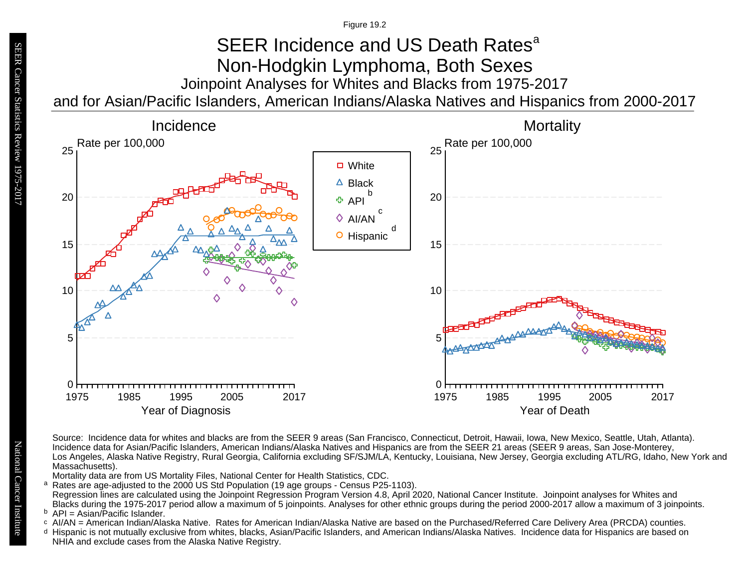## Joinpoint Analyses for Whites and Blacks from 1975-2017 and for Asian/Pacific Islanders, American Indians/Alaska Natives and Hispanics from 2000-2017 SEER Incidence and US Death Rates<sup>a</sup> Non-Hodgkin Lymphoma, Both Sexes



Source: Incidence data for whites and blacks are from the SEER 9 areas (San Francisco, Connecticut, Detroit, Hawaii, Iowa, New Mexico, Seattle, Utah, Atlanta). Incidence data for Asian/Pacific Islanders, American Indians/Alaska Natives and Hispanics are from the SEER 21 areas (SEER 9 areas, San Jose-Monterey, Los Angeles, Alaska Native Registry, Rural Georgia, California excluding SF/SJM/LA, Kentucky, Louisiana, New Jersey, Georgia excluding ATL/RG, Idaho, New York and Massachusetts).

Mortality data are from US Mortality Files, National Center for Health Statistics, CDC.

a<br>b<br>d Rates are age-adjusted to the 2000 US Std Population (19 age groups - Census P25-1103). a Regression lines are calculated using the Joinpoint Regression Program Version 4.8, April 2020, National Cancer Institute. Joinpoint analyses for Whites and Blacks during the 1975-2017 period allow a maximum of 5 joinpoints. Analyses for other ethnic groups during the period 2000-2017 allow a maximum of 3 joinpoints.

 $P = A$ sian/Pacific Islander.

- b API = Asian/Pacific Islander.<br>○ AI/AN = American Indian/Alaska Native. Rates for American Indian/Alaska Native are based on the Purchased/Referred Care Delivery Area (PRCDA) counties.
- Hispanic is not mutually exclusive from whites, blacks, Asian/Pacific Islanders, and American Indians/Alaska Natives. Incidence data for Hispanics are based on NHIA and exclude cases from the Alaska Native Registry.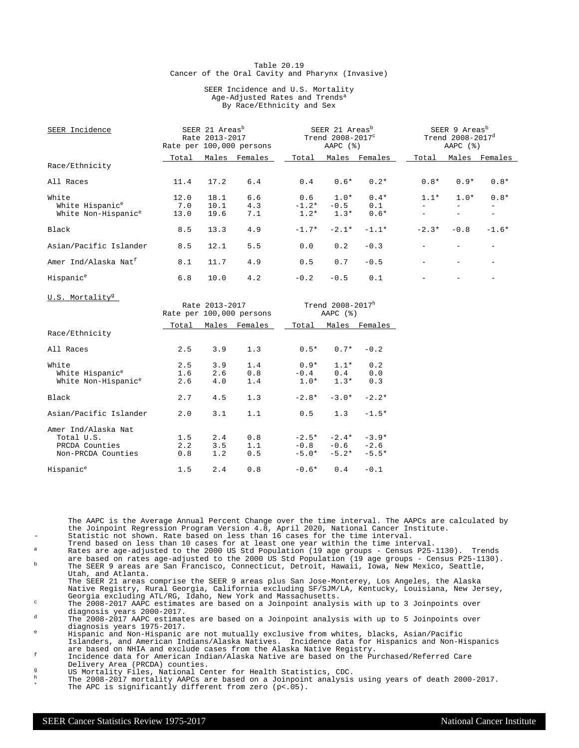#### Table 20.19 Cancer of the Oral Cavity and Pharynx (Invasive)

#### SEER Incidence and U.S. Mortality Age-Adjusted Rates and Trends<sup>a</sup> By Race/Ethnicity and Sex

| SEER Incidence                       |             | SEER 21 Areas <sup>b</sup><br>Rate 2013-2017 | Rate per 100,000 persons |                | SEER 21 Areas <sup>b</sup><br>Trend 2008-2017 <sup>c</sup><br>AAPC $(%)$ |               |         | SEER 9 Areas <sup>b</sup><br>Trend 2008-2017 <sup>d</sup><br>AAPC $(%)$ |         |
|--------------------------------------|-------------|----------------------------------------------|--------------------------|----------------|--------------------------------------------------------------------------|---------------|---------|-------------------------------------------------------------------------|---------|
|                                      | Total       | Males                                        | Females                  | Total          | Males                                                                    | Females       | Total   | Males                                                                   | Females |
| Race/Ethnicity                       |             |                                              |                          |                |                                                                          |               |         |                                                                         |         |
| All Races                            | 11.4        | 17.2                                         | 6.4                      | 0.4            | $0.6*$                                                                   | $0.2*$        | $0.8*$  | $0.9*$                                                                  | $0.8*$  |
| White<br>White Hispanic <sup>e</sup> | 12.0<br>7.0 | 18.1<br>10.1                                 | 6.6<br>4.3               | 0.6<br>$-1.2*$ | $1.0*$<br>$-0.5$                                                         | $0.4*$<br>0.1 | $1.1*$  | $1.0*$                                                                  | $0.8*$  |
| White Non-Hispanic <sup>e</sup>      | 13.0        | 19.6                                         | 7.1                      | $1.2*$         | $1.3*$                                                                   | $0.6*$        |         |                                                                         |         |
| Black                                | 8.5         | 13.3                                         | 4.9                      | $-1.7*$        | $-2.1*$                                                                  | $-1.1*$       | $-2.3*$ | $-0.8$                                                                  | $-1.6*$ |
| Asian/Pacific Islander               | 8.5         | 12.1                                         | 5.5                      | 0.0            | 0.2                                                                      | $-0.3$        |         |                                                                         |         |
| Amer Ind/Alaska Nat <sup>f</sup>     | 8.1         | 11.7                                         | 4.9                      | 0.5            | 0.7                                                                      | $-0.5$        |         |                                                                         |         |
| Hispanic <sup>e</sup>                | 6.8         | 10.0                                         | 4.2                      | $-0.2$         | $-0.5$                                                                   | 0.1           |         |                                                                         |         |

|                                                                           | Trend 2008-2017h<br>Rate 2013-2017<br>Rate per 100,000 persons<br>AAPC $(%)$ |                   |                   |         |                                                |                              |
|---------------------------------------------------------------------------|------------------------------------------------------------------------------|-------------------|-------------------|---------|------------------------------------------------|------------------------------|
|                                                                           | Total                                                                        |                   | Males Females     | Total   |                                                | Males Females                |
| Race/Ethnicity                                                            |                                                                              |                   |                   |         |                                                |                              |
| All Races                                                                 | 2.5                                                                          | 3.9               | 1.3               | $0.5*$  | $0.7*$                                         | $-0.2$                       |
| White<br>White Hispanic <sup>e</sup><br>White Non-Hispanic <sup>e</sup>   | 2.5<br>1.6<br>2.6                                                            | 3.9<br>2.6<br>4.0 | 1.4<br>0.8<br>1.4 | $1.0*$  | $0.9*$ 1.1*<br>$-0.4$ 0.4<br>$1.3*$            | 0.2<br>0.0<br>0.3            |
| Black                                                                     | 2.7                                                                          | 4.5               | 1.3               | $-2.8*$ | $-3.0*$                                        | $-2.2*$                      |
| Asian/Pacific Islander                                                    | 2.0                                                                          | 3.1               | 1.1               | 0.5     | 1.3                                            | $-1.5*$                      |
| Amer Ind/Alaska Nat<br>Total U.S.<br>PRCDA Counties<br>Non-PRCDA Counties | 1.5<br>2.2<br>0.8                                                            | 2.4<br>3.5<br>1.2 | 0.8<br>1.1<br>0.5 |         | $-2.5* -2.4*$<br>$-0.8 - 0.6$<br>$-5.0* -5.2*$ | $-3.9*$<br>$-2.6$<br>$-5.5*$ |
| Hispanic <sup>e</sup>                                                     | 1.5                                                                          | 2.4               | 0.8               | $-0.6*$ | 0.4                                            | $-0.1$                       |

The AAPC is the Average Annual Percent Change over the time interval. The AAPCs are calculated by the Joinpoint Regression Program Version 4.8, April 2020, National Cancer Institute. Statistic not shown. Rate based on less than 16 cases for the time interval.

- Trend based on less than 10 cases for at least one year within the time interval. <sup>a</sup> Rates are age-adjusted to the 2000 US Std Population (19 age groups Census P25-1130). Trends
- are based on rates age-adjusted to the 2000 US Std Population (19 age groups Census P25-1130).<br><sup>b</sup> The SEER 9 areas are San Francisco, Connecticut, Detroit, Hawaii, Iowa, New Mexico, Seattle, Utah, and Atlanta.
- The SEER 21 areas comprise the SEER 9 areas plus San Jose-Monterey, Los Angeles, the Alaska Native Registry, Rural Georgia, California excluding SF/SJM/LA, Kentucky, Louisiana, New Jersey, Georgia excluding ATL/RG, Idaho, New York and Massachusetts.

 $\degree$  The 2008-2017 AAPC estimates are based on a Joinpoint analysis with up to 3 Joinpoints over diagnosis years 2000-2017.

<sup>d</sup> The 2008-2017 AAPC estimates are based on a Joinpoint analysis with up to 5 Joinpoints over diagnosis years 1975-2017.

<sup>e</sup> Hispanic and Non-Hispanic are not mutually exclusive from whites, blacks, Asian/Pacific Islanders, and American Indians/Alaska Natives. Incidence data for Hispanics and Non-Hispanics are based on NHIA and exclude cases from the Alaska Native Registry.

<sup>f</sup> Incidence data for American Indian/Alaska Native are based on the Purchased/Referred Care Delivery Area (PRCDA) counties.

- g<br>
US Mortality Files, National Center for Health Statistics, CDC.<br>
The 2008-2017 mortality AADCs are based on a Joinnoint analysis
- $^{\text{h}}$  The 2008-2017 mortality AAPCs are based on a Joinpoint analysis using years of death 2000-2017. \* The APC is significantly different from zero (p<.05).

U.S. Mortality<sup>g</sup>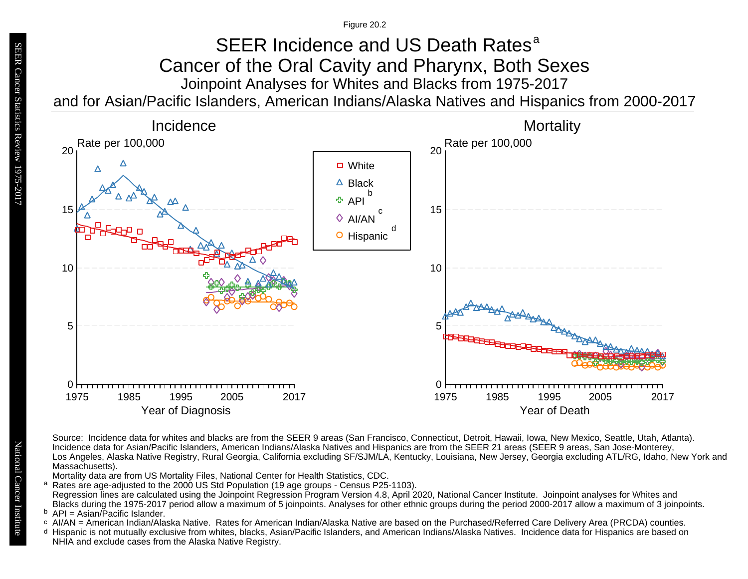Figure 20.2

### Joinpoint Analyses for Whites and Blacks from 1975-2017 and for Asian/Pacific Islanders, American Indians/Alaska Natives and Hispanics from 2000-2017 SEER Incidence and US Death Rates<sup>a</sup> Cancer of the Oral Cavity and Pharynx, Both Sexes



Source: Incidence data for whites and blacks are from the SEER 9 areas (San Francisco, Connecticut, Detroit, Hawaii, Iowa, New Mexico, Seattle, Utah, Atlanta). Incidence data for Asian/Pacific Islanders, American Indians/Alaska Natives and Hispanics are from the SEER 21 areas (SEER 9 areas, San Jose-Monterey, Los Angeles, Alaska Native Registry, Rural Georgia, California excluding SF/SJM/LA, Kentucky, Louisiana, New Jersey, Georgia excluding ATL/RG, Idaho, New York and Massachusetts).

Mortality data are from US Mortality Files, National Center for Health Statistics, CDC.

- a<br>b<br>d Rates are age-adjusted to the 2000 US Std Population (19 age groups - Census P25-1103). a Regression lines are calculated using the Joinpoint Regression Program Version 4.8, April 2020, National Cancer Institute. Joinpoint analyses for Whites and Blacks during the 1975-2017 period allow a maximum of 5 joinpoints. Analyses for other ethnic groups during the period 2000-2017 allow a maximum of 3 joinpoints.
- <sup>b</sup> API = Asian/Pacific Islander.<br>○ AI/AN = American Indian/Ala
- AI/AN = American Indian/Alaska Native. Rates for American Indian/Alaska Native are based on the Purchased/Referred Care Delivery Area (PRCDA) counties.
- Hispanic is not mutually exclusive from whites, blacks, Asian/Pacific Islanders, and American Indians/Alaska Natives. Incidence data for Hispanics are based on NHIA and exclude cases from the Alaska Native Registry.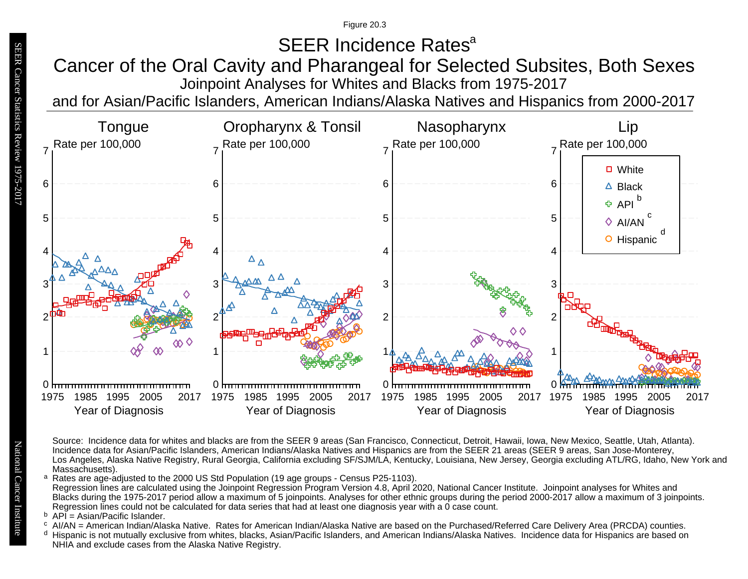Figure 20.3

# SEER Incidence Rates<sup>a</sup>

# Joinpoint Analyses for Whites and Blacks from 1975-2017 Cancer of the Oral Cavity and Pharangeal for Selected Subsites, Both Sexes

and for Asian/Pacific Islanders, American Indians/Alaska Natives and Hispanics from 2000-2017



Source: Incidence data for whites and blacks are from the SEER 9 areas (San Francisco, Connecticut, Detroit, Hawaii, Iowa, New Mexico, Seattle, Utah, Atlanta). Incidence data for Asian/Pacific Islanders, American Indians/Alaska Natives and Hispanics are from the SEER 21 areas (SEER 9 areas, San Jose-Monterey, Los Angeles, Alaska Native Registry, Rural Georgia, California excluding SF/SJM/LA, Kentucky, Louisiana, New Jersey, Georgia excluding ATL/RG, Idaho, New York and Massachusetts).

<sup>a</sup> Rates are age-adjusted to the 2000 US Std Population (19 age groups - Census P25-1103). Regression lines are calculated using the Joinpoint Regression Program Version 4.8, April 2020, National Cancer Institute. Joinpoint analyses for Whites and Blacks during the 1975-2017 period allow a maximum of 5 joinpoints. Analyses for other ethnic groups during the period 2000-2017 allow a maximum of 3 joinpoints. Regression lines could not be calculated for data series that had at least one diagnosis year with a 0 case count. a<br>b<br>d

- <sup>b</sup> API = Asian/Pacific Islander.<br><sup>c</sup> AI/AN American Indian/Ala
- AI/AN = American Indian/Alaska Native. Rates for American Indian/Alaska Native are based on the Purchased/Referred Care Delivery Area (PRCDA) counties.
- <sup>d</sup> Hispanic is not mutually exclusive from whites, blacks, Asian/Pacific Islanders, and American Indians/Alaska Natives. Incidence data for Hispanics are based on NHIA and exclude cases from the Alaska Native Registry.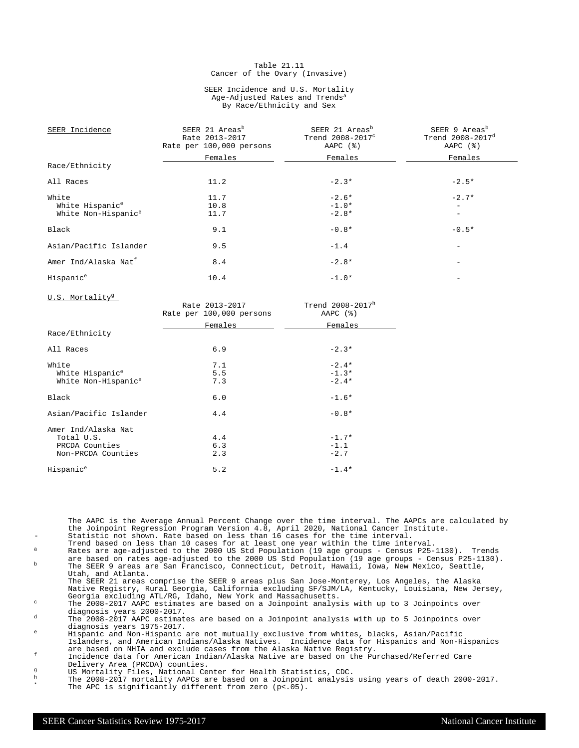#### Table 21.11 Cancer of the Ovary (Invasive)

#### SEER Incidence and U.S. Mortality Age-Adjusted Rates and Trends<sup>a</sup> By Race/Ethnicity and Sex

| SEER Incidence                   | SEER 21 Areas <sup>b</sup><br>Rate 2013-2017<br>Rate per 100,000 persons | SEER 21 Areas <sup>b</sup><br>Trend 2008-2017°<br>AAPC $(%)$ | SEER 9 Areas <sup>b</sup><br>Trend 2008-2017 <sup>d</sup><br>AAPC $(%)$ |
|----------------------------------|--------------------------------------------------------------------------|--------------------------------------------------------------|-------------------------------------------------------------------------|
|                                  | Females                                                                  | Females                                                      | Females                                                                 |
| Race/Ethnicity                   |                                                                          |                                                              |                                                                         |
| All Races                        | 11.2                                                                     | $-2.3*$                                                      | $-2.5*$                                                                 |
| White                            | 11.7                                                                     | $-2.6*$                                                      | $-2.7*$                                                                 |
| White Hispanic <sup>e</sup>      | 10.8                                                                     | $-1.0*$                                                      |                                                                         |
| White Non-Hispanic <sup>e</sup>  | 11.7                                                                     | $-2.8*$                                                      |                                                                         |
| Black                            | 9.1                                                                      | $-0.8*$                                                      | $-0.5*$                                                                 |
| Asian/Pacific Islander           | 9.5                                                                      | $-1.4$                                                       |                                                                         |
| Amer Ind/Alaska Nat <sup>f</sup> | 8.4                                                                      | $-2.8*$                                                      |                                                                         |
| Hispanic <sup>e</sup>            | 10.4                                                                     | $-1.0*$                                                      |                                                                         |

U.S. Mortality<sup>9</sup>

| $0.001$ $1.01$ $0.01$ $1.00$    | Rate 2013-2017<br>Rate per 100,000 persons | Trend 2008-2017h<br>AAPC $(%)$ |
|---------------------------------|--------------------------------------------|--------------------------------|
|                                 | Females                                    | Females                        |
| Race/Ethnicity                  |                                            |                                |
| All Races                       | 6.9                                        | $-2.3*$                        |
| White                           | 7.1                                        | $-2.4*$                        |
| White Hispanic <sup>e</sup>     | 5.5                                        | $-1.3*$                        |
| White Non-Hispanic <sup>e</sup> | 7.3                                        | $-2.4*$                        |
| Black                           | 6.0                                        | $-1.6*$                        |
| Asian/Pacific Islander          | 4.4                                        | $-0.8*$                        |
| Amer Ind/Alaska Nat             |                                            |                                |
| Total U.S.                      | 4.4                                        | $-1.7*$                        |
| PRCDA Counties                  | 6.3                                        | $-1.1$                         |
| Non-PRCDA Counties              | 2.3                                        | $-2.7$                         |
| Hispanic <sup>e</sup>           | 5.2                                        | $-1.4*$                        |

The AAPC is the Average Annual Percent Change over the time interval. The AAPCs are calculated by the Joinpoint Regression Program Version 4.8, April 2020, National Cancer Institute. Statistic not shown. Rate based on less than 16 cases for the time interval.

- Trend based on less than 10 cases for at least one year within the time interval. <sup>a</sup> Rates are age-adjusted to the 2000 US Std Population (19 age groups Census P25-1130). Trends
- are based on rates age-adjusted to the 2000 US Std Population (19 age groups Census P25-1130).<br><sup>b</sup> The SEER 9 areas are San Francisco, Connecticut, Detroit, Hawaii, Iowa, New Mexico, Seattle, Utah, and Atlanta.

The SEER 21 areas comprise the SEER 9 areas plus San Jose-Monterey, Los Angeles, the Alaska Native Registry, Rural Georgia, California excluding SF/SJM/LA, Kentucky, Louisiana, New Jersey, Georgia excluding ATL/RG, Idaho, New York and Massachusetts.

<sup>c</sup> The 2008-2017 AAPC estimates are based on a Joinpoint analysis with up to 3 Joinpoints over diagnosis years 2000-2017.

<sup>d</sup> The 2008-2017 AAPC estimates are based on a Joinpoint analysis with up to 5 Joinpoints over diagnosis years 1975-2017.

<sup>e</sup> Hispanic and Non-Hispanic are not mutually exclusive from whites, blacks, Asian/Pacific Islanders, and American Indians/Alaska Natives. Incidence data for Hispanics and Non-Hispanics are based on NHIA and exclude cases from the Alaska Native Registry.

<sup>f</sup> Incidence data for American Indian/Alaska Native are based on the Purchased/Referred Care Delivery Area (PRCDA) counties.

- g<br>
US Mortality Files, National Center for Health Statistics, CDC.<br>
The 2008–2017 mentality ADOG are based an a Joinnaint applying
- $^{\text{h}}$  The 2008-2017 mortality AAPCs are based on a Joinpoint analysis using years of death 2000-2017. \* The APC is significantly different from zero (p<.05).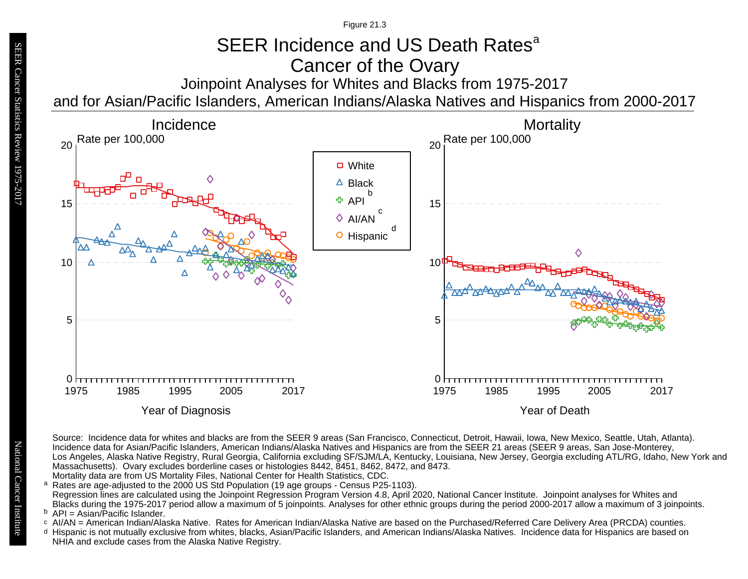# SEER Incidence and US Death Rates<sup>a</sup> Cancer of the Ovary

Joinpoint Analyses for Whites and Blacks from 1975-2017 and for Asian/Pacific Islanders, American Indians/Alaska Natives and Hispanics from 2000-2017



Source: Incidence data for whites and blacks are from the SEER 9 areas (San Francisco, Connecticut, Detroit, Hawaii, Iowa, New Mexico, Seattle, Utah, Atlanta). Incidence data for Asian/Pacific Islanders, American Indians/Alaska Natives and Hispanics are from the SEER 21 areas (SEER 9 areas, San Jose-Monterey, Los Angeles, Alaska Native Registry, Rural Georgia, California excluding SF/SJM/LA, Kentucky, Louisiana, New Jersey, Georgia excluding ATL/RG, Idaho, New York and Massachusetts). Ovary excludes borderline cases or histologies 8442, 8451, 8462, 8472, and 8473. Mortality data are from US Mortality Files, National Center for Health Statistics, CDC.

Rates are age-adjusted to the 2000 US Std Population (19 age groups - Census P25-1103). a Regression lines are calculated using the Joinpoint Regression Program Version 4.8, April 2020, National Cancer Institute. Joinpoint analyses for Whites and Blacks during the 1975-2017 period allow a maximum of 5 joinpoints. Analyses for other ethnic groups during the period 2000-2017 allow a maximum of 3 joinpoints.

- $P = A$ sian/Pacific Islander. a<br>b<br>d
- b API = Asian/Pacific Islander.<br>○ AI/AN = American Indian/Alaska Native. Rates for American Indian/Alaska Native are based on the Purchased/Referred Care Delivery Area (PRCDA) counties.
- Hispanic is not mutually exclusive from whites, blacks, Asian/Pacific Islanders, and American Indians/Alaska Natives. Incidence data for Hispanics are based on NHIA and exclude cases from the Alaska Native Registry.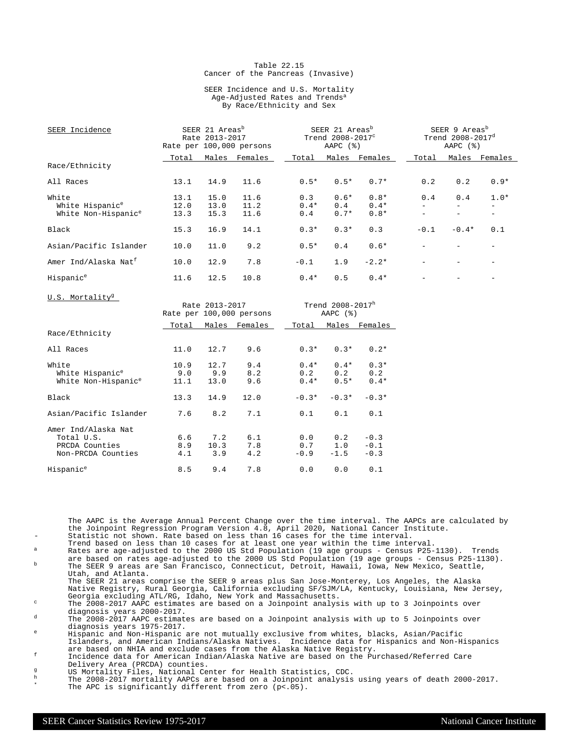#### Table 22.15 Cancer of the Pancreas (Invasive)

#### SEER Incidence and U.S. Mortality Age-Adjusted Rates and Trends<sup>a</sup> By Race/Ethnicity and Sex

| SEER Incidence                   |       | SEER 21 Areas <sup>b</sup><br>Rate 2013-2017<br>Rate per 100,000 persons |                          |        | SEER 21 Areas <sup>b</sup><br>Trend 2008-2017°<br>AAPC $(%)$ |               | SEER 9 Areas <sup>b</sup><br>Trend 2008-2017 <sup>d</sup><br>AAPC $(%)$ |         |               |
|----------------------------------|-------|--------------------------------------------------------------------------|--------------------------|--------|--------------------------------------------------------------|---------------|-------------------------------------------------------------------------|---------|---------------|
| Race/Ethnicity                   | Total |                                                                          | Males Females            | Total  |                                                              | Males Females | Total                                                                   |         | Males Females |
|                                  |       |                                                                          |                          |        |                                                              |               |                                                                         |         |               |
| All Races                        | 13.1  | 14.9                                                                     | 11.6                     | $0.5*$ | $0.5*$                                                       | $0.7*$        | 0.2                                                                     | 0.2     | $0.9*$        |
| White                            | 13.1  | 15.0                                                                     | 11.6                     | 0.3    | $0.6*$                                                       | $0.8*$        | 0.4                                                                     | 0.4     | $1.0*$        |
| White Hispanic <sup>e</sup>      | 12.0  | 13.0                                                                     | 11.2                     | $0.4*$ | 0.4                                                          | $0.4*$        |                                                                         |         |               |
| White Non-Hispanic <sup>e</sup>  | 13.3  | 15.3                                                                     | 11.6                     | 0.4    | $0.7*$                                                       | $0.8*$        |                                                                         |         |               |
| Black                            | 15.3  | 16.9                                                                     | 14.1                     | $0.3*$ | $0.3*$                                                       | 0.3           | $-0.1$                                                                  | $-0.4*$ | 0.1           |
| Asian/Pacific Islander           | 10.0  | 11.0                                                                     | 9.2                      | $0.5*$ | 0.4                                                          | $0.6*$        |                                                                         |         |               |
| Amer Ind/Alaska Nat <sup>f</sup> | 10.0  | 12.9                                                                     | 7.8                      | $-0.1$ | 1.9                                                          | $-2.2*$       |                                                                         |         |               |
| Hispanic <sup>e</sup>            | 11.6  | 12.5                                                                     | 10.8                     | $0.4*$ | 0.5                                                          | $0.4*$        |                                                                         |         |               |
| U.S. Mortality <sup>g</sup>      |       |                                                                          |                          |        |                                                              |               |                                                                         |         |               |
|                                  |       | Rate 2013-2017                                                           |                          |        | Trend 2008-2017h                                             |               |                                                                         |         |               |
|                                  |       |                                                                          | Rate per 100,000 persons |        | AAPC $(%)$                                                   |               |                                                                         |         |               |
|                                  | Total | Males                                                                    | Females                  | Total  |                                                              | Males Females |                                                                         |         |               |
| Race/Ethnicity                   |       |                                                                          |                          |        |                                                              |               |                                                                         |         |               |

|                                                                           | ⊥∪tai               | Maics               | r cilia leb       | IULAI                   | Males                   | r cilia l co               |
|---------------------------------------------------------------------------|---------------------|---------------------|-------------------|-------------------------|-------------------------|----------------------------|
| Race/Ethnicity                                                            |                     |                     |                   |                         |                         |                            |
| All Races                                                                 | 11.0                | 12.7                | 9.6               | $0.3*$                  | $0.3*$                  | $0.2*$                     |
| White<br>White Hispanic <sup>e</sup><br>White Non-Hispanic <sup>e</sup>   | 10.9<br>9.0<br>11.1 | 12.7<br>9.9<br>13.0 | 9.4<br>8.2<br>9.6 | $0.4*$<br>0.2<br>$0.4*$ | $0.4*$<br>0.2<br>$0.5*$ | $0.3*$<br>0.2<br>$0.4*$    |
| Black                                                                     | 13.3                | 14.9                | 12.0              | $-0.3*$                 | $-0.3*$                 | $-0.3*$                    |
| Asian/Pacific Islander                                                    | 7.6                 | 8.2                 | 7.1               | 0.1                     | 0.1                     | 0.1                        |
| Amer Ind/Alaska Nat<br>Total U.S.<br>PRCDA Counties<br>Non-PRCDA Counties | 6.6<br>8.9<br>4.1   | 7.2<br>10.3<br>3.9  | 6.1<br>7.8<br>4.2 | 0.0<br>0.7<br>$-0.9$    | 0.2<br>1.0<br>$-1.5$    | $-0.3$<br>$-0.1$<br>$-0.3$ |
| Hispanic <sup>e</sup>                                                     | 8.5                 | 9.4                 | 7.8               | 0.0                     | 0.0                     | 0.1                        |

The AAPC is the Average Annual Percent Change over the time interval. The AAPCs are calculated by the Joinpoint Regression Program Version 4.8, April 2020, National Cancer Institute. Statistic not shown. Rate based on less than 16 cases for the time interval.

- Trend based on less than 10 cases for at least one year within the time interval. <sup>a</sup> Rates are age-adjusted to the 2000 US Std Population (19 age groups Census P25-1130). Trends
- are based on rates age-adjusted to the 2000 US Std Population (19 age groups Census P25-1130).<br><sup>b</sup> The SEER 9 areas are San Francisco, Connecticut, Detroit, Hawaii, Iowa, New Mexico, Seattle, Utah, and Atlanta.

The SEER 21 areas comprise the SEER 9 areas plus San Jose-Monterey, Los Angeles, the Alaska Native Registry, Rural Georgia, California excluding SF/SJM/LA, Kentucky, Louisiana, New Jersey, Georgia excluding ATL/RG, Idaho, New York and Massachusetts.

<sup>c</sup> The 2008-2017 AAPC estimates are based on a Joinpoint analysis with up to 3 Joinpoints over diagnosis years 2000-2017.

<sup>d</sup> The 2008-2017 AAPC estimates are based on a Joinpoint analysis with up to 5 Joinpoints over diagnosis years 1975-2017.

<sup>e</sup> Hispanic and Non-Hispanic are not mutually exclusive from whites, blacks, Asian/Pacific Islanders, and American Indians/Alaska Natives. Incidence data for Hispanics and Non-Hispanics are based on NHIA and exclude cases from the Alaska Native Registry.

<sup>f</sup> Incidence data for American Indian/Alaska Native are based on the Purchased/Referred Care Delivery Area (PRCDA) counties.

- g<br>
US Mortality Files, National Center for Health Statistics, CDC.<br>
The 2008-2017 mortality AADCs are based on a Joinnoint analysis
- $^{\text{h}}$  The 2008-2017 mortality AAPCs are based on a Joinpoint analysis using years of death 2000-2017. \* The APC is significantly different from zero (p<.05).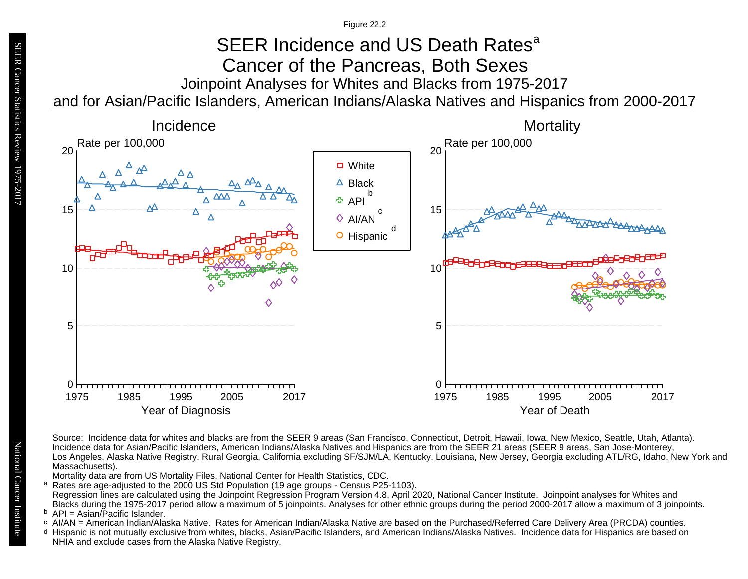Figure 22.2

## Joinpoint Analyses for Whites and Blacks from 1975-2017 and for Asian/Pacific Islanders, American Indians/Alaska Natives and Hispanics from 2000-2017 SEER Incidence and US Death Rates<sup>a</sup> Cancer of the Pancreas, Both Sexes



Source: Incidence data for whites and blacks are from the SEER 9 areas (San Francisco, Connecticut, Detroit, Hawaii, Iowa, New Mexico, Seattle, Utah, Atlanta). Incidence data for Asian/Pacific Islanders, American Indians/Alaska Natives and Hispanics are from the SEER 21 areas (SEER 9 areas, San Jose-Monterey, Los Angeles, Alaska Native Registry, Rural Georgia, California excluding SF/SJM/LA, Kentucky, Louisiana, New Jersey, Georgia excluding ATL/RG, Idaho, New York and Massachusetts).

Mortality data are from US Mortality Files, National Center for Health Statistics, CDC.

a<br>b<br>d Rates are age-adjusted to the 2000 US Std Population (19 age groups - Census P25-1103). a Regression lines are calculated using the Joinpoint Regression Program Version 4.8, April 2020, National Cancer Institute. Joinpoint analyses for Whites and Blacks during the 1975-2017 period allow a maximum of 5 joinpoints. Analyses for other ethnic groups during the period 2000-2017 allow a maximum of 3 joinpoints.

<sup>b</sup> API = Asian/Pacific Islander.<br>○ AI/AN = American Indian/Ala

- AI/AN = American Indian/Alaska Native. Rates for American Indian/Alaska Native are based on the Purchased/Referred Care Delivery Area (PRCDA) counties.
- Hispanic is not mutually exclusive from whites, blacks, Asian/Pacific Islanders, and American Indians/Alaska Natives. Incidence data for Hispanics are based on NHIA and exclude cases from the Alaska Native Registry.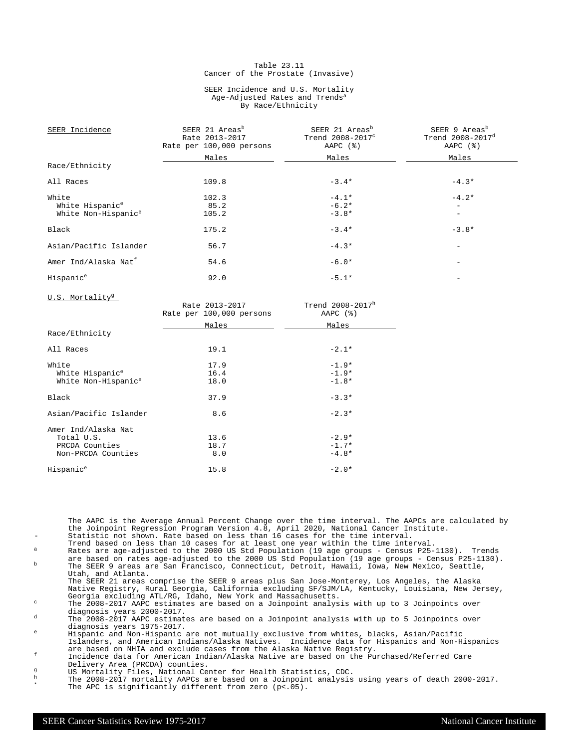#### Table 23.11 Cancer of the Prostate (Invasive)

#### SEER Incidence and U.S. Mortality Age-Adjusted Rates and Trends<sup>a</sup> By Race/Ethnicity

| SEER Incidence                   | SEER 21 Areas <sup>b</sup><br>Rate 2013-2017<br>Rate per 100,000 persons | SEER 21 Areas <sup>b</sup><br>Trend 2008-2017°<br>AAPC $(\frac{1}{6})$ | SEER 9 Areas <sup>b</sup><br>Trend 2008-2017 <sup>d</sup><br>AAPC (%) |
|----------------------------------|--------------------------------------------------------------------------|------------------------------------------------------------------------|-----------------------------------------------------------------------|
|                                  | Males                                                                    | Males                                                                  | Males                                                                 |
| Race/Ethnicity                   |                                                                          |                                                                        |                                                                       |
| All Races                        | 109.8                                                                    | $-3.4*$                                                                | $-4.3*$                                                               |
| White                            | 102.3                                                                    | $-4.1*$                                                                | $-4.2*$                                                               |
| White Hispanic <sup>e</sup>      | 85.2                                                                     | $-6.2*$                                                                | $\qquad \qquad -$                                                     |
| White Non-Hispanic <sup>e</sup>  | 105.2                                                                    | $-3.8*$                                                                | $\qquad \qquad -$                                                     |
| Black                            | 175.2                                                                    | $-3.4*$                                                                | $-3.8*$                                                               |
| Asian/Pacific Islander           | 56.7                                                                     | $-4.3*$                                                                |                                                                       |
| Amer Ind/Alaska Nat <sup>f</sup> | 54.6                                                                     | $-6.0*$                                                                |                                                                       |
| Hispanic <sup>e</sup>            | 92.0                                                                     | $-5.1*$                                                                |                                                                       |
| U.S. Mortality <sup>g</sup>      | Rate 2013-2017                                                           | Trend 2008-2017h                                                       |                                                                       |
|                                  | <b>Detection 100,000</b> accessories                                     | $\mathbb{R}^n$                                                         |                                                                       |

|                                 | Rate per 100,000 persons | AAPC $(%)$ |
|---------------------------------|--------------------------|------------|
|                                 | Males                    | Males      |
| Race/Ethnicity                  |                          |            |
| All Races                       | 19.1                     | $-2.1*$    |
| White                           | 17.9                     | $-1.9*$    |
| White Hispanic <sup>e</sup>     | 16.4                     | $-1.9*$    |
| White Non-Hispanic <sup>e</sup> | 18.0                     | $-1.8*$    |
| Black                           | 37.9                     | $-3.3*$    |
| Asian/Pacific Islander          | 8.6                      | $-2.3*$    |
| Amer Ind/Alaska Nat             |                          |            |
| Total U.S.                      | 13.6                     | $-2.9*$    |
| PRCDA Counties                  | 18.7                     | $-1.7*$    |
| Non-PRCDA Counties              | 8.0                      | $-4.8*$    |
| Hispanic <sup>e</sup>           | 15.8                     | $-2.0*$    |

The AAPC is the Average Annual Percent Change over the time interval. The AAPCs are calculated by the Joinpoint Regression Program Version 4.8, April 2020, National Cancer Institute. Statistic not shown. Rate based on less than 16 cases for the time interval.

- Trend based on less than 10 cases for at least one year within the time interval. <sup>a</sup> Rates are age-adjusted to the 2000 US Std Population (19 age groups Census P25-1130). Trends
- are based on rates age-adjusted to the 2000 US Std Population (19 age groups Census P25-1130).<br><sup>b</sup> The SEER 9 areas are San Francisco, Connecticut, Detroit, Hawaii, Iowa, New Mexico, Seattle, Utah, and Atlanta.

The SEER 21 areas comprise the SEER 9 areas plus San Jose-Monterey, Los Angeles, the Alaska Native Registry, Rural Georgia, California excluding SF/SJM/LA, Kentucky, Louisiana, New Jersey, Georgia excluding ATL/RG, Idaho, New York and Massachusetts.

 $\degree$  The 2008-2017 AAPC estimates are based on a Joinpoint analysis with up to 3 Joinpoints over diagnosis years 2000-2017.

<sup>d</sup> The 2008-2017 AAPC estimates are based on a Joinpoint analysis with up to 5 Joinpoints over diagnosis years 1975-2017.

<sup>e</sup> Hispanic and Non-Hispanic are not mutually exclusive from whites, blacks, Asian/Pacific Islanders, and American Indians/Alaska Natives. Incidence data for Hispanics and Non-Hispanics are based on NHIA and exclude cases from the Alaska Native Registry.

<sup>f</sup> Incidence data for American Indian/Alaska Native are based on the Purchased/Referred Care Delivery Area (PRCDA) counties.

g<br>
US Mortality Files, National Center for Health Statistics, CDC.<br>
The 2008-2017 mortality AADCs are based on a Joinnoint analysis

 $^{\text{h}}$  The 2008-2017 mortality AAPCs are based on a Joinpoint analysis using years of death 2000-2017. \* The APC is significantly different from zero (p<.05).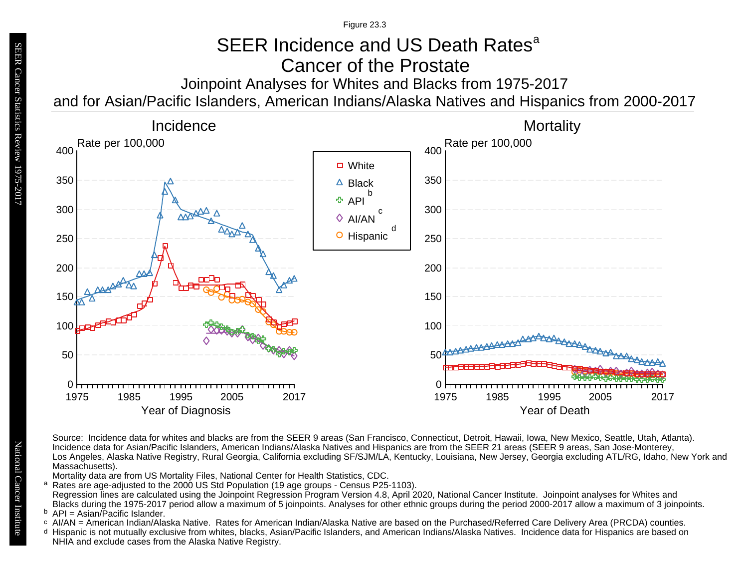Figure 23.3

# SEER Incidence and US Death Rates<sup>a</sup> Cancer of the Prostate

Joinpoint Analyses for Whites and Blacks from 1975-2017 and for Asian/Pacific Islanders, American Indians/Alaska Natives and Hispanics from 2000-2017



Source: Incidence data for whites and blacks are from the SEER 9 areas (San Francisco, Connecticut, Detroit, Hawaii, Iowa, New Mexico, Seattle, Utah, Atlanta). Incidence data for Asian/Pacific Islanders, American Indians/Alaska Natives and Hispanics are from the SEER 21 areas (SEER 9 areas, San Jose-Monterey, Los Angeles, Alaska Native Registry, Rural Georgia, California excluding SF/SJM/LA, Kentucky, Louisiana, New Jersey, Georgia excluding ATL/RG, Idaho, New York and Massachusetts).

Mortality data are from US Mortality Files, National Center for Health Statistics, CDC.

- <sup>a</sup> Rates are age-adjusted to the 2000 US Std Population (19 age groups Census P25-1103). Regression lines are calculated using the Joinpoint Regression Program Version 4.8, April 2020, National Cancer Institute. Joinpoint analyses for Whites and Blacks during the 1975-2017 period allow a maximum of 5 joinpoints. Analyses for other ethnic groups during the period 2000-2017 allow a maximum of 3 joinpoints. a<br>b<br>d
- $P = A$ sian/Pacific Islander.
- b API = Asian/Pacific Islander.<br>○ AI/AN = American Indian/Alaska Native. Rates for American Indian/Alaska Native are based on the Purchased/Referred Care Delivery Area (PRCDA) counties.
- Hispanic is not mutually exclusive from whites, blacks, Asian/Pacific Islanders, and American Indians/Alaska Natives. Incidence data for Hispanics are based on NHIA and exclude cases from the Alaska Native Registry.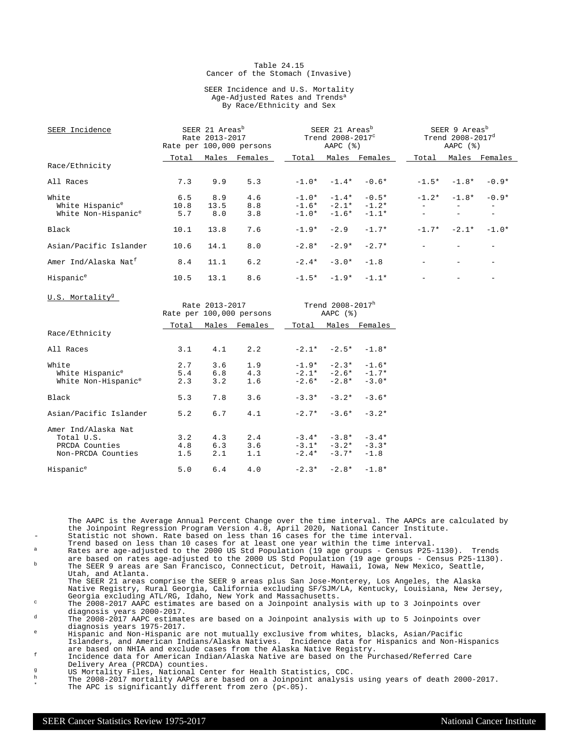#### Table 24.15 Cancer of the Stomach (Invasive)

#### SEER Incidence and U.S. Mortality Age-Adjusted Rates and Trends<sup>a</sup> By Race/Ethnicity and Sex

| SEER Incidence                   | SEER 21 Areas <sup>b</sup><br>Rate 2013-2017<br>Rate per 100,000 persons |                |                          | SEER 21 Areas <sup>b</sup><br>Trend 2008-2017°<br>$AAPC$ $(%)$ |                                     |                     | SEER 9 Areas <sup>b</sup><br>Trend 2008-2017 <sup>d</sup><br>AAPC $(%)$ |               |               |
|----------------------------------|--------------------------------------------------------------------------|----------------|--------------------------|----------------------------------------------------------------|-------------------------------------|---------------------|-------------------------------------------------------------------------|---------------|---------------|
|                                  | Total                                                                    |                | Males Females            | Total                                                          |                                     | Males Females       | Total                                                                   |               | Males Females |
| Race/Ethnicity                   |                                                                          |                |                          |                                                                |                                     |                     |                                                                         |               |               |
| All Races                        | 7.3                                                                      | 9.9            | 5.3                      |                                                                |                                     | $-1.0* -1.4* -0.6*$ |                                                                         | $-1.5* -1.8*$ | $-0.9*$       |
| White                            | 6.5                                                                      | 8.9            | 4.6                      |                                                                |                                     | $-1.0* -1.4* -0.5*$ |                                                                         | $-1.2* -1.8*$ | $-0.9*$       |
| White Hispanic <sup>e</sup>      | 10.8                                                                     | 13.5           | 8.8                      |                                                                |                                     | $-1.6* -2.1* -1.2*$ |                                                                         |               |               |
| White Non-Hispanic <sup>e</sup>  | 5.7                                                                      | 8.0            | 3.8                      |                                                                | $-1.0* -1.6* -1.1*$                 |                     |                                                                         |               |               |
| Black                            | 10.1                                                                     | 13.8           | 7.6                      | $-1.9*$                                                        | $-2.9$                              | $-1.7*$             |                                                                         | $-1.7* -2.1*$ | $-1.0*$       |
| Asian/Pacific Islander           | 10.6                                                                     | 14.1           | 8.0                      | $-2.8*$                                                        | $-2.9*$                             | $-2.7*$             |                                                                         |               |               |
| Amer Ind/Alaska Nat <sup>f</sup> | 8.4                                                                      | 11.1           | 6.2                      | $-2.4*$                                                        | $-3.0*$                             | $-1.8$              |                                                                         |               |               |
| Hispanic <sup>e</sup>            | 10.5                                                                     | 13.1           | 8.6                      |                                                                | $-1.5* -1.9* -1.1*$                 |                     |                                                                         |               |               |
| U.S. Mortality <sup>9</sup>      |                                                                          | Rate 2013-2017 | Rate per 100,000 persons |                                                                | Trend $2008 - 2017^h$<br>AAPC $(%)$ |                     |                                                                         |               |               |
| Race/Ethnicity                   |                                                                          |                | Total Males Females      | Total                                                          |                                     | Males Females       |                                                                         |               |               |
| ZJJ Deses                        |                                                                          | $21$ $11$      | $\Omega$                 | $2.1*$                                                         |                                     | $7.5*$ $7.0*$       |                                                                         |               |               |

| All Races                                                                 | 3.1               | 4.1               | 2.2               |         | $-2.1* -2.5* -1.8*$                                               |         |
|---------------------------------------------------------------------------|-------------------|-------------------|-------------------|---------|-------------------------------------------------------------------|---------|
| White<br>White Hispanic <sup>e</sup><br>White Non-Hispanic <sup>e</sup>   | 2.7<br>5.4<br>2.3 | 3.6<br>6.8<br>3.2 | 1.9<br>4.3<br>1.6 |         | $-1.9* -2.3* -1.6*$<br>$-2.1* -2.6* -1.7*$<br>$-2.6* -2.8* -3.0*$ |         |
| Black                                                                     | 5.3               | 7.8               | 3.6               | $-3.3*$ | $-3.2* -3.6*$                                                     |         |
| Asian/Pacific Islander                                                    | 5.2               | 6.7               | 4.1               |         | $-2.7* -3.6* -3.2*$                                               |         |
| Amer Ind/Alaska Nat<br>Total U.S.<br>PRCDA Counties<br>Non-PRCDA Counties | 3.2<br>4.8<br>1.5 | 4.3<br>6.3<br>2.1 | 2.4<br>3.6<br>1.1 | $-2.4*$ | $-3.4* -3.8* -3.4*$<br>$-3.1* -3.2* -3.3*$<br>$-3.7*$             | $-1.8$  |
| Hispanic <sup>e</sup>                                                     | 5.0               | 6.4               | 4.0               | $-2.3*$ | $-2.8*$                                                           | $-1.8*$ |

The AAPC is the Average Annual Percent Change over the time interval. The AAPCs are calculated by the Joinpoint Regression Program Version 4.8, April 2020, National Cancer Institute. Statistic not shown. Rate based on less than 16 cases for the time interval.

- Trend based on less than 10 cases for at least one year within the time interval. <sup>a</sup> Rates are age-adjusted to the 2000 US Std Population (19 age groups Census P25-1130). Trends
- are based on rates age-adjusted to the 2000 US Std Population (19 age groups Census P25-1130).<br><sup>b</sup> The SEER 9 areas are San Francisco, Connecticut, Detroit, Hawaii, Iowa, New Mexico, Seattle, Utah, and Atlanta.

The SEER 21 areas comprise the SEER 9 areas plus San Jose-Monterey, Los Angeles, the Alaska Native Registry, Rural Georgia, California excluding SF/SJM/LA, Kentucky, Louisiana, New Jersey, Georgia excluding ATL/RG, Idaho, New York and Massachusetts.

<sup>c</sup> The 2008-2017 AAPC estimates are based on a Joinpoint analysis with up to 3 Joinpoints over diagnosis years 2000-2017.

<sup>d</sup> The 2008-2017 AAPC estimates are based on a Joinpoint analysis with up to 5 Joinpoints over diagnosis years 1975-2017.

<sup>e</sup> Hispanic and Non-Hispanic are not mutually exclusive from whites, blacks, Asian/Pacific Islanders, and American Indians/Alaska Natives. Incidence data for Hispanics and Non-Hispanics are based on NHIA and exclude cases from the Alaska Native Registry.

<sup>f</sup> Incidence data for American Indian/Alaska Native are based on the Purchased/Referred Care Delivery Area (PRCDA) counties.

- g<br>
US Mortality Files, National Center for Health Statistics, CDC.<br>
The 2008-2017 mortality AADCs are based on a Joinnoint analysis
- $^{\text{h}}$  The 2008-2017 mortality AAPCs are based on a Joinpoint analysis using years of death 2000-2017. \* The APC is significantly different from zero (p<.05).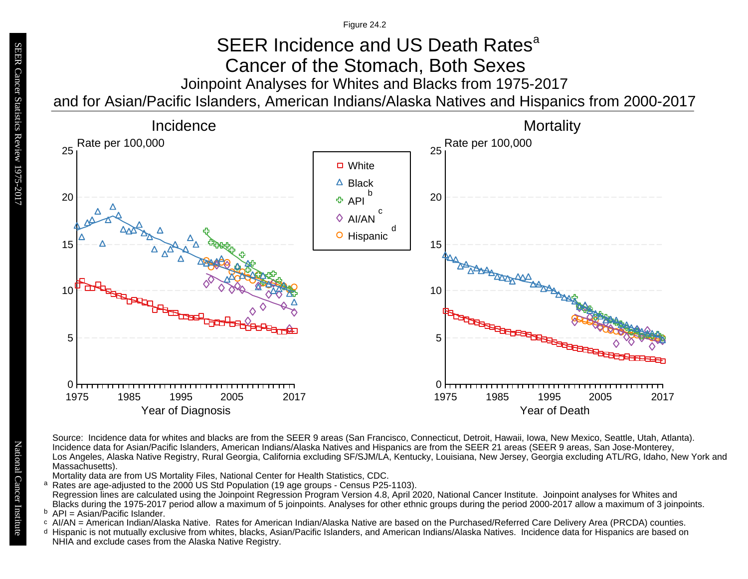Figure 24.2

## Joinpoint Analyses for Whites and Blacks from 1975-2017 and for Asian/Pacific Islanders, American Indians/Alaska Natives and Hispanics from 2000-2017 SEER Incidence and US Death Rates<sup>a</sup> Cancer of the Stomach, Both Sexes



Source: Incidence data for whites and blacks are from the SEER 9 areas (San Francisco, Connecticut, Detroit, Hawaii, Iowa, New Mexico, Seattle, Utah, Atlanta). Incidence data for Asian/Pacific Islanders, American Indians/Alaska Natives and Hispanics are from the SEER 21 areas (SEER 9 areas, San Jose-Monterey, Los Angeles, Alaska Native Registry, Rural Georgia, California excluding SF/SJM/LA, Kentucky, Louisiana, New Jersey, Georgia excluding ATL/RG, Idaho, New York and Massachusetts).

Mortality data are from US Mortality Files, National Center for Health Statistics, CDC.

<sup>a</sup> Rates are age-adjusted to the 2000 US Std Population (19 age groups - Census P25-1103). Regression lines are calculated using the Joinpoint Regression Program Version 4.8, April 2020, National Cancer Institute. Joinpoint analyses for Whites and Blacks during the 1975-2017 period allow a maximum of 5 joinpoints. Analyses for other ethnic groups during the period 2000-2017 allow a maximum of 3 joinpoints. a<br>b<br>d

<sup>b</sup> API = Asian/Pacific Islander.<br>○ AI/AN = American Indian/Ala

- AI/AN = American Indian/Alaska Native. Rates for American Indian/Alaska Native are based on the Purchased/Referred Care Delivery Area (PRCDA) counties.
- Hispanic is not mutually exclusive from whites, blacks, Asian/Pacific Islanders, and American Indians/Alaska Natives. Incidence data for Hispanics are based on NHIA and exclude cases from the Alaska Native Registry.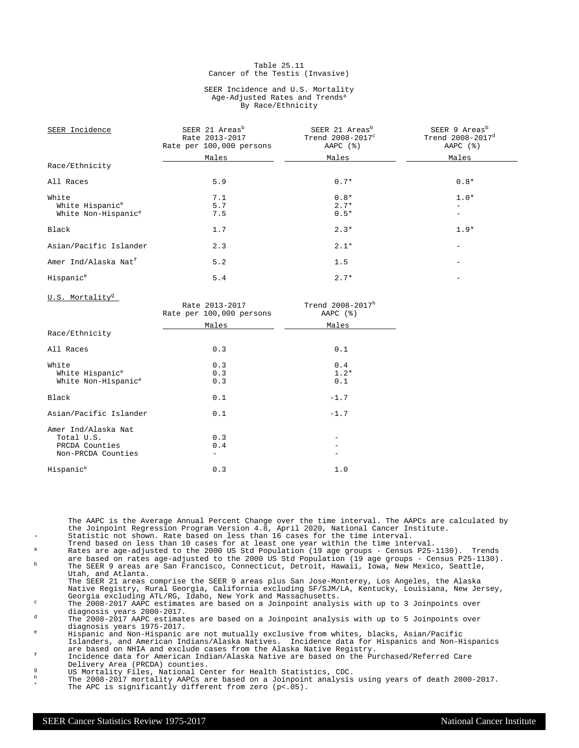#### Table 25.11 Cancer of the Testis (Invasive)

#### SEER Incidence and U.S. Mortality Age-Adjusted Rates and Trends<sup>a</sup> By Race/Ethnicity

| SEER Incidence                   | SEER 21 Areas <sup>b</sup><br>Rate 2013-2017<br>Rate per 100,000 persons | SEER 21 Areas <sup>b</sup><br>Trend 2008-2017 <sup>c</sup><br>AAPC $(%)$ | SEER 9 Areas <sup>b</sup><br>Trend $2008 - 2017$ <sup>d</sup><br>AAPC $(%)$ |  |  |
|----------------------------------|--------------------------------------------------------------------------|--------------------------------------------------------------------------|-----------------------------------------------------------------------------|--|--|
|                                  | Males                                                                    | Males                                                                    | Males                                                                       |  |  |
| Race/Ethnicity                   |                                                                          |                                                                          |                                                                             |  |  |
| All Races                        | 5.9                                                                      | $0.7*$                                                                   | $0.8*$                                                                      |  |  |
| White                            | 7.1                                                                      | $0.8*$                                                                   | $1.0*$                                                                      |  |  |
| White Hispanic <sup>e</sup>      | 5.7                                                                      | $2.7*$                                                                   |                                                                             |  |  |
| White Non-Hispanic <sup>e</sup>  | 7.5                                                                      | $0.5*$                                                                   |                                                                             |  |  |
| Black                            | 1.7                                                                      | $2.3*$                                                                   | $1.9*$                                                                      |  |  |
| Asian/Pacific Islander           | 2.3                                                                      | $2.1*$                                                                   |                                                                             |  |  |
| Amer Ind/Alaska Nat <sup>f</sup> | 5.2                                                                      | 1.5                                                                      |                                                                             |  |  |
| Hispanic <sup>e</sup>            | 5.4                                                                      | $2.7*$                                                                   |                                                                             |  |  |

U.S. Mortality<sup>g</sup>

| <u>.</u>                                                                  | Rate 2013-2017<br>Rate per 100,000 persons | Trend $2008 - 2017^h$<br>AAPC $(%)$ |
|---------------------------------------------------------------------------|--------------------------------------------|-------------------------------------|
|                                                                           | Males                                      | Males                               |
| Race/Ethnicity                                                            |                                            |                                     |
| All Races                                                                 | 0.3                                        | 0.1                                 |
| White<br>White Hispanic <sup>e</sup><br>White Non-Hispanic <sup>e</sup>   | 0.3<br>0.3<br>0.3                          | 0.4<br>$1.2*$<br>0.1                |
| Black                                                                     | 0.1                                        | $-1.7$                              |
| Asian/Pacific Islander                                                    | 0.1                                        | $-1.7$                              |
| Amer Ind/Alaska Nat<br>Total U.S.<br>PRCDA Counties<br>Non-PRCDA Counties | 0.3<br>0.4                                 |                                     |
| Hispanic <sup>e</sup>                                                     | 0.3                                        | 1.0                                 |

The AAPC is the Average Annual Percent Change over the time interval. The AAPCs are calculated by the Joinpoint Regression Program Version 4.8, April 2020, National Cancer Institute. Statistic not shown. Rate based on less than 16 cases for the time interval.

- Trend based on less than 10 cases for at least one year within the time interval. <sup>a</sup> Rates are age-adjusted to the 2000 US Std Population (19 age groups Census P25-1130). Trends
- are based on rates age-adjusted to the 2000 US Std Population (19 age groups Census P25-1130).<br><sup>b</sup> The SEER 9 areas are San Francisco, Connecticut, Detroit, Hawaii, Iowa, New Mexico, Seattle, Utah, and Atlanta.

The SEER 21 areas comprise the SEER 9 areas plus San Jose-Monterey, Los Angeles, the Alaska Native Registry, Rural Georgia, California excluding SF/SJM/LA, Kentucky, Louisiana, New Jersey, Georgia excluding ATL/RG, Idaho, New York and Massachusetts.

<sup>c</sup> The 2008-2017 AAPC estimates are based on a Joinpoint analysis with up to 3 Joinpoints over diagnosis years 2000-2017.

<sup>d</sup> The 2008-2017 AAPC estimates are based on a Joinpoint analysis with up to 5 Joinpoints over diagnosis years 1975-2017.

<sup>e</sup> Hispanic and Non-Hispanic are not mutually exclusive from whites, blacks, Asian/Pacific Islanders, and American Indians/Alaska Natives. Incidence data for Hispanics and Non-Hispanics are based on NHIA and exclude cases from the Alaska Native Registry.

<sup>f</sup> Incidence data for American Indian/Alaska Native are based on the Purchased/Referred Care Delivery Area (PRCDA) counties.

- g<br>
US Mortality Files, National Center for Health Statistics, CDC.<br>
The 2008–2017 mentality ADOG are based an a Joinnaint applying
- $^{\text{h}}$  The 2008-2017 mortality AAPCs are based on a Joinpoint analysis using years of death 2000-2017. \* The APC is significantly different from zero (p<.05).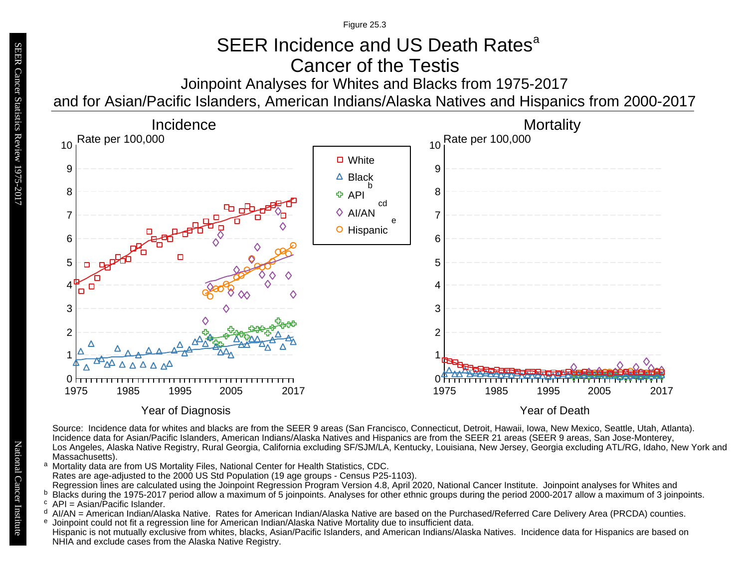Figure 25.3

## SEER Incidence and US Death Rates<sup>a</sup> Cancer of the Testis

Joinpoint Analyses for Whites and Blacks from 1975-2017

and for Asian/Pacific Islanders, American Indians/Alaska Natives and Hispanics from 2000-2017



Source: Incidence data for whites and blacks are from the SEER 9 areas (San Francisco, Connecticut, Detroit, Hawaii, Iowa, New Mexico, Seattle, Utah, Atlanta). Incidence data for Asian/Pacific Islanders, American Indians/Alaska Natives and Hispanics are from the SEER 21 areas (SEER 9 areas, San Jose-Monterey, Los Angeles, Alaska Native Registry, Rural Georgia, California excluding SF/SJM/LA, Kentucky, Louisiana, New Jersey, Georgia excluding ATL/RG, Idaho, New York and Massachusetts).

- a Mortality data are from US Mortality Files, National Center for Health Statistics, CDC. Rates are age-adjusted to the 2000 US Std Population (19 age groups - Census P25-1103). Regression lines are calculated using the Joinpoint Regression Program Version 4.8, April 2020, National Cancer Institute. Joinpoint analyses for Whites and a<br>b c d<br>e
- Blacks during the 1975-2017 period allow a maximum of 5 joinpoints. Analyses for other ethnic groups during the period 2000-2017 allow a maximum of 3 joinpoints. <sup>b</sup> Blacks during the 1975-2017<br><sup>c</sup> API = Asian/Pacific Islander.
- 
- <sup>d</sup> Al/AN = American Indian/Alaska Native. Rates for American Indian/Alaska Native are based on the Purchased/Referred Care Delivery Area (PRCDA) counties.
- Joinpoint could not fit a regression line for American Indian/Alaska Native Mortality due to insufficient data.
- Hispanic is not mutually exclusive from whites, blacks, Asian/Pacific Islanders, and American Indians/Alaska Natives. Incidence data for Hispanics are based on NHIA and exclude cases from the Alaska Native Registry.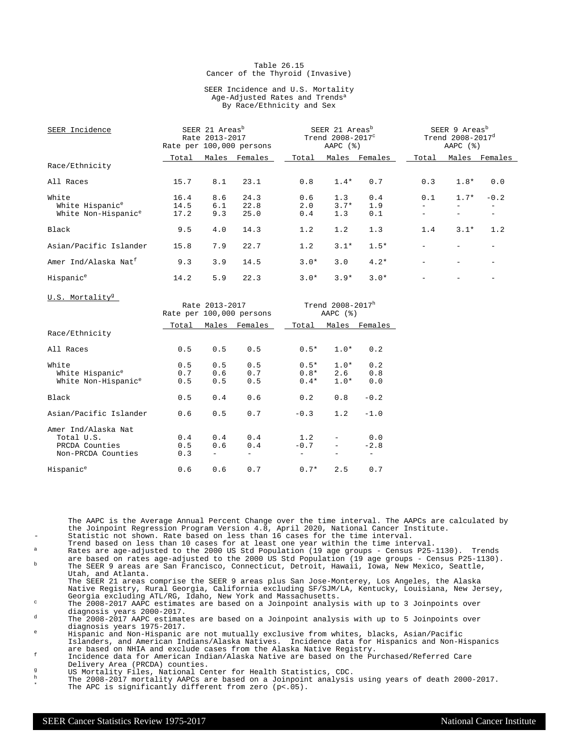#### Table 26.15 Cancer of the Thyroid (Invasive)

#### SEER Incidence and U.S. Mortality Age-Adjusted Rates and Trends<sup>a</sup> By Race/Ethnicity and Sex

| SEER Incidence                   |       | SEER 21 Areas <sup>b</sup><br>Rate 2013-2017<br>Rate per 100,000 persons |         | SEER 21 Areas <sup>b</sup><br>Trend 2008-2017 <sup>c</sup><br>AAPC $(%)$ |        |         | SEER 9 Areas <sup>b</sup><br>Trend 2008-2017 <sup>d</sup><br>AAPC $(%)$ |        |         |
|----------------------------------|-------|--------------------------------------------------------------------------|---------|--------------------------------------------------------------------------|--------|---------|-------------------------------------------------------------------------|--------|---------|
|                                  | Total | Males                                                                    | Females | Total                                                                    | Males  | Females | Total                                                                   | Males  | Females |
| Race/Ethnicity                   |       |                                                                          |         |                                                                          |        |         |                                                                         |        |         |
| All Races                        | 15.7  | 8.1                                                                      | 23.1    | 0.8                                                                      | $1.4*$ | 0.7     | 0.3                                                                     | $1.8*$ | 0.0     |
| White                            | 16.4  | 8.6                                                                      | 24.3    | 0.6                                                                      | 1.3    | 0.4     | 0.1                                                                     | $1.7*$ | $-0.2$  |
| White Hispanic <sup>e</sup>      | 14.5  | 6.1                                                                      | 22.8    | 2.0                                                                      | $3.7*$ | 1.9     |                                                                         |        |         |
| White Non-Hispanic <sup>e</sup>  | 17.2  | 9.3                                                                      | 25.0    | 0.4                                                                      | 1.3    | 0.1     |                                                                         |        |         |
| Black                            | 9.5   | 4.0                                                                      | 14.3    | 1.2                                                                      | 1.2    | 1.3     | 1.4                                                                     | $3.1*$ | 1.2     |
| Asian/Pacific Islander           | 15.8  | 7.9                                                                      | 22.7    | 1.2                                                                      | $3.1*$ | $1.5*$  |                                                                         |        |         |
| Amer Ind/Alaska Nat <sup>f</sup> | 9.3   | 3.9                                                                      | 14.5    | $3.0*$                                                                   | 3.0    | $4.2*$  |                                                                         |        |         |
| Hispanic <sup>e</sup>            | 14.2  | 5.9                                                                      | 22.3    | $3.0*$                                                                   | $3.9*$ | $3.0*$  |                                                                         |        |         |
| U.S. Mortality <sup>9</sup>      |       |                                                                          |         |                                                                          |        |         |                                                                         |        |         |

| 0.0. MOLLGILLY                                                            |                   | Rate 2013-2017    | Rate per 100,000 persons |               | Trend 2008-2017h<br>AAPC $(%)$              |                                           |  |  |
|---------------------------------------------------------------------------|-------------------|-------------------|--------------------------|---------------|---------------------------------------------|-------------------------------------------|--|--|
|                                                                           | Total             |                   | Males Females            | Total         |                                             | Males Females                             |  |  |
| Race/Ethnicity                                                            |                   |                   |                          |               |                                             |                                           |  |  |
| All Races                                                                 | 0.5               | 0.5               | 0.5                      | $0.5*$        | $1.0*$                                      | 0.2                                       |  |  |
| White<br>White Hispanic <sup>e</sup><br>White Non-Hispanic <sup>e</sup>   | 0.5<br>0.7<br>0.5 | 0.5<br>0.6<br>0.5 | 0.5<br>0.7<br>0.5        | $0.5*$        | $1.0*$<br>$0.8*$<br>2.6<br>$0.4*$<br>$1.0*$ | 0.2<br>0.8<br>0.0                         |  |  |
| Black                                                                     | 0.5               | 0.4               | 0.6                      | 0.2           | 0.8                                         | $-0.2$                                    |  |  |
| Asian/Pacific Islander                                                    | 0.6               | 0.5               | 0.7                      | $-0.3$        | 1.2                                         | $-1.0$                                    |  |  |
| Amer Ind/Alaska Nat<br>Total U.S.<br>PRCDA Counties<br>Non-PRCDA Counties | 0.4<br>0.5<br>0.3 | 0.4<br>0.6        | 0.4<br>0.4               | 1.2<br>$-0.7$ |                                             | 0.0<br>$-2.8$<br>$\overline{\phantom{a}}$ |  |  |
| Hispanic <sup>e</sup>                                                     | 0.6               | 0.6               | 0.7                      | $0.7*$        | 2.5                                         | 0.7                                       |  |  |

The AAPC is the Average Annual Percent Change over the time interval. The AAPCs are calculated by the Joinpoint Regression Program Version 4.8, April 2020, National Cancer Institute. Statistic not shown. Rate based on less than 16 cases for the time interval.

- Trend based on less than 10 cases for at least one year within the time interval. <sup>a</sup> Rates are age-adjusted to the 2000 US Std Population (19 age groups Census P25-1130). Trends
- are based on rates age-adjusted to the 2000 US Std Population (19 age groups Census P25-1130).<br><sup>b</sup> The SEER 9 areas are San Francisco, Connecticut, Detroit, Hawaii, Iowa, New Mexico, Seattle, Utah, and Atlanta.
- The SEER 21 areas comprise the SEER 9 areas plus San Jose-Monterey, Los Angeles, the Alaska Native Registry, Rural Georgia, California excluding SF/SJM/LA, Kentucky, Louisiana, New Jersey, Georgia excluding ATL/RG, Idaho, New York and Massachusetts.

<sup>c</sup> The 2008-2017 AAPC estimates are based on a Joinpoint analysis with up to 3 Joinpoints over diagnosis years 2000-2017.

<sup>d</sup> The 2008-2017 AAPC estimates are based on a Joinpoint analysis with up to 5 Joinpoints over diagnosis years 1975-2017.

<sup>e</sup> Hispanic and Non-Hispanic are not mutually exclusive from whites, blacks, Asian/Pacific Islanders, and American Indians/Alaska Natives. Incidence data for Hispanics and Non-Hispanics are based on NHIA and exclude cases from the Alaska Native Registry.

<sup>f</sup> Incidence data for American Indian/Alaska Native are based on the Purchased/Referred Care Delivery Area (PRCDA) counties.

- g<br>
US Mortality Files, National Center for Health Statistics, CDC.<br>
The 2008-2017 mortality AADCs are based on a Joinnoint analysis
- $^{\text{h}}$  The 2008-2017 mortality AAPCs are based on a Joinpoint analysis using years of death 2000-2017. \* The APC is significantly different from zero (p<.05).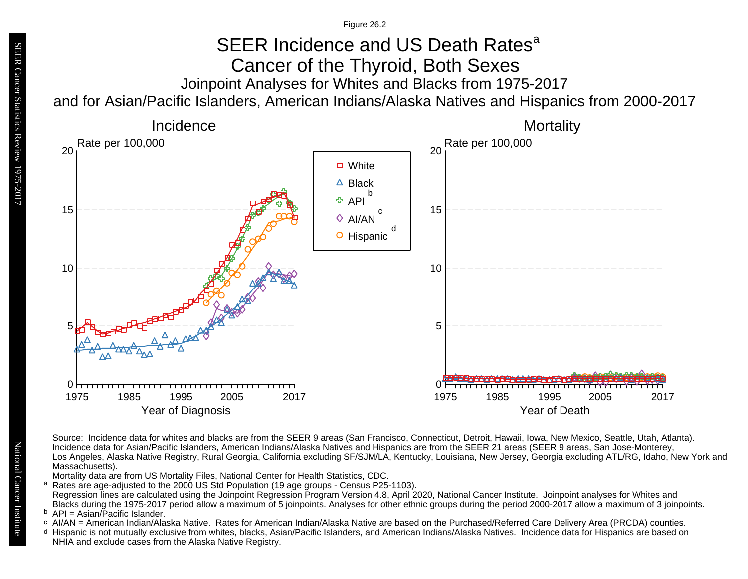Figure 26.2

## Joinpoint Analyses for Whites and Blacks from 1975-2017 and for Asian/Pacific Islanders, American Indians/Alaska Natives and Hispanics from 2000-2017 SEER Incidence and US Death Rates<sup>a</sup> Cancer of the Thyroid, Both Sexes



Source: Incidence data for whites and blacks are from the SEER 9 areas (San Francisco, Connecticut, Detroit, Hawaii, Iowa, New Mexico, Seattle, Utah, Atlanta). Incidence data for Asian/Pacific Islanders, American Indians/Alaska Natives and Hispanics are from the SEER 21 areas (SEER 9 areas, San Jose-Monterey, Los Angeles, Alaska Native Registry, Rural Georgia, California excluding SF/SJM/LA, Kentucky, Louisiana, New Jersey, Georgia excluding ATL/RG, Idaho, New York and Massachusetts).

Mortality data are from US Mortality Files, National Center for Health Statistics, CDC.

- a<br>b<br>d Rates are age-adjusted to the 2000 US Std Population (19 age groups - Census P25-1103). a Regression lines are calculated using the Joinpoint Regression Program Version 4.8, April 2020, National Cancer Institute. Joinpoint analyses for Whites and Blacks during the 1975-2017 period allow a maximum of 5 joinpoints. Analyses for other ethnic groups during the period 2000-2017 allow a maximum of 3 joinpoints.
- <sup>b</sup> API = Asian/Pacific Islander.<br>○ AI/AN = American Indian/Ala
- AI/AN = American Indian/Alaska Native. Rates for American Indian/Alaska Native are based on the Purchased/Referred Care Delivery Area (PRCDA) counties.
- Hispanic is not mutually exclusive from whites, blacks, Asian/Pacific Islanders, and American Indians/Alaska Natives. Incidence data for Hispanics are based on NHIA and exclude cases from the Alaska Native Registry.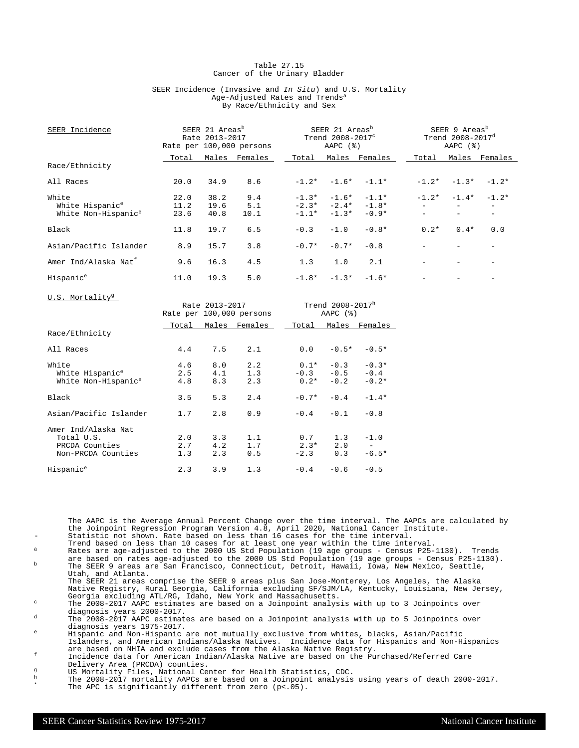#### Table 27.15 Cancer of the Urinary Bladder

#### SEER Incidence (Invasive and In Situ) and U.S. Mortality Age-Adjusted Rates and Trends<sup>a</sup> By Race/Ethnicity and Sex

| SEER Incidence                                                          |                      | SEER 21 Areas <sup>b</sup><br>Rate 2013-2017 | Rate per 100,000 persons | SEER 21 Areas <sup>b</sup><br>Trend $2008 - 2017^c$<br>AAPC $(%)$ |                                     | SEER 9 Areas <sup>b</sup><br>Trend 2008-2017 <sup>d</sup><br>AAPC $(%)$ |         |         |         |
|-------------------------------------------------------------------------|----------------------|----------------------------------------------|--------------------------|-------------------------------------------------------------------|-------------------------------------|-------------------------------------------------------------------------|---------|---------|---------|
|                                                                         | Total                | Males                                        | Females                  | Total                                                             |                                     | Males Females                                                           | Total   | Males   | Females |
| Race/Ethnicity                                                          |                      |                                              |                          |                                                                   |                                     |                                                                         |         |         |         |
| All Races                                                               | 20.0                 | 34.9                                         | 8.6                      | $-1.2*$                                                           |                                     | $-1.6* -1.1*$                                                           | $-1.2*$ | $-1.3*$ | $-1.2*$ |
| White<br>White Hispanic <sup>e</sup><br>White Non-Hispanic <sup>e</sup> | 22.0<br>11.2<br>23.6 | 38.2<br>19.6<br>40.8                         | 9.4<br>5.1<br>10.1       | $-1.3*$<br>$-1.1*$                                                | $-1.6*$<br>$-2.3* -2.4*$<br>$-1.3*$ | $-1.1*$<br>$-1.8*$<br>$-0.9*$                                           | $-1.2*$ | $-1.4*$ | $-1.2*$ |
| <b>Black</b>                                                            | 11.8                 | 19.7                                         | 6.5                      | $-0.3$                                                            | $-1.0$                              | $-0.8*$                                                                 | $0.2*$  | $0.4*$  | 0.0     |
| Asian/Pacific Islander                                                  | 8.9                  | 15.7                                         | 3.8                      | $-0.7*$                                                           | $-0.7*$                             | $-0.8$                                                                  |         |         |         |
| Amer Ind/Alaska Nat <sup>f</sup>                                        | 9.6                  | 16.3                                         | 4.5                      | 1.3                                                               | 1.0                                 | 2.1                                                                     |         |         |         |
| Hispanic <sup>e</sup>                                                   | 11.0                 | 19.3                                         | 5.0                      | $-1.8*$                                                           | $-1.3*$                             | $-1.6*$                                                                 |         |         |         |
|                                                                         |                      |                                              |                          |                                                                   |                                     |                                                                         |         |         |         |

| 0.0. MOLLGILLY                                                            |                   | Rate 2013-2017    | Rate per 100,000 persons | Trend 2008-2017h<br>AAPC $(%)$ |                                            |                              |  |
|---------------------------------------------------------------------------|-------------------|-------------------|--------------------------|--------------------------------|--------------------------------------------|------------------------------|--|
|                                                                           | Total             |                   | Males Females            | Total                          |                                            | Males Females                |  |
| Race/Ethnicity                                                            |                   |                   |                          |                                |                                            |                              |  |
| All Races                                                                 | 4.4               | 7.5               | 2.1                      |                                | 0.0<br>$-0.5*$                             | $-0.5*$                      |  |
| White<br>White Hispanic <sup>e</sup><br>White Non-Hispanic <sup>e</sup>   | 4.6<br>2.5<br>4.8 | 8.0<br>4.1<br>8.3 | 2.2<br>1.3<br>2.3        | $0.1*$                         | $-0.3$<br>$-0.3 - 0.5$<br>$0.2*$<br>$-0.2$ | $-0.3*$<br>$-0.4$<br>$-0.2*$ |  |
| Black                                                                     | 3.5               | 5.3               | 2.4                      | $-0.7*$                        | $-0.4$                                     | $-1.4*$                      |  |
| Asian/Pacific Islander                                                    | 1.7               | 2.8               | 0.9                      |                                | $-0.4 - 0.1$                               | $-0.8$                       |  |
| Amer Ind/Alaska Nat<br>Total U.S.<br>PRCDA Counties<br>Non-PRCDA Counties | 2.0<br>2.7<br>1.3 | 3.3<br>4.2<br>2.3 | 1.1<br>1.7<br>0.5        | $-2.3$                         | 0.7<br>1.3<br>$2.3*$<br>2.0<br>0.3         | $-1.0$<br>$-6.5*$            |  |
| Hispanic <sup>e</sup>                                                     | 2.3               | 3.9               | 1.3                      |                                | $-0.6$<br>$-0.4$                           | $-0.5$                       |  |

The AAPC is the Average Annual Percent Change over the time interval. The AAPCs are calculated by the Joinpoint Regression Program Version 4.8, April 2020, National Cancer Institute. Statistic not shown. Rate based on less than 16 cases for the time interval.

- Trend based on less than 10 cases for at least one year within the time interval. <sup>a</sup> Rates are age-adjusted to the 2000 US Std Population (19 age groups Census P25-1130). Trends
- are based on rates age-adjusted to the 2000 US Std Population (19 age groups Census P25-1130).<br><sup>b</sup> The SEER 9 areas are San Francisco, Connecticut, Detroit, Hawaii, Iowa, New Mexico, Seattle, Utah, and Atlanta.

The SEER 21 areas comprise the SEER 9 areas plus San Jose-Monterey, Los Angeles, the Alaska Native Registry, Rural Georgia, California excluding SF/SJM/LA, Kentucky, Louisiana, New Jersey, Georgia excluding ATL/RG, Idaho, New York and Massachusetts.

<sup>c</sup> The 2008-2017 AAPC estimates are based on a Joinpoint analysis with up to 3 Joinpoints over diagnosis years 2000-2017.

<sup>d</sup> The 2008-2017 AAPC estimates are based on a Joinpoint analysis with up to 5 Joinpoints over diagnosis years 1975-2017.

<sup>e</sup> Hispanic and Non-Hispanic are not mutually exclusive from whites, blacks, Asian/Pacific Islanders, and American Indians/Alaska Natives. Incidence data for Hispanics and Non-Hispanics are based on NHIA and exclude cases from the Alaska Native Registry.

<sup>f</sup> Incidence data for American Indian/Alaska Native are based on the Purchased/Referred Care Delivery Area (PRCDA) counties.

g<br>
US Mortality Files, National Center for Health Statistics, CDC.<br>
The 2008–2017 mentality ADOG are based an a Joinnaint applying

 $^{\text{h}}$  The 2008-2017 mortality AAPCs are based on a Joinpoint analysis using years of death 2000-2017. \* The APC is significantly different from zero (p<.05).

U.S. Mortality<sup>9</sup>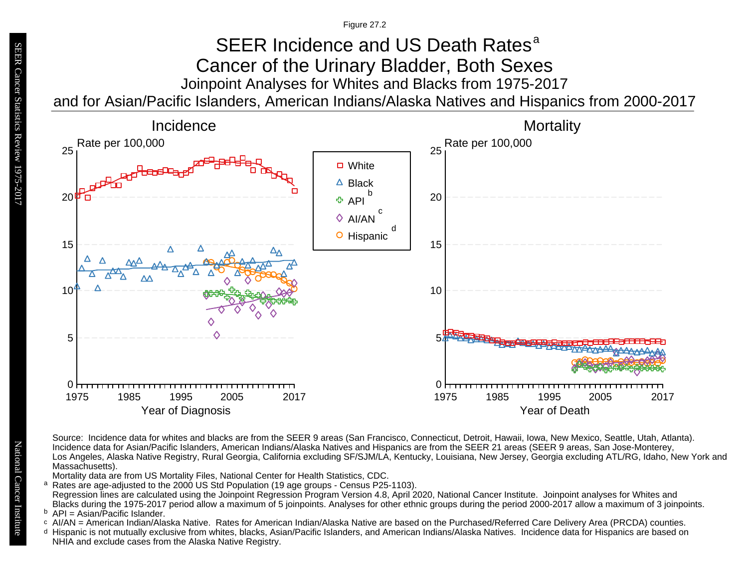Figure 27.2

## Joinpoint Analyses for Whites and Blacks from 1975-2017 and for Asian/Pacific Islanders, American Indians/Alaska Natives and Hispanics from 2000-2017 SEER Incidence and US Death Rates<sup>a</sup> Cancer of the Urinary Bladder, Both Sexes



Source: Incidence data for whites and blacks are from the SEER 9 areas (San Francisco, Connecticut, Detroit, Hawaii, Iowa, New Mexico, Seattle, Utah, Atlanta). Incidence data for Asian/Pacific Islanders, American Indians/Alaska Natives and Hispanics are from the SEER 21 areas (SEER 9 areas, San Jose-Monterey, Los Angeles, Alaska Native Registry, Rural Georgia, California excluding SF/SJM/LA, Kentucky, Louisiana, New Jersey, Georgia excluding ATL/RG, Idaho, New York and Massachusetts).

Mortality data are from US Mortality Files, National Center for Health Statistics, CDC.

- a<br>b<br>d Rates are age-adjusted to the 2000 US Std Population (19 age groups - Census P25-1103). a Regression lines are calculated using the Joinpoint Regression Program Version 4.8, April 2020, National Cancer Institute. Joinpoint analyses for Whites and Blacks during the 1975-2017 period allow a maximum of 5 joinpoints. Analyses for other ethnic groups during the period 2000-2017 allow a maximum of 3 joinpoints.
- <sup>b</sup> API = Asian/Pacific Islander.<br>○ AI/AN = American Indian/Ala
- AI/AN = American Indian/Alaska Native. Rates for American Indian/Alaska Native are based on the Purchased/Referred Care Delivery Area (PRCDA) counties.
- Hispanic is not mutually exclusive from whites, blacks, Asian/Pacific Islanders, and American Indians/Alaska Natives. Incidence data for Hispanics are based on NHIA and exclude cases from the Alaska Native Registry.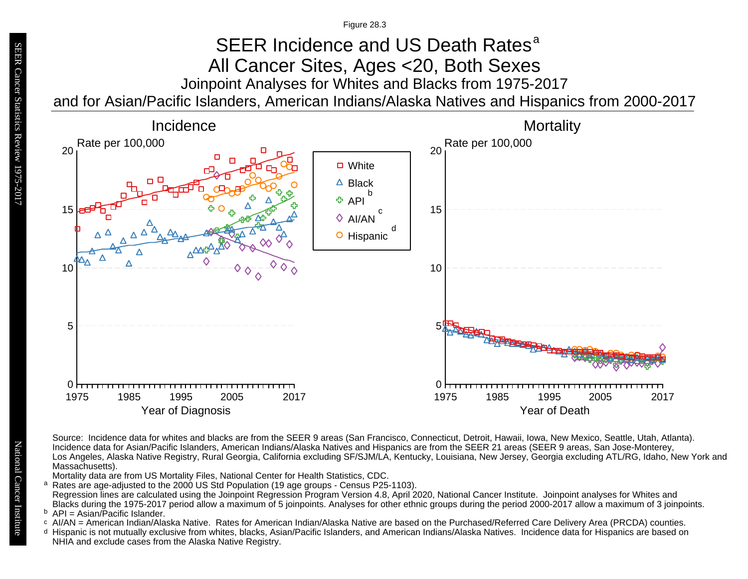Figure 28.3

# Joinpoint Analyses for Whites and Blacks from 1975-2017 SEER Incidence and US Death Rates<sup>a</sup> All Cancer Sites, Ages <20, Both Sexes

and for Asian/Pacific Islanders, American Indians/Alaska Natives and Hispanics from 2000-2017



Source: Incidence data for whites and blacks are from the SEER 9 areas (San Francisco, Connecticut, Detroit, Hawaii, Iowa, New Mexico, Seattle, Utah, Atlanta). Incidence data for Asian/Pacific Islanders, American Indians/Alaska Natives and Hispanics are from the SEER 21 areas (SEER 9 areas, San Jose-Monterey, Los Angeles, Alaska Native Registry, Rural Georgia, California excluding SF/SJM/LA, Kentucky, Louisiana, New Jersey, Georgia excluding ATL/RG, Idaho, New York and Massachusetts).

Mortality data are from US Mortality Files, National Center for Health Statistics, CDC.

a<br>b<br>d Rates are age-adjusted to the 2000 US Std Population (19 age groups - Census P25-1103). a Regression lines are calculated using the Joinpoint Regression Program Version 4.8, April 2020, National Cancer Institute. Joinpoint analyses for Whites and Blacks during the 1975-2017 period allow a maximum of 5 joinpoints. Analyses for other ethnic groups during the period 2000-2017 allow a maximum of 3 joinpoints.

```
<sup>b</sup> API = Asian/Pacific Islander.<br>○ AI/AN = American Indian/Ala
```
- AI/AN = American Indian/Alaska Native. Rates for American Indian/Alaska Native are based on the Purchased/Referred Care Delivery Area (PRCDA) counties.
- Hispanic is not mutually exclusive from whites, blacks, Asian/Pacific Islanders, and American Indians/Alaska Natives. Incidence data for Hispanics are based on NHIA and exclude cases from the Alaska Native Registry.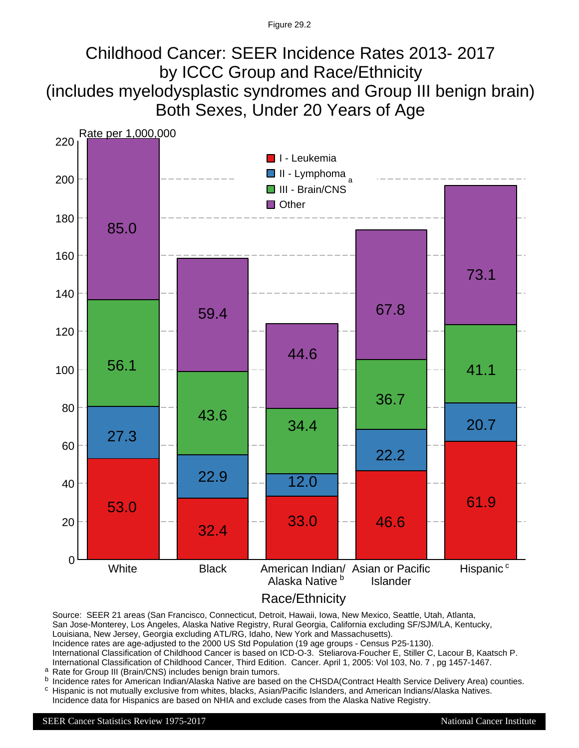## Childhood Cancer: SEER Incidence Rates 2013- 2017 by ICCC Group and Race/Ethnicity (includes myelodysplastic syndromes and Group III benign brain) Both Sexes, Under 20 Years of Age



Race/Ethnicity

Source: SEER 21 areas (San Francisco, Connecticut, Detroit, Hawaii, Iowa, New Mexico, Seattle, Utah, Atlanta, San Jose-Monterey, Los Angeles, Alaska Native Registry, Rural Georgia, California excluding SF/SJM/LA, Kentucky, Louisiana, New Jersey, Georgia excluding ATL/RG, Idaho, New York and Massachusetts). Incidence rates are age-adjusted to the 2000 US Std Population (19 age groups - Census P25-1130). International Classification of Childhood Cancer is based on ICD-O-3. Steliarova-Foucher E, Stiller C, Lacour B, Kaatsch P. International Classification of Childhood Cancer, Third Edition. Cancer. April 1, 2005: Vol 103, No. 7 , pg 1457-1467.

- <sup>a</sup> Rate for Group III (Brain/CNS) includes benign brain tumors.
- Incidence rates for American Indian/Alaska Native are based on the CHSDA(Contract Health Service Delivery Area) counties. c b
- Hispanic is not mutually exclusive from whites, blacks, Asian/Pacific Islanders, and American Indians/Alaska Natives. Incidence data for Hispanics are based on NHIA and exclude cases from the Alaska Native Registry.